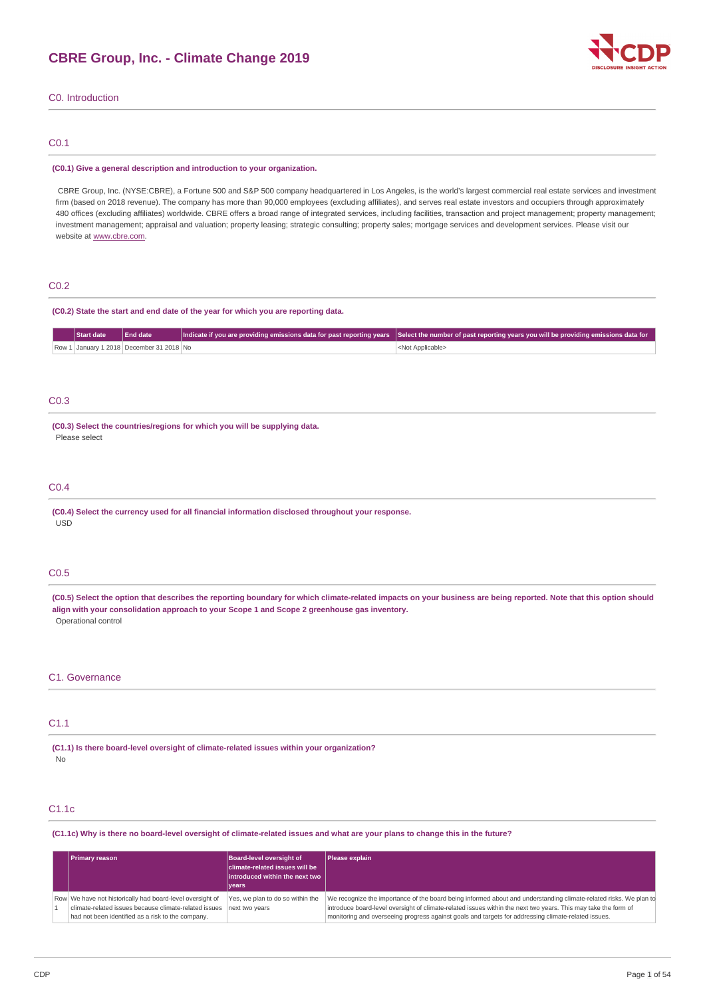

# C0. Introduction

# C0.1

#### **(C0.1) Give a general description and introduction to your organization.**

CBRE Group, Inc. (NYSE:CBRE), a Fortune 500 and S&P 500 company headquartered in Los Angeles, is the world's largest commercial real estate services and investment firm (based on 2018 revenue). The company has more than 90,000 employees (excluding affiliates), and serves real estate investors and occupiers through approximately 480 offices (excluding affiliates) worldwide. CBRE offers a broad range of integrated services, including facilities, transaction and project management; property management; investment management; appraisal and valuation; property leasing; strategic consulting; property sales; mortgage services and development services. Please visit our website at [www.cbre.com](http://www.cbre.com/).

# C0.2

#### **(C0.2) State the start and end date of the year for which you are reporting data.**

| Start date | Find date                                | [ Indicate if you are providing emissions data for past reporting years Select the number of past reporting years you will be providing emissions data for |
|------------|------------------------------------------|------------------------------------------------------------------------------------------------------------------------------------------------------------|
|            | Row 1 January 1 2018 December 31 2018 No | <not applicable=""></not>                                                                                                                                  |

# C0.3

**(C0.3) Select the countries/regions for which you will be supplying data.** Please select

# C0.4

**(C0.4) Select the currency used for all financial information disclosed throughout your response.** USD

# C0.5

(C0.5) Select the option that describes the reporting boundary for which climate-related impacts on your business are being reported. Note that this option should **align with your consolidation approach to your Scope 1 and Scope 2 greenhouse gas inventory.** Operational control

#### C1. Governance

# C1.1

**(C1.1) Is there board-level oversight of climate-related issues within your organization?** No

# C1.1c

(C1.1c) Why is there no board-level oversight of climate-related issues and what are your plans to change this in the future?

| <b>Primary reason</b>                                                                                                                                                   | Board-level oversight of<br>climate-related issues will be<br>introduced within the next two<br>vears | Please explain                                                                                                                                                                                                                                                                                                                             |
|-------------------------------------------------------------------------------------------------------------------------------------------------------------------------|-------------------------------------------------------------------------------------------------------|--------------------------------------------------------------------------------------------------------------------------------------------------------------------------------------------------------------------------------------------------------------------------------------------------------------------------------------------|
| Row We have not historically had board-level oversight of<br>climate-related issues because climate-related issues<br>had not been identified as a risk to the company. | Yes, we plan to do so within the<br>next two years                                                    | We recognize the importance of the board being informed about and understanding climate-related risks. We plan to<br>introduce board-level oversight of climate-related issues within the next two years. This may take the form of<br>monitoring and overseeing progress against goals and targets for addressing climate-related issues. |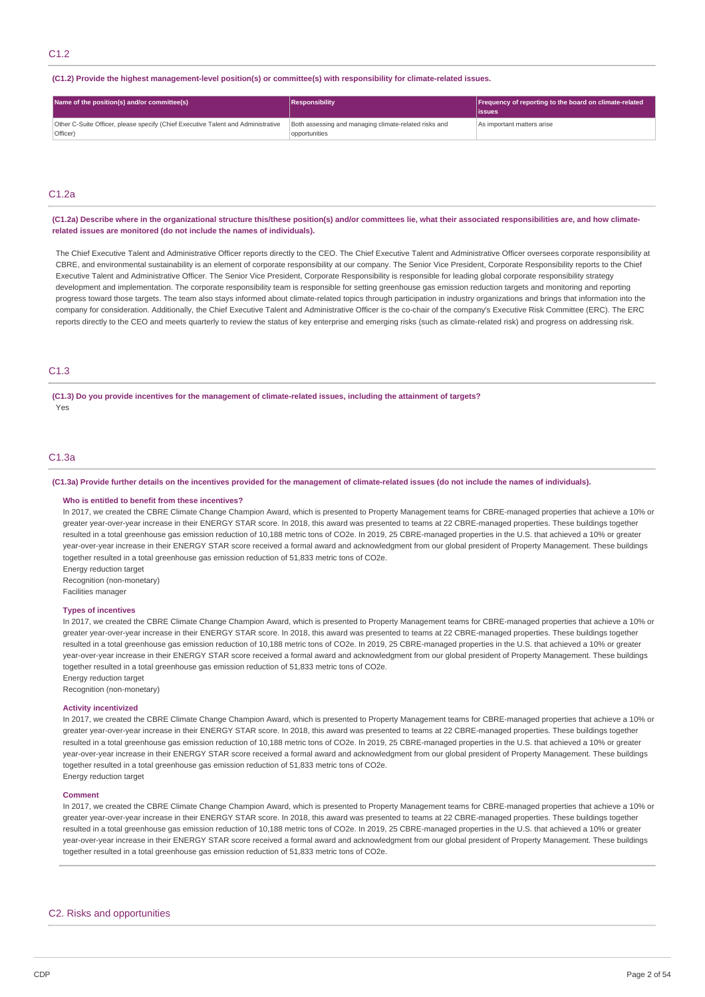#### **(C1.2) Provide the highest management-level position(s) or committee(s) with responsibility for climate-related issues.**

| Name of the position(s) and/or committee(s)                                                  | <b>Responsibility</b>                                                  | Frequency of reporting to the board on climate-related<br>lissues |
|----------------------------------------------------------------------------------------------|------------------------------------------------------------------------|-------------------------------------------------------------------|
| Other C-Suite Officer, please specify (Chief Executive Talent and Administrative<br>Officer) | Both assessing and managing climate-related risks and<br>opportunities | As important matters arise                                        |

# C1.2a

#### (C1.2a) Describe where in the organizational structure this/these position(s) and/or committees lie, what their associated responsibilities are, and how climate**related issues are monitored (do not include the names of individuals).**

The Chief Executive Talent and Administrative Officer reports directly to the CEO. The Chief Executive Talent and Administrative Officer oversees corporate responsibility at CBRE, and environmental sustainability is an element of corporate responsibility at our company. The Senior Vice President, Corporate Responsibility reports to the Chief Executive Talent and Administrative Officer. The Senior Vice President, Corporate Responsibility is responsible for leading global corporate responsibility strategy development and implementation. The corporate responsibility team is responsible for setting greenhouse gas emission reduction targets and monitoring and reporting progress toward those targets. The team also stays informed about climate-related topics through participation in industry organizations and brings that information into the company for consideration. Additionally, the Chief Executive Talent and Administrative Officer is the co-chair of the company's Executive Risk Committee (ERC). The ERC reports directly to the CEO and meets quarterly to review the status of key enterprise and emerging risks (such as climate-related risk) and progress on addressing risk.

# C1.3

(C1.3) Do you provide incentives for the management of climate-related issues, including the attainment of targets? Yes

# C1.3a

#### (C1.3a) Provide further details on the incentives provided for the management of climate-related issues (do not include the names of individuals).

#### **Who is entitled to benefit from these incentives?**

In 2017, we created the CBRE Climate Change Champion Award, which is presented to Property Management teams for CBRE-managed properties that achieve a 10% or greater year-over-year increase in their ENERGY STAR score. In 2018, this award was presented to teams at 22 CBRE-managed properties. These buildings together resulted in a total greenhouse gas emission reduction of 10,188 metric tons of CO2e. In 2019, 25 CBRE-managed properties in the U.S. that achieved a 10% or greater year-over-year increase in their ENERGY STAR score received a formal award and acknowledgment from our global president of Property Management. These buildings together resulted in a total greenhouse gas emission reduction of 51,833 metric tons of CO2e.

Energy reduction target

Recognition (non-monetary) Facilities manager

# **Types of incentives**

In 2017, we created the CBRE Climate Change Champion Award, which is presented to Property Management teams for CBRE-managed properties that achieve a 10% or greater year-over-year increase in their ENERGY STAR score. In 2018, this award was presented to teams at 22 CBRE-managed properties. These buildings together resulted in a total greenhouse gas emission reduction of 10,188 metric tons of CO2e. In 2019, 25 CBRE-managed properties in the U.S. that achieved a 10% or greater year-over-year increase in their ENERGY STAR score received a formal award and acknowledgment from our global president of Property Management. These buildings together resulted in a total greenhouse gas emission reduction of 51,833 metric tons of CO2e. Energy reduction target

Recognition (non-monetary)

#### **Activity incentivized**

In 2017, we created the CBRE Climate Change Champion Award, which is presented to Property Management teams for CBRE-managed properties that achieve a 10% or greater year-over-year increase in their ENERGY STAR score. In 2018, this award was presented to teams at 22 CBRE-managed properties. These buildings together resulted in a total greenhouse gas emission reduction of 10,188 metric tons of CO2e. In 2019, 25 CBRE-managed properties in the U.S. that achieved a 10% or greater year-over-year increase in their ENERGY STAR score received a formal award and acknowledgment from our global president of Property Management. These buildings together resulted in a total greenhouse gas emission reduction of 51,833 metric tons of CO2e. Energy reduction target

#### **Comment**

In 2017, we created the CBRE Climate Change Champion Award, which is presented to Property Management teams for CBRE-managed properties that achieve a 10% or greater year-over-year increase in their ENERGY STAR score. In 2018, this award was presented to teams at 22 CBRE-managed properties. These buildings together resulted in a total greenhouse gas emission reduction of 10,188 metric tons of CO2e. In 2019, 25 CBRE-managed properties in the U.S. that achieved a 10% or greater year-over-year increase in their ENERGY STAR score received a formal award and acknowledgment from our global president of Property Management. These buildings together resulted in a total greenhouse gas emission reduction of 51,833 metric tons of CO2e.

# C2. Risks and opportunities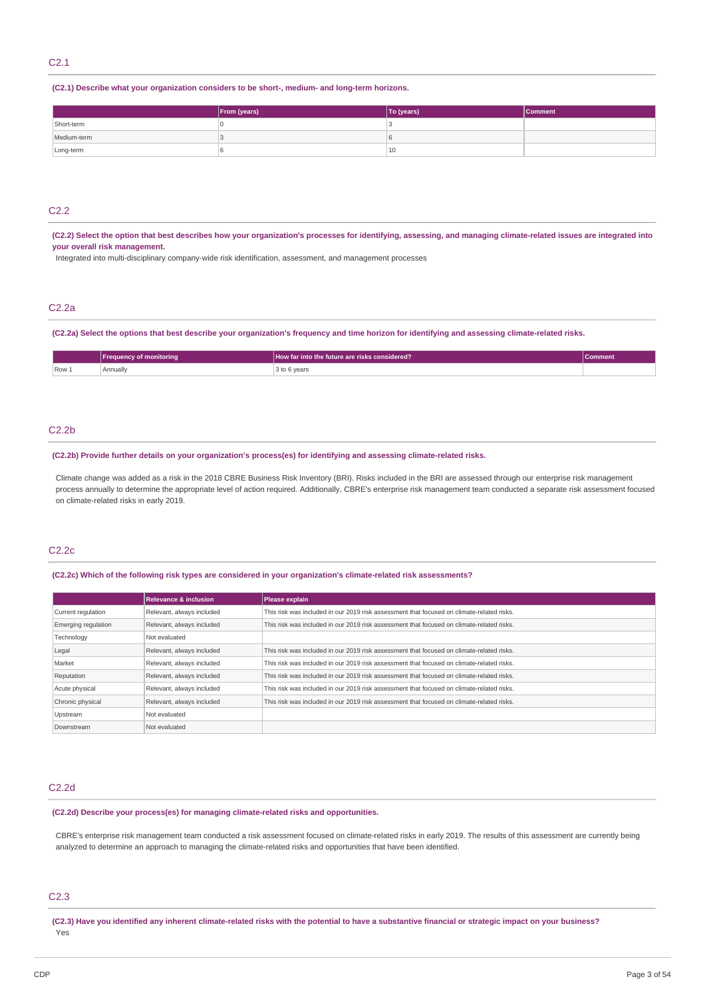# C2.1

# **(C2.1) Describe what your organization considers to be short-, medium- and long-term horizons.**

|             | From (years) | To (years) | <b>Comment</b> |
|-------------|--------------|------------|----------------|
| Short-term  |              |            |                |
| Medium-term |              |            |                |
| Long-term   |              | , 10       |                |

# C2.2

(C2.2) Select the option that best describes how your organization's processes for identifying, assessing, and managing climate-related issues are integrated into **your overall risk management.**

Integrated into multi-disciplinary company-wide risk identification, assessment, and management processes

# C2.2a

(C2.2a) Select the options that best describe your organization's frequency and time horizon for identifying and assessing climate-related risks.

|       | 'Freauency of monitorina | How far into the future are risks considered? | Comment |
|-------|--------------------------|-----------------------------------------------|---------|
| Row 1 | Annually                 | 3 to 6 years<br>.<br>$\sim$                   |         |

### C2.2b

#### **(C2.2b) Provide further details on your organization's process(es) for identifying and assessing climate-related risks.**

Climate change was added as a risk in the 2018 CBRE Business Risk Inventory (BRI). Risks included in the BRI are assessed through our enterprise risk management process annually to determine the appropriate level of action required. Additionally, CBRE's enterprise risk management team conducted a separate risk assessment focused on climate-related risks in early 2019.

# C2.2c

# **(C2.2c) Which of the following risk types are considered in your organization's climate-related risk assessments?**

|                     | <b>Relevance &amp; inclusion</b> | Please explain                                                                            |
|---------------------|----------------------------------|-------------------------------------------------------------------------------------------|
| Current regulation  | Relevant, always included        | This risk was included in our 2019 risk assessment that focused on climate-related risks. |
| Emerging regulation | Relevant, always included        | This risk was included in our 2019 risk assessment that focused on climate-related risks. |
| Technology          | Not evaluated                    |                                                                                           |
| Legal               | Relevant, always included        | This risk was included in our 2019 risk assessment that focused on climate-related risks. |
| Market              | Relevant, always included        | This risk was included in our 2019 risk assessment that focused on climate-related risks. |
| Reputation          | Relevant, always included        | This risk was included in our 2019 risk assessment that focused on climate-related risks. |
| Acute physical      | Relevant, always included        | This risk was included in our 2019 risk assessment that focused on climate-related risks. |
| Chronic physical    | Relevant, always included        | This risk was included in our 2019 risk assessment that focused on climate-related risks. |
| Upstream            | Not evaluated                    |                                                                                           |
| Downstream          | Not evaluated                    |                                                                                           |

#### C2.2d

#### **(C2.2d) Describe your process(es) for managing climate-related risks and opportunities.**

CBRE's enterprise risk management team conducted a risk assessment focused on climate-related risks in early 2019. The results of this assessment are currently being analyzed to determine an approach to managing the climate-related risks and opportunities that have been identified.

### C2.3

(C2.3) Have you identified any inherent climate-related risks with the potential to have a substantive financial or strategic impact on your business? Yes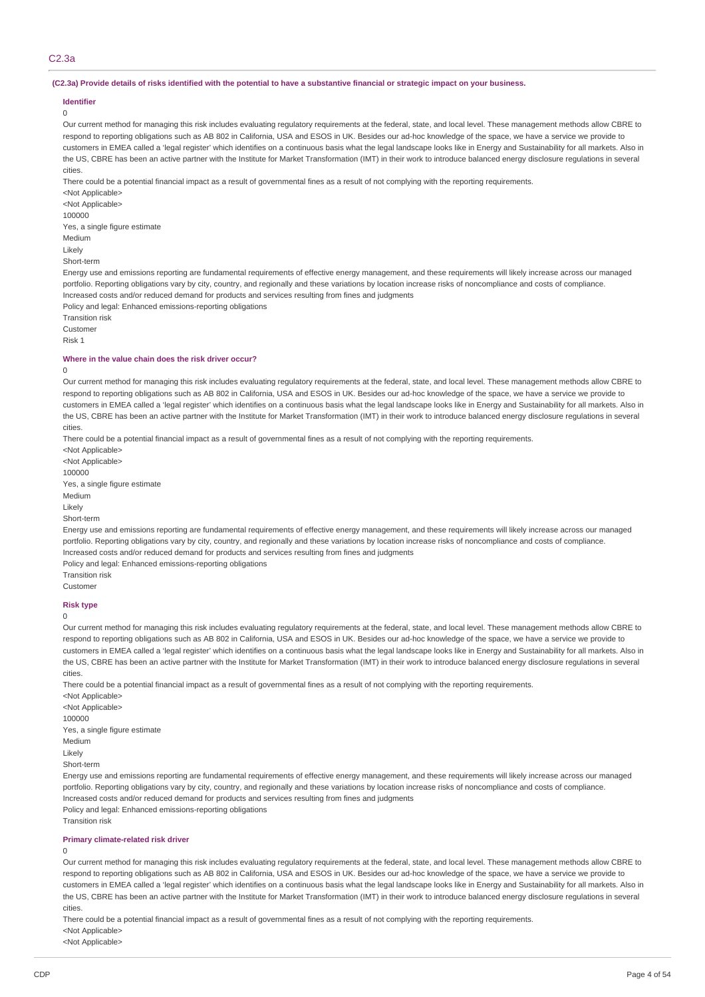# C2.3a

#### (C2.3a) Provide details of risks identified with the potential to have a substantive financial or strategic impact on your business.

# **Identifier**

0

Our current method for managing this risk includes evaluating regulatory requirements at the federal, state, and local level. These management methods allow CBRE to respond to reporting obligations such as AB 802 in California, USA and ESOS in UK. Besides our ad-hoc knowledge of the space, we have a service we provide to customers in EMEA called a 'legal register' which identifies on a continuous basis what the legal landscape looks like in Energy and Sustainability for all markets. Also in the US, CBRE has been an active partner with the Institute for Market Transformation (IMT) in their work to introduce balanced energy disclosure regulations in several cities.

There could be a potential financial impact as a result of governmental fines as a result of not complying with the reporting requirements.

<Not Applicable>

<Not Annlicable> 100000 Yes, a single figure estimate Medium Likely

Short-term

Energy use and emissions reporting are fundamental requirements of effective energy management, and these requirements will likely increase across our managed portfolio. Reporting obligations vary by city, country, and regionally and these variations by location increase risks of noncompliance and costs of compliance. Increased costs and/or reduced demand for products and services resulting from fines and judgments

Policy and legal: Enhanced emissions-reporting obligations

Transition risk Customer

Risk 1

# **Where in the value chain does the risk driver occur?**

#### $\Omega$

Our current method for managing this risk includes evaluating regulatory requirements at the federal, state, and local level. These management methods allow CBRE to respond to reporting obligations such as AB 802 in California, USA and ESOS in UK. Besides our ad-hoc knowledge of the space, we have a service we provide to customers in EMEA called a 'legal register' which identifies on a continuous basis what the legal landscape looks like in Energy and Sustainability for all markets. Also in the US, CBRE has been an active partner with the Institute for Market Transformation (IMT) in their work to introduce balanced energy disclosure regulations in several cities.

There could be a potential financial impact as a result of governmental fines as a result of not complying with the reporting requirements.

<Not Applicable> <Not Applicable> 100000 Yes, a single figure estimate Medium Likely Short-term

Energy use and emissions reporting are fundamental requirements of effective energy management, and these requirements will likely increase across our managed portfolio. Reporting obligations vary by city, country, and regionally and these variations by location increase risks of noncompliance and costs of compliance. Increased costs and/or reduced demand for products and services resulting from fines and judgments

Policy and legal: Enhanced emissions-reporting obligations

Transition risk

Customer

# **Risk type**

 $\Omega$ 

Our current method for managing this risk includes evaluating regulatory requirements at the federal, state, and local level. These management methods allow CBRE to respond to reporting obligations such as AB 802 in California, USA and ESOS in UK. Besides our ad-hoc knowledge of the space, we have a service we provide to customers in EMEA called a 'legal register' which identifies on a continuous basis what the legal landscape looks like in Energy and Sustainability for all markets. Also in the US, CBRE has been an active partner with the Institute for Market Transformation (IMT) in their work to introduce balanced energy disclosure regulations in several cities.

There could be a potential financial impact as a result of governmental fines as a result of not complying with the reporting requirements.

<Not Applicable> <Not Applicable> 100000 Yes, a single figure estimate Medium Likely Short-term

Energy use and emissions reporting are fundamental requirements of effective energy management, and these requirements will likely increase across our managed portfolio. Reporting obligations vary by city, country, and regionally and these variations by location increase risks of noncompliance and costs of compliance. Increased costs and/or reduced demand for products and services resulting from fines and judgments

Policy and legal: Enhanced emissions-reporting obligations

Transition risk

### **Primary climate-related risk driver**

# 0

Our current method for managing this risk includes evaluating regulatory requirements at the federal, state, and local level. These management methods allow CBRE to respond to reporting obligations such as AB 802 in California, USA and ESOS in UK. Besides our ad-hoc knowledge of the space, we have a service we provide to customers in EMEA called a 'legal register' which identifies on a continuous basis what the legal landscape looks like in Energy and Sustainability for all markets. Also in the US, CBRE has been an active partner with the Institute for Market Transformation (IMT) in their work to introduce balanced energy disclosure regulations in several cities.

There could be a potential financial impact as a result of governmental fines as a result of not complying with the reporting requirements. <Not Applicable>

<Not Applicable>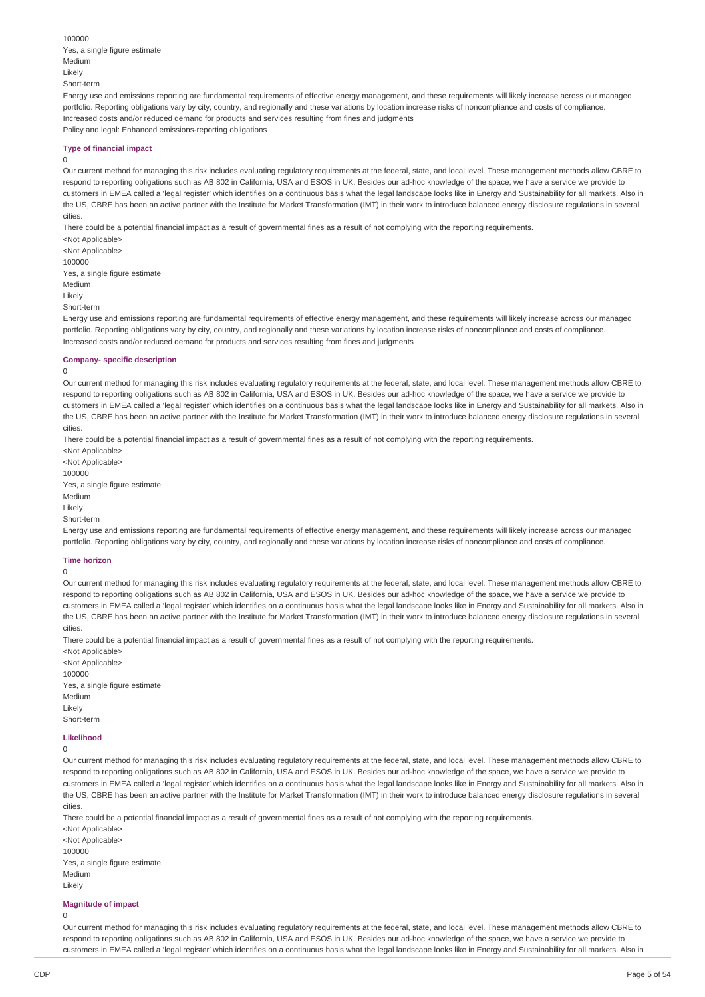100000 Yes, a single figure estimate Medium Likely Short-term

Energy use and emissions reporting are fundamental requirements of effective energy management, and these requirements will likely increase across our managed portfolio. Reporting obligations vary by city, country, and regionally and these variations by location increase risks of noncompliance and costs of compliance. Increased costs and/or reduced demand for products and services resulting from fines and judgments Policy and legal: Enhanced emissions-reporting obligations

#### **Type of financial impact**

#### $\theta$

Our current method for managing this risk includes evaluating regulatory requirements at the federal, state, and local level. These management methods allow CBRE to respond to reporting obligations such as AB 802 in California, USA and ESOS in UK. Besides our ad-hoc knowledge of the space, we have a service we provide to customers in EMEA called a 'legal register' which identifies on a continuous basis what the legal landscape looks like in Energy and Sustainability for all markets. Also in the US, CBRE has been an active partner with the Institute for Market Transformation (IMT) in their work to introduce balanced energy disclosure regulations in several cities.

There could be a potential financial impact as a result of governmental fines as a result of not complying with the reporting requirements.

<Not Applicable> <Not Applicable> 100000 Yes, a single figure estimate Medium Likely Short-term

Energy use and emissions reporting are fundamental requirements of effective energy management, and these requirements will likely increase across our managed portfolio. Reporting obligations vary by city, country, and regionally and these variations by location increase risks of noncompliance and costs of compliance. Increased costs and/or reduced demand for products and services resulting from fines and judgments

### **Company- specific description**

 $\Omega$ 

Our current method for managing this risk includes evaluating regulatory requirements at the federal, state, and local level. These management methods allow CBRE to respond to reporting obligations such as AB 802 in California, USA and ESOS in UK. Besides our ad-hoc knowledge of the space, we have a service we provide to customers in EMEA called a 'legal register' which identifies on a continuous basis what the legal landscape looks like in Energy and Sustainability for all markets. Also in the US, CBRE has been an active partner with the Institute for Market Transformation (IMT) in their work to introduce balanced energy disclosure regulations in several cities.

There could be a potential financial impact as a result of governmental fines as a result of not complying with the reporting requirements.

<Not Applicable> <Not Applicable> 100000 Yes, a single figure estimate Medium Likely Short-term

Energy use and emissions reporting are fundamental requirements of effective energy management, and these requirements will likely increase across our managed portfolio. Reporting obligations vary by city, country, and regionally and these variations by location increase risks of noncompliance and costs of compliance.

#### **Time horizon**

0

Our current method for managing this risk includes evaluating regulatory requirements at the federal, state, and local level. These management methods allow CBRE to respond to reporting obligations such as AB 802 in California, USA and ESOS in UK. Besides our ad-hoc knowledge of the space, we have a service we provide to customers in EMEA called a 'legal register' which identifies on a continuous basis what the legal landscape looks like in Energy and Sustainability for all markets. Also in the US, CBRE has been an active partner with the Institute for Market Transformation (IMT) in their work to introduce balanced energy disclosure regulations in several cities.

There could be a potential financial impact as a result of governmental fines as a result of not complying with the reporting requirements.

<Not Applicable> <Not Applicable> 100000 Yes, a single figure estimate Medium Likely Short-term

# **Likelihood**

 $\Omega$ 

Our current method for managing this risk includes evaluating regulatory requirements at the federal, state, and local level. These management methods allow CBRE to respond to reporting obligations such as AB 802 in California, USA and ESOS in UK. Besides our ad-hoc knowledge of the space, we have a service we provide to customers in EMEA called a 'legal register' which identifies on a continuous basis what the legal landscape looks like in Energy and Sustainability for all markets. Also in the US, CBRE has been an active partner with the Institute for Market Transformation (IMT) in their work to introduce balanced energy disclosure regulations in several cities.

There could be a potential financial impact as a result of governmental fines as a result of not complying with the reporting requirements.

<Not Applicable> <Not Applicable> 100000 Yes, a single figure estimate Medium Likely

# **Magnitude of impact**

 $\Omega$ 

Our current method for managing this risk includes evaluating regulatory requirements at the federal, state, and local level. These management methods allow CBRE to respond to reporting obligations such as AB 802 in California, USA and ESOS in UK. Besides our ad-hoc knowledge of the space, we have a service we provide to customers in EMEA called a 'legal register' which identifies on a continuous basis what the legal landscape looks like in Energy and Sustainability for all markets. Also in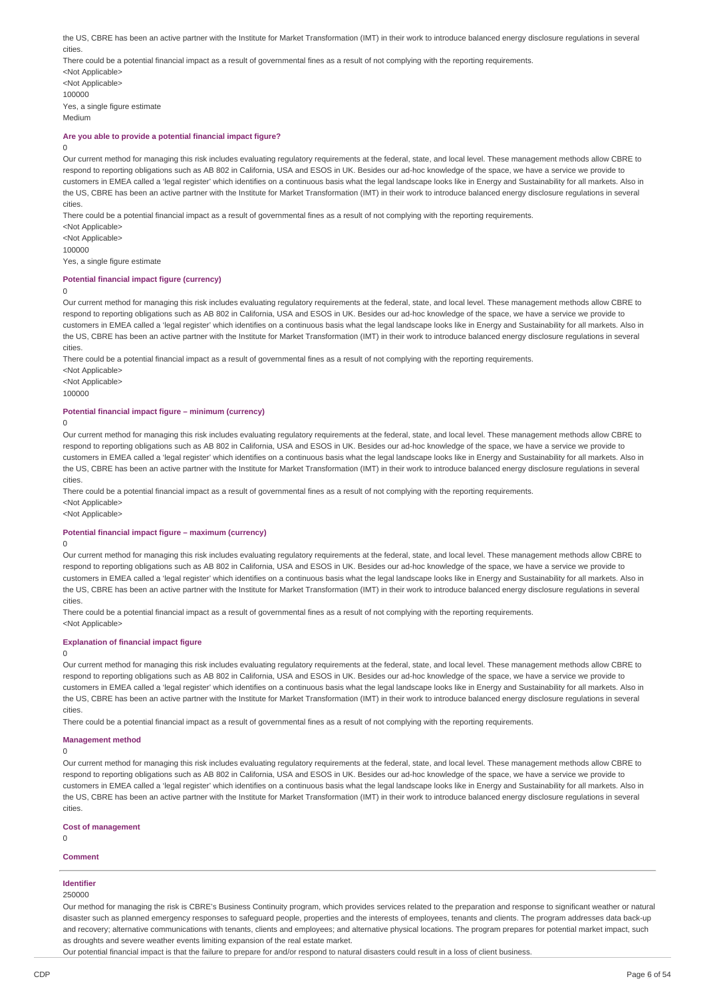the US, CBRE has been an active partner with the Institute for Market Transformation (IMT) in their work to introduce balanced energy disclosure regulations in several cities. There could be a potential financial impact as a result of governmental fines as a result of not complying with the reporting requirements. <Not Applicable> <Not Applicable> 100000

Yes, a single figure estimate Medium

### **Are you able to provide a potential financial impact figure?**

# $\Omega$

Our current method for managing this risk includes evaluating regulatory requirements at the federal, state, and local level. These management methods allow CBRE to respond to reporting obligations such as AB 802 in California, USA and ESOS in UK. Besides our ad-hoc knowledge of the space, we have a service we provide to customers in EMEA called a 'legal register' which identifies on a continuous basis what the legal landscape looks like in Energy and Sustainability for all markets. Also in the US, CBRE has been an active partner with the Institute for Market Transformation (IMT) in their work to introduce balanced energy disclosure regulations in several cities.

There could be a potential financial impact as a result of governmental fines as a result of not complying with the reporting requirements.

<Not Applicable> <Not Applicable> 100000 Yes, a single figure estimate

#### **Potential financial impact figure (currency)**

#### $\Omega$

Our current method for managing this risk includes evaluating regulatory requirements at the federal, state, and local level. These management methods allow CBRE to respond to reporting obligations such as AB 802 in California, USA and ESOS in UK. Besides our ad-hoc knowledge of the space, we have a service we provide to customers in EMEA called a 'legal register' which identifies on a continuous basis what the legal landscape looks like in Energy and Sustainability for all markets. Also in the US, CBRE has been an active partner with the Institute for Market Transformation (IMT) in their work to introduce balanced energy disclosure regulations in several cities.

There could be a potential financial impact as a result of governmental fines as a result of not complying with the reporting requirements.

<Not Applicable> <Not Applicable>

100000

#### **Potential financial impact figure – minimum (currency)**

#### $\Omega$

Our current method for managing this risk includes evaluating regulatory requirements at the federal, state, and local level. These management methods allow CBRE to respond to reporting obligations such as AB 802 in California, USA and ESOS in UK. Besides our ad-hoc knowledge of the space, we have a service we provide to customers in EMEA called a 'legal register' which identifies on a continuous basis what the legal landscape looks like in Energy and Sustainability for all markets. Also in the US, CBRE has been an active partner with the Institute for Market Transformation (IMT) in their work to introduce balanced energy disclosure regulations in several cities.

There could be a potential financial impact as a result of governmental fines as a result of not complying with the reporting requirements. <Not Applicable>

<Not Applicable>

#### **Potential financial impact figure – maximum (currency)**

#### $\Omega$

Our current method for managing this risk includes evaluating regulatory requirements at the federal, state, and local level. These management methods allow CBRE to respond to reporting obligations such as AB 802 in California, USA and ESOS in UK. Besides our ad-hoc knowledge of the space, we have a service we provide to customers in EMEA called a 'legal register' which identifies on a continuous basis what the legal landscape looks like in Energy and Sustainability for all markets. Also in the US, CBRE has been an active partner with the Institute for Market Transformation (IMT) in their work to introduce balanced energy disclosure regulations in several cities.

There could be a potential financial impact as a result of governmental fines as a result of not complying with the reporting requirements. <Not Applicable>

#### **Explanation of financial impact figure**

### $\Omega$

Our current method for managing this risk includes evaluating regulatory requirements at the federal, state, and local level. These management methods allow CBRE to respond to reporting obligations such as AB 802 in California, USA and ESOS in UK. Besides our ad-hoc knowledge of the space, we have a service we provide to customers in EMEA called a 'legal register' which identifies on a continuous basis what the legal landscape looks like in Energy and Sustainability for all markets. Also in the US, CBRE has been an active partner with the Institute for Market Transformation (IMT) in their work to introduce balanced energy disclosure regulations in several cities.

There could be a potential financial impact as a result of governmental fines as a result of not complying with the reporting requirements.

#### **Management method**

 $\Omega$ 

Our current method for managing this risk includes evaluating regulatory requirements at the federal, state, and local level. These management methods allow CBRE to respond to reporting obligations such as AB 802 in California, USA and ESOS in UK. Besides our ad-hoc knowledge of the space, we have a service we provide to customers in EMEA called a 'legal register' which identifies on a continuous basis what the legal landscape looks like in Energy and Sustainability for all markets. Also in the US, CBRE has been an active partner with the Institute for Market Transformation (IMT) in their work to introduce balanced energy disclosure regulations in several cities.

#### **Cost of management**

 $\overline{0}$ 

#### **Comment**

# **Identifier**

250000

Our method for managing the risk is CBRE's Business Continuity program, which provides services related to the preparation and response to significant weather or natural disaster such as planned emergency responses to safeguard people, properties and the interests of employees, tenants and clients. The program addresses data back-up and recovery; alternative communications with tenants, clients and employees; and alternative physical locations. The program prepares for potential market impact, such as droughts and severe weather events limiting expansion of the real estate market.

Our potential financial impact is that the failure to prepare for and/or respond to natural disasters could result in a loss of client business.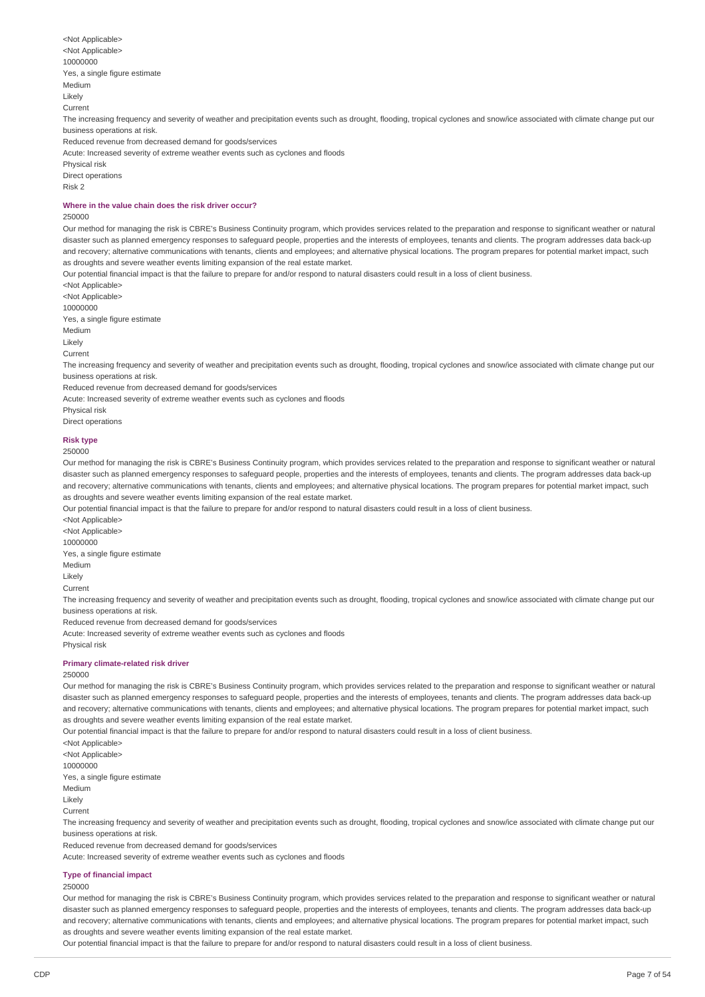<Not Applicable> <Not Applicable> 10000000 Yes, a single figure estimate Medium Likely Current The increasing frequency and severity of weather and precipitation events such as drought, flooding, tropical cyclones and snow/ice associated with climate change put our business operations at risk. Reduced revenue from decreased demand for goods/services Acute: Increased severity of extreme weather events such as cyclones and floods Physical risk Direct operations Risk 2

# **Where in the value chain does the risk driver occur?**

#### 250000

Our method for managing the risk is CBRE's Business Continuity program, which provides services related to the preparation and response to significant weather or natural disaster such as planned emergency responses to safeguard people, properties and the interests of employees, tenants and clients. The program addresses data back-up and recovery; alternative communications with tenants, clients and employees; and alternative physical locations. The program prepares for potential market impact, such as droughts and severe weather events limiting expansion of the real estate market.

Our potential financial impact is that the failure to prepare for and/or respond to natural disasters could result in a loss of client business.

<Not Applicable> <Not Applicable> 10000000

Yes, a single figure estimate

Medium

Likely

Current

The increasing frequency and severity of weather and precipitation events such as drought, flooding, tropical cyclones and snow/ice associated with climate change put our business operations at risk.

Reduced revenue from decreased demand for goods/services

Acute: Increased severity of extreme weather events such as cyclones and floods

Physical risk

Direct operations

#### **Risk type**

250000

Our method for managing the risk is CBRE's Business Continuity program, which provides services related to the preparation and response to significant weather or natural disaster such as planned emergency responses to safeguard people, properties and the interests of employees, tenants and clients. The program addresses data back-up and recovery; alternative communications with tenants, clients and employees; and alternative physical locations. The program prepares for potential market impact, such as droughts and severe weather events limiting expansion of the real estate market.

Our potential financial impact is that the failure to prepare for and/or respond to natural disasters could result in a loss of client business.

<Not Applicable> <Not Applicable> 10000000 Yes, a single figure estimate Medium Likely Current The increasing frequency and severity of weather and precipitation events such as drought, flooding, tropical cyclones and snow/ice associated with climate change put our business operations at risk. Reduced revenue from decreased demand for goods/services

Acute: Increased severity of extreme weather events such as cyclones and floods

Physical risk

#### **Primary climate-related risk driver**

#### 250000

Our method for managing the risk is CBRE's Business Continuity program, which provides services related to the preparation and response to significant weather or natural disaster such as planned emergency responses to safeguard people, properties and the interests of employees, tenants and clients. The program addresses data back-up and recovery; alternative communications with tenants, clients and employees; and alternative physical locations. The program prepares for potential market impact, such as droughts and severe weather events limiting expansion of the real estate market.

Our potential financial impact is that the failure to prepare for and/or respond to natural disasters could result in a loss of client business.

<Not Applicable> <Not Applicable> 10000000 Yes, a single figure estimate Medium Likely

Current

The increasing frequency and severity of weather and precipitation events such as drought, flooding, tropical cyclones and snow/ice associated with climate change put our business operations at risk.

Reduced revenue from decreased demand for goods/services

Acute: Increased severity of extreme weather events such as cyclones and floods

# **Type of financial impact**

# 250000

Our method for managing the risk is CBRE's Business Continuity program, which provides services related to the preparation and response to significant weather or natural disaster such as planned emergency responses to safeguard people, properties and the interests of employees, tenants and clients. The program addresses data back-up and recovery; alternative communications with tenants, clients and employees; and alternative physical locations. The program prepares for potential market impact, such as droughts and severe weather events limiting expansion of the real estate market.

Our potential financial impact is that the failure to prepare for and/or respond to natural disasters could result in a loss of client business.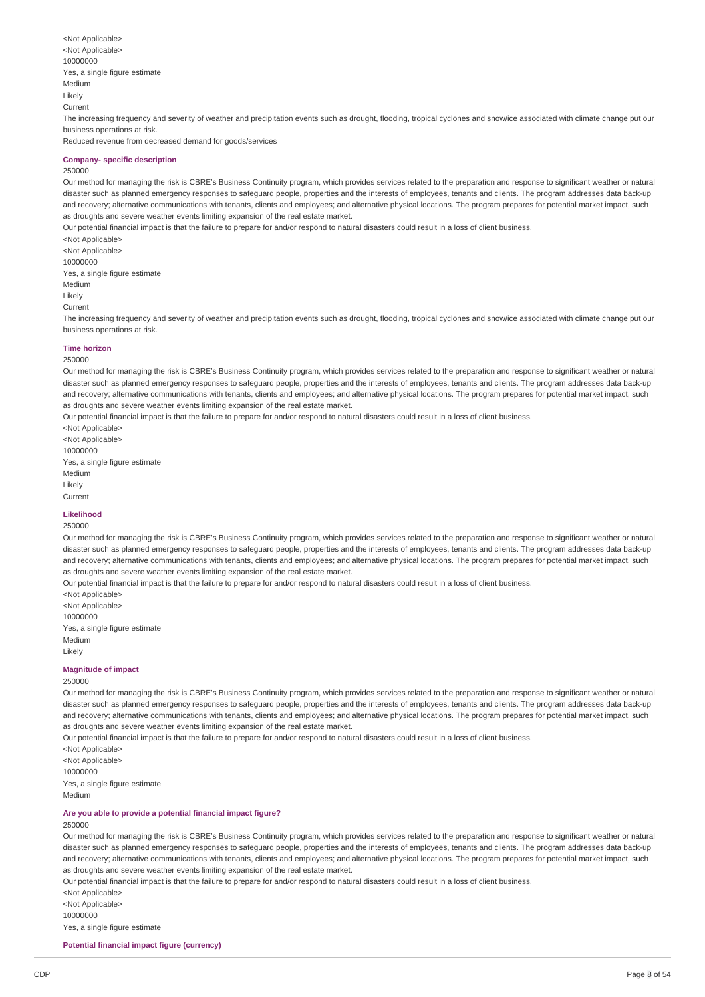<Not Applicable> <Not Applicable> 10000000 Yes, a single figure estimate Medium Likely Current The increasing frequency and severity of weather and precipitation events such as drought, flooding, tropical cyclones and snow/ice associated with climate change put our business operations at risk. Reduced revenue from decreased demand for goods/services

#### **Company- specific description**

#### 250000

Our method for managing the risk is CBRE's Business Continuity program, which provides services related to the preparation and response to significant weather or natural disaster such as planned emergency responses to safeguard people, properties and the interests of employees, tenants and clients. The program addresses data back-up and recovery; alternative communications with tenants, clients and employees; and alternative physical locations. The program prepares for potential market impact, such as droughts and severe weather events limiting expansion of the real estate market.

Our potential financial impact is that the failure to prepare for and/or respond to natural disasters could result in a loss of client business.

<Not Applicable> <Not Applicable> 10000000 Yes, a single figure estimate Medium Likely Current

The increasing frequency and severity of weather and precipitation events such as drought, flooding, tropical cyclones and snow/ice associated with climate change put our business operations at risk.

#### **Time horizon**

### 250000

Our method for managing the risk is CBRE's Business Continuity program, which provides services related to the preparation and response to significant weather or natural disaster such as planned emergency responses to safeguard people, properties and the interests of employees, tenants and clients. The program addresses data back-up and recovery; alternative communications with tenants, clients and employees; and alternative physical locations. The program prepares for potential market impact, such as droughts and severe weather events limiting expansion of the real estate market.

Our potential financial impact is that the failure to prepare for and/or respond to natural disasters could result in a loss of client business.

<Not Applicable> <Not Applicable> 10000000 Yes, a single figure estimate Medium Likely

Current

# **Likelihood**

# 250000

Our method for managing the risk is CBRE's Business Continuity program, which provides services related to the preparation and response to significant weather or natural disaster such as planned emergency responses to safeguard people, properties and the interests of employees, tenants and clients. The program addresses data back-up and recovery; alternative communications with tenants, clients and employees; and alternative physical locations. The program prepares for potential market impact, such as droughts and severe weather events limiting expansion of the real estate market.

Our potential financial impact is that the failure to prepare for and/or respond to natural disasters could result in a loss of client business.

<Not Applicable> <Not Applicable> 10000000 Yes, a single figure estimate Medium Likely

# **Magnitude of impact**

#### 250000

Our method for managing the risk is CBRE's Business Continuity program, which provides services related to the preparation and response to significant weather or natural disaster such as planned emergency responses to safeguard people, properties and the interests of employees, tenants and clients. The program addresses data back-up and recovery; alternative communications with tenants, clients and employees; and alternative physical locations. The program prepares for potential market impact, such as droughts and severe weather events limiting expansion of the real estate market.

Our potential financial impact is that the failure to prepare for and/or respond to natural disasters could result in a loss of client business.

<Not Applicable> <Not Applicable> 10000000 Yes, a single figure estimate Medium

# **Are you able to provide a potential financial impact figure?**

#### 250000

Our method for managing the risk is CBRE's Business Continuity program, which provides services related to the preparation and response to significant weather or natural disaster such as planned emergency responses to safeguard people, properties and the interests of employees, tenants and clients. The program addresses data back-up and recovery; alternative communications with tenants, clients and employees; and alternative physical locations. The program prepares for potential market impact, such as droughts and severe weather events limiting expansion of the real estate market.

Our potential financial impact is that the failure to prepare for and/or respond to natural disasters could result in a loss of client business.

<Not Applicable> <Not Applicable> 10000000 Yes, a single figure estimate

**Potential financial impact figure (currency)**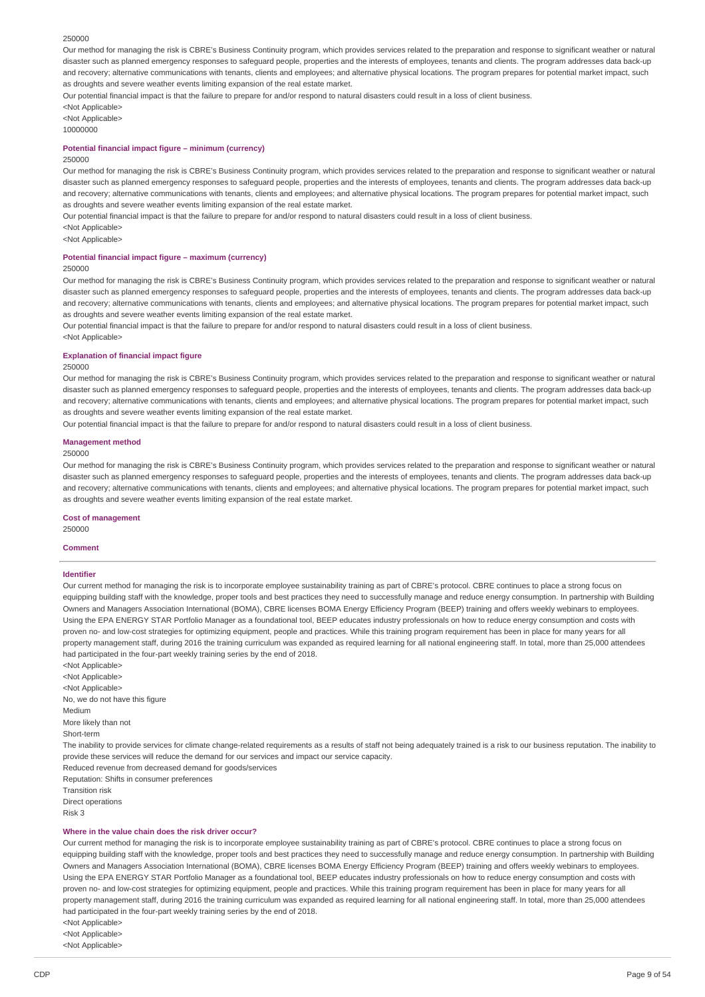#### 250000

Our method for managing the risk is CBRE's Business Continuity program, which provides services related to the preparation and response to significant weather or natural disaster such as planned emergency responses to safeguard people, properties and the interests of employees, tenants and clients. The program addresses data back-up and recovery; alternative communications with tenants, clients and employees; and alternative physical locations. The program prepares for potential market impact, such as droughts and severe weather events limiting expansion of the real estate market.

Our potential financial impact is that the failure to prepare for and/or respond to natural disasters could result in a loss of client business.

<Not Applicable> <Not Annlicahle>

10000000

#### **Potential financial impact figure – minimum (currency)**

#### 250000

Our method for managing the risk is CBRE's Business Continuity program, which provides services related to the preparation and response to significant weather or natural disaster such as planned emergency responses to safeguard people, properties and the interests of employees, tenants and clients. The program addresses data back-up and recovery; alternative communications with tenants, clients and employees; and alternative physical locations. The program prepares for potential market impact, such as droughts and severe weather events limiting expansion of the real estate market.

Our potential financial impact is that the failure to prepare for and/or respond to natural disasters could result in a loss of client business.

<Not Applicable>

<Not Applicable>

#### **Potential financial impact figure – maximum (currency)**

250000

Our method for managing the risk is CBRE's Business Continuity program, which provides services related to the preparation and response to significant weather or natural disaster such as planned emergency responses to safeguard people, properties and the interests of employees, tenants and clients. The program addresses data back-up and recovery; alternative communications with tenants, clients and employees; and alternative physical locations. The program prepares for potential market impact, such as droughts and severe weather events limiting expansion of the real estate market.

Our potential financial impact is that the failure to prepare for and/or respond to natural disasters could result in a loss of client business.

<Not Applicable>

#### **Explanation of financial impact figure**

#### 250000

Our method for managing the risk is CBRE's Business Continuity program, which provides services related to the preparation and response to significant weather or natural disaster such as planned emergency responses to safeguard people, properties and the interests of employees, tenants and clients. The program addresses data back-up and recovery; alternative communications with tenants, clients and employees; and alternative physical locations. The program prepares for potential market impact, such as droughts and severe weather events limiting expansion of the real estate market.

Our potential financial impact is that the failure to prepare for and/or respond to natural disasters could result in a loss of client business.

#### **Management method**

#### 250000

Our method for managing the risk is CBRE's Business Continuity program, which provides services related to the preparation and response to significant weather or natural disaster such as planned emergency responses to safeguard people, properties and the interests of employees, tenants and clients. The program addresses data back-up and recovery; alternative communications with tenants, clients and employees; and alternative physical locations. The program prepares for potential market impact, such as droughts and severe weather events limiting expansion of the real estate market.

**Cost of management**

250000

#### **Comment**

#### **Identifier**

Our current method for managing the risk is to incorporate employee sustainability training as part of CBRE's protocol. CBRE continues to place a strong focus on equipping building staff with the knowledge, proper tools and best practices they need to successfully manage and reduce energy consumption. In partnership with Building Owners and Managers Association International (BOMA), CBRE licenses BOMA Energy Efficiency Program (BEEP) training and offers weekly webinars to employees. Using the EPA ENERGY STAR Portfolio Manager as a foundational tool, BEEP educates industry professionals on how to reduce energy consumption and costs with proven no- and low-cost strategies for optimizing equipment, people and practices. While this training program requirement has been in place for many years for all property management staff, during 2016 the training curriculum was expanded as required learning for all national engineering staff. In total, more than 25,000 attendees had participated in the four-part weekly training series by the end of 2018.

<Not Applicable> <Not Applicable> <Not Applicable> No, we do not have this figure Medium More likely than not Short-term The inability to provide services for climate change-related requirements as a results of staff not being adequately trained is a risk to our business reputation. The inability to provide these services will reduce the demand for our services and impact our service capacity. Reduced revenue from decreased demand for goods/services Reputation: Shifts in consumer preferences Transition risk Direct operations Risk 3

#### **Where in the value chain does the risk driver occur?**

Our current method for managing the risk is to incorporate employee sustainability training as part of CBRE's protocol. CBRE continues to place a strong focus on equipping building staff with the knowledge, proper tools and best practices they need to successfully manage and reduce energy consumption. In partnership with Building Owners and Managers Association International (BOMA), CBRE licenses BOMA Energy Efficiency Program (BEEP) training and offers weekly webinars to employees. Using the EPA ENERGY STAR Portfolio Manager as a foundational tool, BEEP educates industry professionals on how to reduce energy consumption and costs with proven no- and low-cost strategies for optimizing equipment, people and practices. While this training program requirement has been in place for many years for all property management staff, during 2016 the training curriculum was expanded as required learning for all national engineering staff. In total, more than 25,000 attendees had participated in the four-part weekly training series by the end of 2018.

<Not Applicable> <Not Applicable>

<Not Applicable>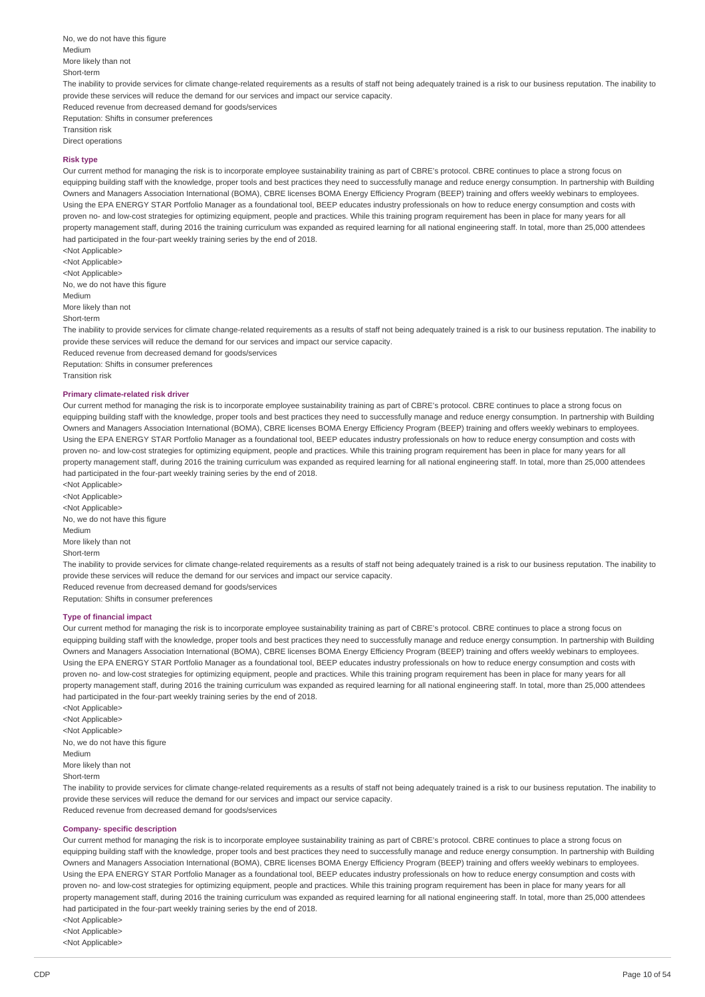No, we do not have this figure Medium More likely than not Short-term The inability to provide services for climate change-related requirements as a results of staff not being adequately trained is a risk to our business reputation. The inability to provide these services will reduce the demand for our services and impact our service capacity. Reduced revenue from decreased demand for goods/services Reputation: Shifts in consumer preferences Transition risk Direct operations

#### **Risk type**

Our current method for managing the risk is to incorporate employee sustainability training as part of CBRE's protocol. CBRE continues to place a strong focus on equipping building staff with the knowledge, proper tools and best practices they need to successfully manage and reduce energy consumption. In partnership with Building Owners and Managers Association International (BOMA), CBRE licenses BOMA Energy Efficiency Program (BEEP) training and offers weekly webinars to employees. Using the EPA ENERGY STAR Portfolio Manager as a foundational tool, BEEP educates industry professionals on how to reduce energy consumption and costs with proven no- and low-cost strategies for optimizing equipment, people and practices. While this training program requirement has been in place for many years for all property management staff, during 2016 the training curriculum was expanded as required learning for all national engineering staff. In total, more than 25,000 attendees had participated in the four-part weekly training series by the end of 2018.

<Not Applicable> <Not Applicable> <Not Applicable> No, we do not have this figure Medium More likely than not Short-term

The inability to provide services for climate change-related requirements as a results of staff not being adequately trained is a risk to our business reputation. The inability to provide these services will reduce the demand for our services and impact our service capacity. Reduced revenue from decreased demand for goods/services

Reputation: Shifts in consumer preferences Transition risk

#### **Primary climate-related risk driver**

Our current method for managing the risk is to incorporate employee sustainability training as part of CBRE's protocol. CBRE continues to place a strong focus on equipping building staff with the knowledge, proper tools and best practices they need to successfully manage and reduce energy consumption. In partnership with Building Owners and Managers Association International (BOMA), CBRE licenses BOMA Energy Efficiency Program (BEEP) training and offers weekly webinars to employees. Using the EPA ENERGY STAR Portfolio Manager as a foundational tool, BEEP educates industry professionals on how to reduce energy consumption and costs with proven no- and low-cost strategies for optimizing equipment, people and practices. While this training program requirement has been in place for many years for all property management staff, during 2016 the training curriculum was expanded as required learning for all national engineering staff. In total, more than 25,000 attendees had participated in the four-part weekly training series by the end of 2018.

<Not Applicable> <Not Applicable> <Not Applicable> No, we do not have this figure Medium

More likely than not

Short-term

The inability to provide services for climate change-related requirements as a results of staff not being adequately trained is a risk to our business reputation. The inability to provide these services will reduce the demand for our services and impact our service capacity.

Reduced revenue from decreased demand for goods/services Reputation: Shifts in consumer preferences

### **Type of financial impact**

Our current method for managing the risk is to incorporate employee sustainability training as part of CBRE's protocol. CBRE continues to place a strong focus on equipping building staff with the knowledge, proper tools and best practices they need to successfully manage and reduce energy consumption. In partnership with Building Owners and Managers Association International (BOMA), CBRE licenses BOMA Energy Efficiency Program (BEEP) training and offers weekly webinars to employees. Using the EPA ENERGY STAR Portfolio Manager as a foundational tool, BEEP educates industry professionals on how to reduce energy consumption and costs with proven no- and low-cost strategies for optimizing equipment, people and practices. While this training program requirement has been in place for many years for all property management staff, during 2016 the training curriculum was expanded as required learning for all national engineering staff. In total, more than 25,000 attendees had participated in the four-part weekly training series by the end of 2018.

<Not Applicable> <Not Applicable> <Not Applicable> No, we do not have this figure Medium More likely than not Short-term

The inability to provide services for climate change-related requirements as a results of staff not being adequately trained is a risk to our business reputation. The inability to provide these services will reduce the demand for our services and impact our service capacity. Reduced revenue from decreased demand for goods/services

### **Company- specific description**

Our current method for managing the risk is to incorporate employee sustainability training as part of CBRE's protocol. CBRE continues to place a strong focus on equipping building staff with the knowledge, proper tools and best practices they need to successfully manage and reduce energy consumption. In partnership with Building Owners and Managers Association International (BOMA), CBRE licenses BOMA Energy Efficiency Program (BEEP) training and offers weekly webinars to employees. Using the EPA ENERGY STAR Portfolio Manager as a foundational tool, BEEP educates industry professionals on how to reduce energy consumption and costs with proven no- and low-cost strategies for optimizing equipment, people and practices. While this training program requirement has been in place for many years for all property management staff, during 2016 the training curriculum was expanded as required learning for all national engineering staff. In total, more than 25,000 attendees had participated in the four-part weekly training series by the end of 2018.

<Not Applicable>

<Not Applicable>

<Not Applicable>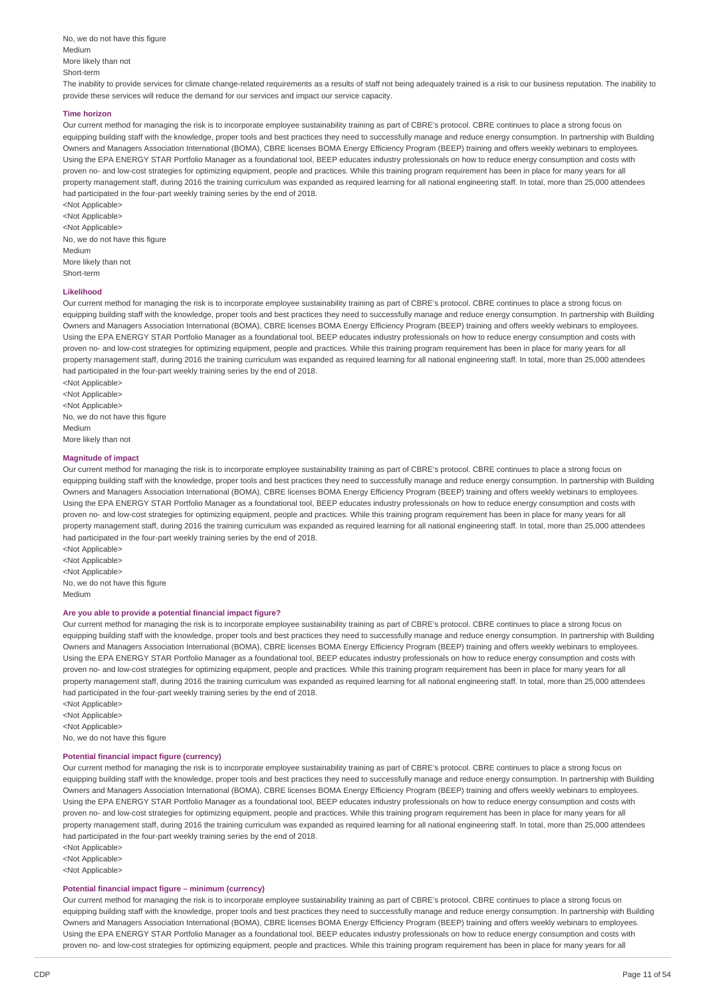No, we do not have this figure Medium More likely than not Short-term The inability to provide services for climate change-related requirements as a results of staff not being adequately trained is a risk to our business reputation. The inability to provide these services will reduce the demand for our services and impact our service capacity.

#### **Time horizon**

Our current method for managing the risk is to incorporate employee sustainability training as part of CBRE's protocol. CBRE continues to place a strong focus on equipping building staff with the knowledge, proper tools and best practices they need to successfully manage and reduce energy consumption. In partnership with Building Owners and Managers Association International (BOMA), CBRE licenses BOMA Energy Efficiency Program (BEEP) training and offers weekly webinars to employees. Using the EPA ENERGY STAR Portfolio Manager as a foundational tool, BEEP educates industry professionals on how to reduce energy consumption and costs with proven no- and low-cost strategies for optimizing equipment, people and practices. While this training program requirement has been in place for many years for all property management staff, during 2016 the training curriculum was expanded as required learning for all national engineering staff. In total, more than 25,000 attendees had participated in the four-part weekly training series by the end of 2018.

<Not Applicable> <Not Applicable> <Not Applicable> No, we do not have this figure Medium More likely than not Short-term

#### **Likelihood**

Our current method for managing the risk is to incorporate employee sustainability training as part of CBRE's protocol. CBRE continues to place a strong focus on equipping building staff with the knowledge, proper tools and best practices they need to successfully manage and reduce energy consumption. In partnership with Building Owners and Managers Association International (BOMA), CBRE licenses BOMA Energy Efficiency Program (BEEP) training and offers weekly webinars to employees. Using the EPA ENERGY STAR Portfolio Manager as a foundational tool, BEEP educates industry professionals on how to reduce energy consumption and costs with proven no- and low-cost strategies for optimizing equipment, people and practices. While this training program requirement has been in place for many years for all property management staff, during 2016 the training curriculum was expanded as required learning for all national engineering staff. In total, more than 25,000 attendees had participated in the four-part weekly training series by the end of 2018.

<Not Applicable> <Not Applicable> <Not Applicable> No, we do not have this figure Medium More likely than not

# **Magnitude of impact**

Our current method for managing the risk is to incorporate employee sustainability training as part of CBRE's protocol. CBRE continues to place a strong focus on equipping building staff with the knowledge, proper tools and best practices they need to successfully manage and reduce energy consumption. In partnership with Building Owners and Managers Association International (BOMA), CBRE licenses BOMA Energy Efficiency Program (BEEP) training and offers weekly webinars to employees. Using the EPA ENERGY STAR Portfolio Manager as a foundational tool, BEEP educates industry professionals on how to reduce energy consumption and costs with proven no- and low-cost strategies for optimizing equipment, people and practices. While this training program requirement has been in place for many years for all property management staff, during 2016 the training curriculum was expanded as required learning for all national engineering staff. In total, more than 25,000 attendees had participated in the four-part weekly training series by the end of 2018.

<Not Applicable> <Not Applicable> <Not Applicable> No, we do not have this figure Medium

#### **Are you able to provide a potential financial impact figure?**

Our current method for managing the risk is to incorporate employee sustainability training as part of CBRE's protocol. CBRE continues to place a strong focus on equipping building staff with the knowledge, proper tools and best practices they need to successfully manage and reduce energy consumption. In partnership with Building Owners and Managers Association International (BOMA), CBRE licenses BOMA Energy Efficiency Program (BEEP) training and offers weekly webinars to employees. Using the EPA ENERGY STAR Portfolio Manager as a foundational tool, BEEP educates industry professionals on how to reduce energy consumption and costs with proven no- and low-cost strategies for optimizing equipment, people and practices. While this training program requirement has been in place for many years for all property management staff, during 2016 the training curriculum was expanded as required learning for all national engineering staff. In total, more than 25,000 attendees had participated in the four-part weekly training series by the end of 2018.

<Not Applicable> <Not Applicable> <Not Applicable> No, we do not have this figure

#### **Potential financial impact figure (currency)**

Our current method for managing the risk is to incorporate employee sustainability training as part of CBRE's protocol. CBRE continues to place a strong focus on equipping building staff with the knowledge, proper tools and best practices they need to successfully manage and reduce energy consumption. In partnership with Building Owners and Managers Association International (BOMA), CBRE licenses BOMA Energy Efficiency Program (BEEP) training and offers weekly webinars to employees. Using the EPA ENERGY STAR Portfolio Manager as a foundational tool, BEEP educates industry professionals on how to reduce energy consumption and costs with proven no- and low-cost strategies for optimizing equipment, people and practices. While this training program requirement has been in place for many years for all property management staff, during 2016 the training curriculum was expanded as required learning for all national engineering staff. In total, more than 25,000 attendees had participated in the four-part weekly training series by the end of 2018.

<Not Applicable>

<Not Applicable>

<Not Applicable>

#### **Potential financial impact figure – minimum (currency)**

Our current method for managing the risk is to incorporate employee sustainability training as part of CBRE's protocol. CBRE continues to place a strong focus on equipping building staff with the knowledge, proper tools and best practices they need to successfully manage and reduce energy consumption. In partnership with Building Owners and Managers Association International (BOMA), CBRE licenses BOMA Energy Efficiency Program (BEEP) training and offers weekly webinars to employees. Using the EPA ENERGY STAR Portfolio Manager as a foundational tool, BEEP educates industry professionals on how to reduce energy consumption and costs with proven no- and low-cost strategies for optimizing equipment, people and practices. While this training program requirement has been in place for many years for all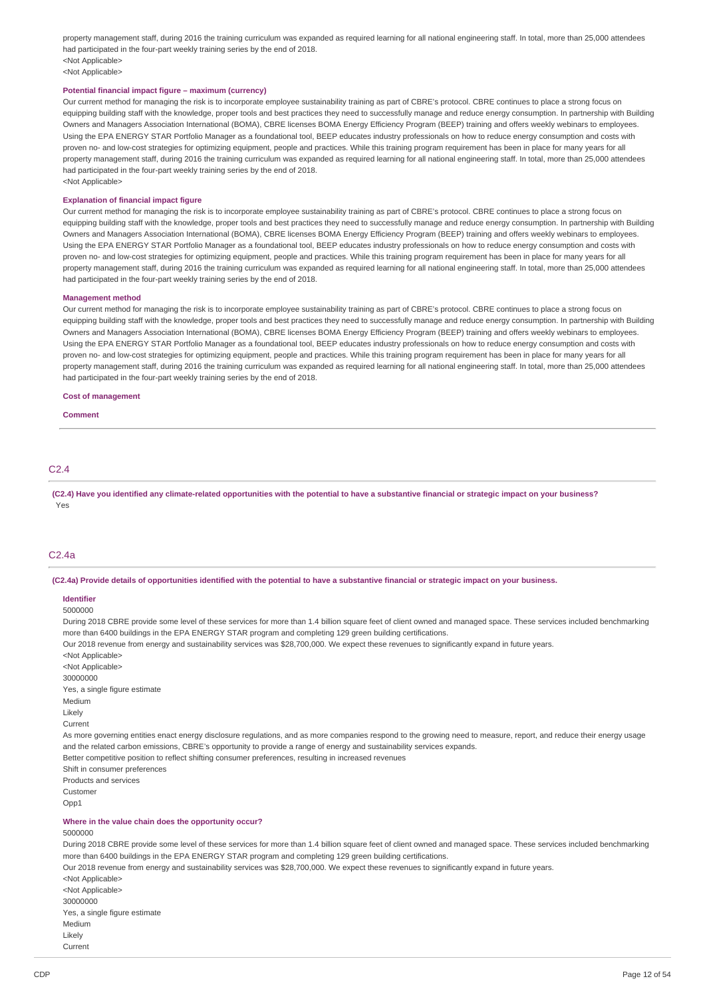property management staff, during 2016 the training curriculum was expanded as required learning for all national engineering staff. In total, more than 25,000 attendees had participated in the four-part weekly training series by the end of 2018. <Not Applicable>

<Not Applicable>

### **Potential financial impact figure – maximum (currency)**

Our current method for managing the risk is to incorporate employee sustainability training as part of CBRE's protocol. CBRE continues to place a strong focus on equipping building staff with the knowledge, proper tools and best practices they need to successfully manage and reduce energy consumption. In partnership with Building Owners and Managers Association International (BOMA), CBRE licenses BOMA Energy Efficiency Program (BEEP) training and offers weekly webinars to employees. Using the EPA ENERGY STAR Portfolio Manager as a foundational tool, BEEP educates industry professionals on how to reduce energy consumption and costs with proven no- and low-cost strategies for optimizing equipment, people and practices. While this training program requirement has been in place for many years for all property management staff, during 2016 the training curriculum was expanded as required learning for all national engineering staff. In total, more than 25,000 attendees had participated in the four-part weekly training series by the end of 2018. <Not Applicable>

#### **Explanation of financial impact figure**

Our current method for managing the risk is to incorporate employee sustainability training as part of CBRE's protocol. CBRE continues to place a strong focus on equipping building staff with the knowledge, proper tools and best practices they need to successfully manage and reduce energy consumption. In partnership with Building Owners and Managers Association International (BOMA), CBRE licenses BOMA Energy Efficiency Program (BEEP) training and offers weekly webinars to employees. Using the EPA ENERGY STAR Portfolio Manager as a foundational tool, BEEP educates industry professionals on how to reduce energy consumption and costs with proven no- and low-cost strategies for optimizing equipment, people and practices. While this training program requirement has been in place for many years for all property management staff, during 2016 the training curriculum was expanded as required learning for all national engineering staff. In total, more than 25,000 attendees had participated in the four-part weekly training series by the end of 2018.

#### **Management method**

Our current method for managing the risk is to incorporate employee sustainability training as part of CBRE's protocol. CBRE continues to place a strong focus on equipping building staff with the knowledge, proper tools and best practices they need to successfully manage and reduce energy consumption. In partnership with Building Owners and Managers Association International (BOMA), CBRE licenses BOMA Energy Efficiency Program (BEEP) training and offers weekly webinars to employees. Using the EPA ENERGY STAR Portfolio Manager as a foundational tool, BEEP educates industry professionals on how to reduce energy consumption and costs with proven no- and low-cost strategies for optimizing equipment, people and practices. While this training program requirement has been in place for many years for all property management staff, during 2016 the training curriculum was expanded as required learning for all national engineering staff. In total, more than 25,000 attendees had participated in the four-part weekly training series by the end of 2018.

**Cost of management**

#### **Comment**

# C2.4

(C2.4) Have you identified any climate-related opportunities with the potential to have a substantive financial or strategic impact on your business? Yes

# C2.4a

(C2.4a) Provide details of opportunities identified with the potential to have a substantive financial or strategic impact on your business.

#### **Identifier**

5000000 During 2018 CBRE provide some level of these services for more than 1.4 billion square feet of client owned and managed space. These services included benchmarking more than 6400 buildings in the EPA ENERGY STAR program and completing 129 green building certifications. Our 2018 revenue from energy and sustainability services was \$28,700,000. We expect these revenues to significantly expand in future years.

<Not Applicable> <Not Applicable> 30000000 Yes, a single figure estimate Medium Likely Current As more governing entities enact energy disclosure regulations, and as more companies respond to the growing need to measure, report, and reduce their energy usage and the related carbon emissions, CBRE's opportunity to provide a range of energy and sustainability services expands. Better competitive position to reflect shifting consumer preferences, resulting in increased revenues Shift in consumer preferences Products and services Customer Opp1 **Where in the value chain does the opportunity occur?** 5000000 During 2018 CBRE provide some level of these services for more than 1.4 billion square feet of client owned and managed space. These services included benchmarking more than 6400 buildings in the EPA ENERGY STAR program and completing 129 green building certifications. Our 2018 revenue from energy and sustainability services was \$28,700,000. We expect these revenues to significantly expand in future years. <Not Applicable> <Not Applicable> 30000000

Yes, a single figure estimate

Medium Likely Current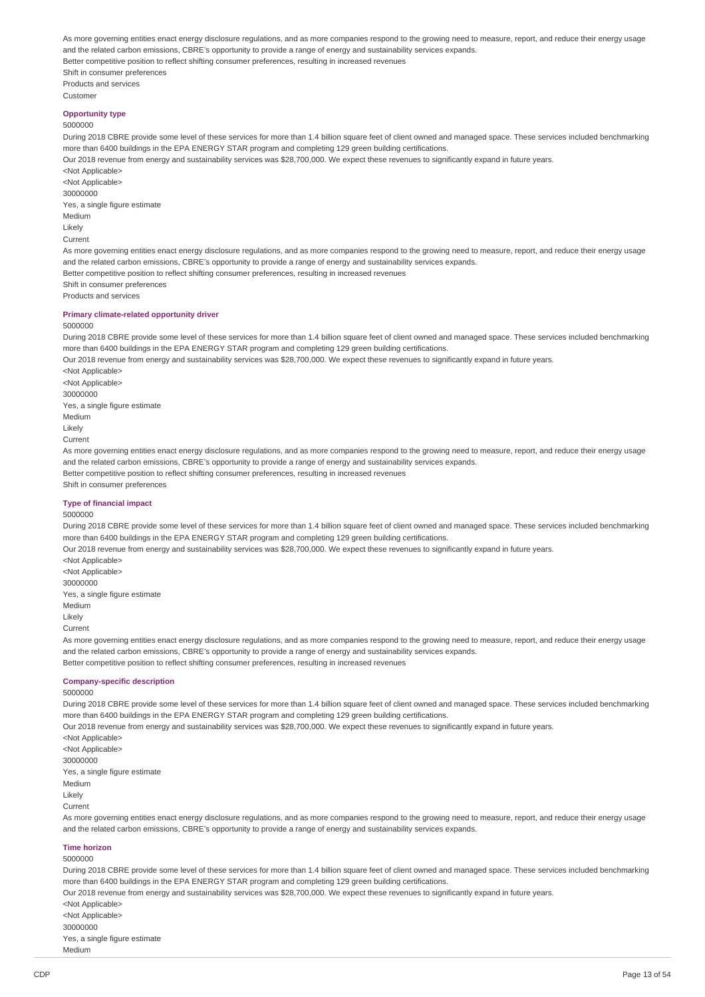As more governing entities enact energy disclosure regulations, and as more companies respond to the growing need to measure, report, and reduce their energy usage and the related carbon emissions, CBRE's opportunity to provide a range of energy and sustainability services expands. Better competitive position to reflect shifting consumer preferences, resulting in increased revenues Shift in consumer preferences Products and services Customer

# **Opportunity type**

5000000

During 2018 CBRE provide some level of these services for more than 1.4 billion square feet of client owned and managed space. These services included benchmarking more than 6400 buildings in the EPA ENERGY STAR program and completing 129 green building certifications.

Our 2018 revenue from energy and sustainability services was \$28,700,000. We expect these revenues to significantly expand in future years. <Not Applicable>

<Not Applicable> 30000000 Yes, a single figure estimate Medium Likely Current As more governing entities enact energy disclosure regulations, and as more companies respond to the growing need to measure, report, and reduce their energy usage and the related carbon emissions, CBRE's opportunity to provide a range of energy and sustainability services expands. Better competitive position to reflect shifting consumer preferences, resulting in increased revenues Shift in consumer preferences

Products and services

# **Primary climate-related opportunity driver**

#### 5000000

During 2018 CBRE provide some level of these services for more than 1.4 billion square feet of client owned and managed space. These services included benchmarking more than 6400 buildings in the EPA ENERGY STAR program and completing 129 green building certifications.

Our 2018 revenue from energy and sustainability services was \$28,700,000. We expect these revenues to significantly expand in future years.

<Not Applicable> <Not Applicable> 30000000 Yes, a single figure estimate Medium Likely Current

As more governing entities enact energy disclosure regulations, and as more companies respond to the growing need to measure, report, and reduce their energy usage and the related carbon emissions, CBRE's opportunity to provide a range of energy and sustainability services expands. Better competitive position to reflect shifting consumer preferences, resulting in increased revenues

Shift in consumer preferences

#### **Type of financial impact**

#### 5000000

During 2018 CBRE provide some level of these services for more than 1.4 billion square feet of client owned and managed space. These services included benchmarking more than 6400 buildings in the EPA ENERGY STAR program and completing 129 green building certifications.

Our 2018 revenue from energy and sustainability services was \$28,700,000. We expect these revenues to significantly expand in future years.

<Not Applicable> <Not Applicable> 30000000

Yes, a single figure estimate

Medium

Likely

Current

As more governing entities enact energy disclosure regulations, and as more companies respond to the growing need to measure, report, and reduce their energy usage and the related carbon emissions, CBRE's opportunity to provide a range of energy and sustainability services expands.

Better competitive position to reflect shifting consumer preferences, resulting in increased revenues

#### **Company-specific description** 5000000

During 2018 CBRE provide some level of these services for more than 1.4 billion square feet of client owned and managed space. These services included benchmarking more than 6400 buildings in the EPA ENERGY STAR program and completing 129 green building certifications.

Our 2018 revenue from energy and sustainability services was \$28,700,000. We expect these revenues to significantly expand in future years.

<Not Applicable> <Not Applicable> 30000000 Yes, a single figure estimate Medium Likely Current As more governing entities enact energy disclosure regulations, and as more companies respond to the growing need to measure, report, and reduce their energy usage and the related carbon emissions, CBRE's opportunity to provide a range of energy and sustainability services expands.

**Time horizon**

5000000

During 2018 CBRE provide some level of these services for more than 1.4 billion square feet of client owned and managed space. These services included benchmarking more than 6400 buildings in the EPA ENERGY STAR program and completing 129 green building certifications.

Our 2018 revenue from energy and sustainability services was \$28,700,000. We expect these revenues to significantly expand in future years.

<Not Applicable> <Not Applicable> 30000000 Yes, a single figure estimate Medium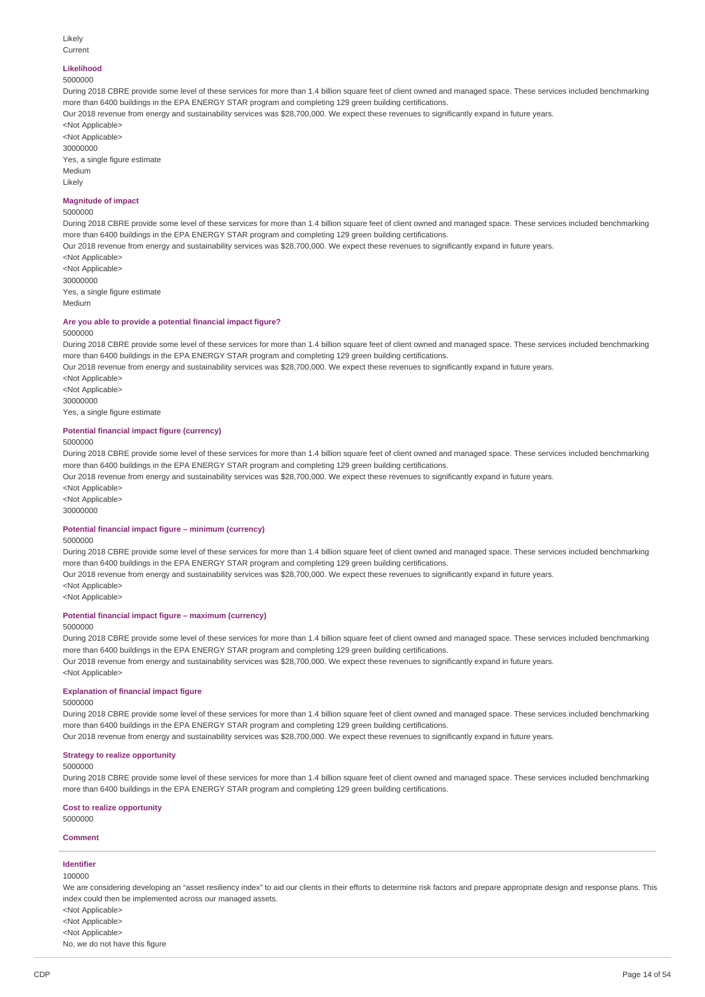#### Likely Current

# **Likelihood**

### 5000000

During 2018 CBRE provide some level of these services for more than 1.4 billion square feet of client owned and managed space. These services included benchmarking more than 6400 buildings in the EPA ENERGY STAR program and completing 129 green building certifications.

Our 2018 revenue from energy and sustainability services was \$28,700,000. We expect these revenues to significantly expand in future years.

<Not Applicable> <Not Applicable> 30000000 Yes, a single figure estimate Medium

# **Magnitude of impact**

#### 5000000

Likely

During 2018 CBRE provide some level of these services for more than 1.4 billion square feet of client owned and managed space. These services included benchmarking more than 6400 buildings in the EPA ENERGY STAR program and completing 129 green building certifications.

Our 2018 revenue from energy and sustainability services was \$28,700,000. We expect these revenues to significantly expand in future years.

<Not Applicable> <Not Applicable> 30000000 Yes, a single figure estimate Medium

#### **Are you able to provide a potential financial impact figure?**

### 5000000

During 2018 CBRE provide some level of these services for more than 1.4 billion square feet of client owned and managed space. These services included benchmarking more than 6400 buildings in the EPA ENERGY STAR program and completing 129 green building certifications.

Our 2018 revenue from energy and sustainability services was \$28,700,000. We expect these revenues to significantly expand in future years.

<Not Applicable> <Not Applicable> 30000000 Yes, a single figure estimate

#### **Potential financial impact figure (currency)**

#### 5000000

During 2018 CBRE provide some level of these services for more than 1.4 billion square feet of client owned and managed space. These services included benchmarking more than 6400 buildings in the EPA ENERGY STAR program and completing 129 green building certifications.

Our 2018 revenue from energy and sustainability services was \$28,700,000. We expect these revenues to significantly expand in future years.

<Not Applicable>

<Not Applicable> 30000000

# **Potential financial impact figure – minimum (currency)**

5000000

During 2018 CBRE provide some level of these services for more than 1.4 billion square feet of client owned and managed space. These services included benchmarking more than 6400 buildings in the EPA ENERGY STAR program and completing 129 green building certifications.

Our 2018 revenue from energy and sustainability services was \$28,700,000. We expect these revenues to significantly expand in future years.

<Not Applicable> <Not Applicable>

**Potential financial impact figure – maximum (currency)**

5000000

During 2018 CBRE provide some level of these services for more than 1.4 billion square feet of client owned and managed space. These services included benchmarking more than 6400 buildings in the EPA ENERGY STAR program and completing 129 green building certifications.

Our 2018 revenue from energy and sustainability services was \$28,700,000. We expect these revenues to significantly expand in future years. <Not Applicable>

## **Explanation of financial impact figure**

# 5000000

During 2018 CBRE provide some level of these services for more than 1.4 billion square feet of client owned and managed space. These services included benchmarking more than 6400 buildings in the EPA ENERGY STAR program and completing 129 green building certifications.

Our 2018 revenue from energy and sustainability services was \$28,700,000. We expect these revenues to significantly expand in future years.

# **Strategy to realize opportunity**

5000000

During 2018 CBRE provide some level of these services for more than 1.4 billion square feet of client owned and managed space. These services included benchmarking more than 6400 buildings in the EPA ENERGY STAR program and completing 129 green building certifications.

**Cost to realize opportunity** 5000000

**Comment**

#### **Identifier**

100000

We are considering developing an "asset resiliency index" to aid our clients in their efforts to determine risk factors and prepare appropriate design and response plans. This index could then be implemented across our managed assets.

<Not Applicable>

<Not Applicable>

<Not Applicable>

No, we do not have this figure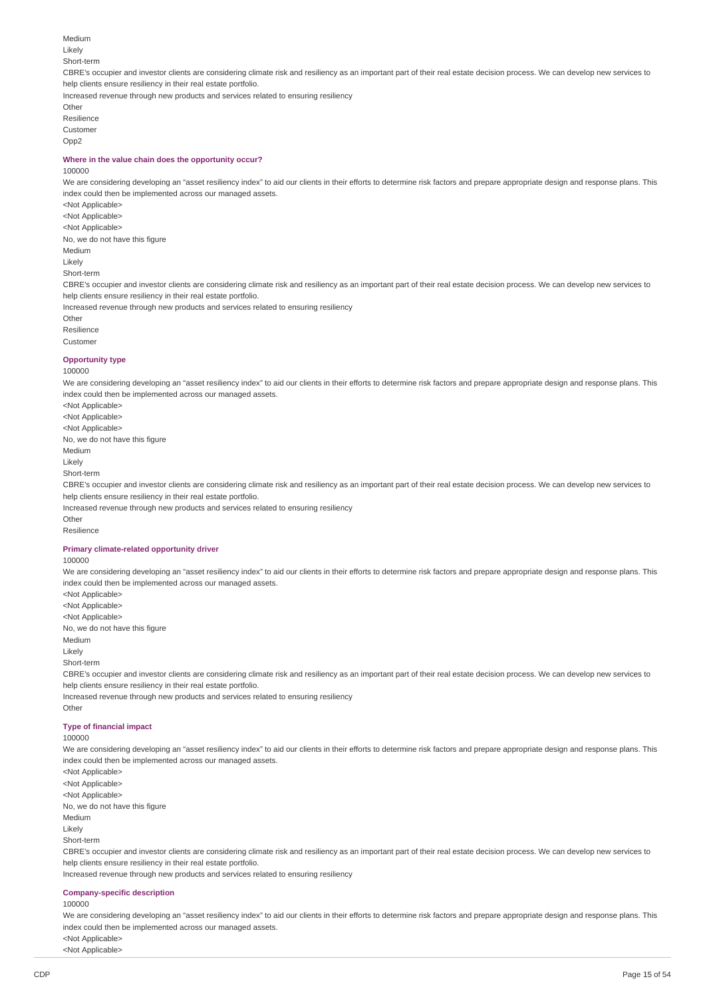Likely Short-term CBRE's occupier and investor clients are considering climate risk and resiliency as an important part of their real estate decision process. We can develop new services to help clients ensure resiliency in their real estate portfolio.

Increased revenue through new products and services related to ensuring resiliency

**Other** Resilience

Medium

Customer Opp<sub>2</sub>

#### **Where in the value chain does the opportunity occur?**

#### 100000

<Not Applicable>

We are considering developing an "asset resiliency index" to aid our clients in their efforts to determine risk factors and prepare appropriate design and response plans. This index could then be implemented across our managed assets.

<Not Applicable> <Not Applicable> No, we do not have this figure Medium Likely Short-term CBRE's occupier and investor clients are considering climate risk and resiliency as an important part of their real estate decision process. We can develop new services to help clients ensure resiliency in their real estate portfolio.

Increased revenue through new products and services related to ensuring resiliency

- **Other**
- Resilience

# Customer

#### **Opportunity type** 100000

We are considering developing an "asset resiliency index" to aid our clients in their efforts to determine risk factors and prepare appropriate design and response plans. This index could then be implemented across our managed assets.

<Not Applicable> <Not Applicable> <Not Applicable> No, we do not have this figure Medium Likely Short-term CBRE's occupier and investor clients are considering climate risk and resiliency as an important part of their real estate decision process. We can develop new services to help clients ensure resiliency in their real estate portfolio. Increased revenue through new products and services related to ensuring resiliency Other

Resilience

### **Primary climate-related opportunity driver**

100000

We are considering developing an "asset resiliency index" to aid our clients in their efforts to determine risk factors and prepare appropriate design and response plans. This index could then be implemented across our managed assets.

<Not Applicable> <Not Applicable> <Not Applicable> No, we do not have this figure Medium

Other

Likely

Short-term

CBRE's occupier and investor clients are considering climate risk and resiliency as an important part of their real estate decision process. We can develop new services to help clients ensure resiliency in their real estate portfolio.

Increased revenue through new products and services related to ensuring resiliency

# **Type of financial impact**

# 100000

We are considering developing an "asset resiliency index" to aid our clients in their efforts to determine risk factors and prepare appropriate design and response plans. This index could then be implemented across our managed assets.

- <Not Applicable> <Not Applicable>
- <Not Applicable>

No, we do not have this figure

Medium

Likely

Short-term

CBRE's occupier and investor clients are considering climate risk and resiliency as an important part of their real estate decision process. We can develop new services to help clients ensure resiliency in their real estate portfolio.

Increased revenue through new products and services related to ensuring resiliency

#### **Company-specific description**

100000

We are considering developing an "asset resiliency index" to aid our clients in their efforts to determine risk factors and prepare appropriate design and response plans. This index could then be implemented across our managed assets.

<Not Applicable> <Not Applicable>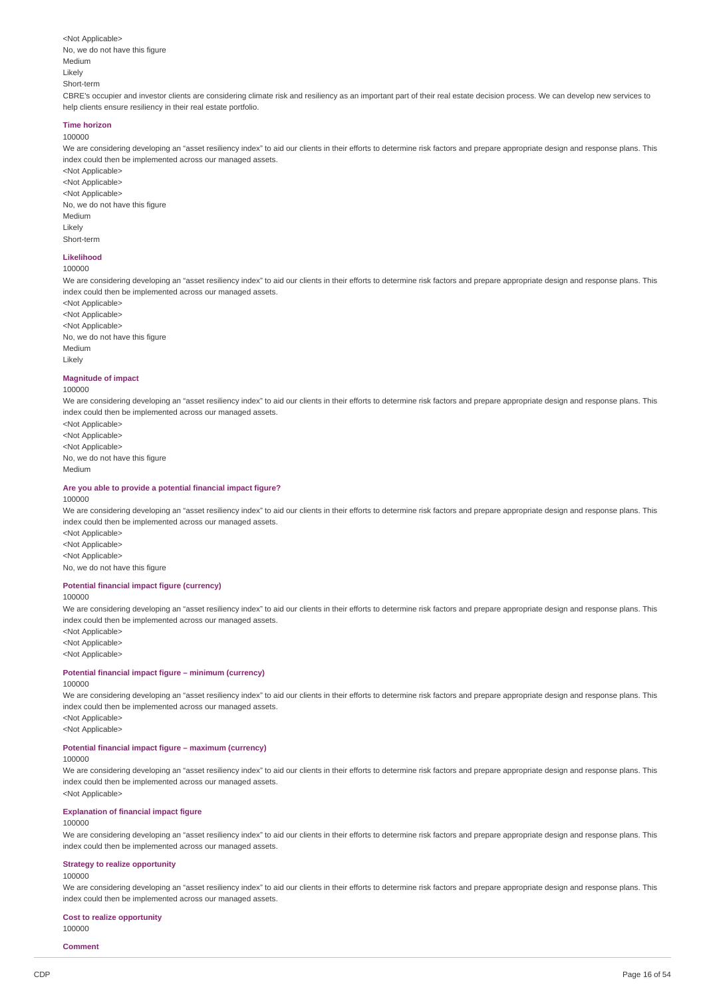<Not Applicable> No, we do not have this figure Medium Likely Short-term

CBRE's occupier and investor clients are considering climate risk and resiliency as an important part of their real estate decision process. We can develop new services to help clients ensure resiliency in their real estate portfolio.

#### **Time horizon** 100000

We are considering developing an "asset resiliency index" to aid our clients in their efforts to determine risk factors and prepare appropriate design and response plans. This index could then be implemented across our managed assets.

<Not Applicable> <Not Applicable> <Not Applicable> No, we do not have this figure Medium Likely Short-term

# **Likelihood**

100000

We are considering developing an "asset resiliency index" to aid our clients in their efforts to determine risk factors and prepare appropriate design and response plans. This index could then be implemented across our managed assets.

<Not Applicable> <Not Annlicable> <Not Applicable> No, we do not have this figure Medium Likely

#### **Magnitude of impact**

100000

We are considering developing an "asset resiliency index" to aid our clients in their efforts to determine risk factors and prepare appropriate design and response plans. This index could then be implemented across our managed assets.

<Not Applicable> <Not Applicable> <Not Applicable> No, we do not have this figure Medium

#### **Are you able to provide a potential financial impact figure?**

#### 100000

We are considering developing an "asset resiliency index" to aid our clients in their efforts to determine risk factors and prepare appropriate design and response plans. This index could then be implemented across our managed assets.

<Not Applicable> <Not Applicable> <Not Applicable> No, we do not have this figure

#### **Potential financial impact figure (currency)**

#### 100000

We are considering developing an "asset resiliency index" to aid our clients in their efforts to determine risk factors and prepare appropriate design and response plans. This index could then be implemented across our managed assets.

<Not Applicable>

<Not Applicable> <Not Applicable>

# **Potential financial impact figure – minimum (currency)**

#### 100000

We are considering developing an "asset resiliency index" to aid our clients in their efforts to determine risk factors and prepare appropriate design and response plans. This index could then be implemented across our managed assets.

<Not Applicable> <Not Applicable>

# **Potential financial impact figure – maximum (currency)**

# 100000

We are considering developing an "asset resiliency index" to aid our clients in their efforts to determine risk factors and prepare appropriate design and response plans. This index could then be implemented across our managed assets. <Not Applicable>

# **Explanation of financial impact figure**

#### 100000

We are considering developing an "asset resiliency index" to aid our clients in their efforts to determine risk factors and prepare appropriate design and response plans. This index could then be implemented across our managed assets.

# **Strategy to realize opportunity**

# 100000

We are considering developing an "asset resiliency index" to aid our clients in their efforts to determine risk factors and prepare appropriate design and response plans. This index could then be implemented across our managed assets.

#### **Cost to realize opportunity** 100000

**Comment**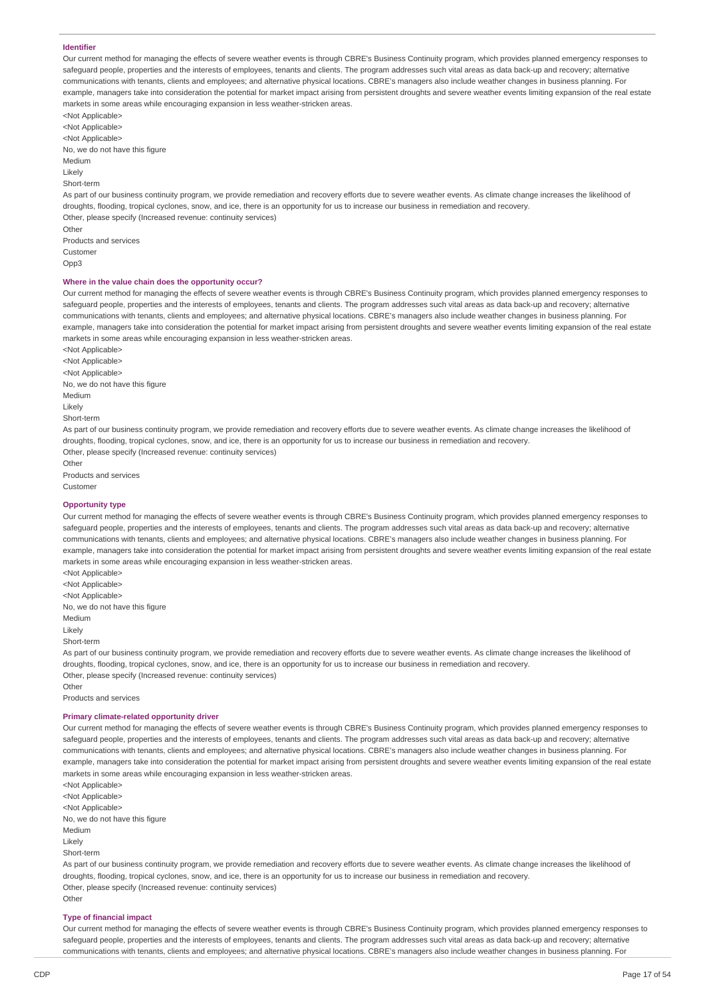## **Identifier**

Our current method for managing the effects of severe weather events is through CBRE's Business Continuity program, which provides planned emergency responses to safeguard people, properties and the interests of employees, tenants and clients. The program addresses such vital areas as data back-up and recovery; alternative communications with tenants, clients and employees; and alternative physical locations. CBRE's managers also include weather changes in business planning. For example, managers take into consideration the potential for market impact arising from persistent droughts and severe weather events limiting expansion of the real estate markets in some areas while encouraging expansion in less weather-stricken areas.

<Not Applicable> <Not Applicable> <Not Applicable> No, we do not have this figure Medium Likely Short-term

As part of our business continuity program, we provide remediation and recovery efforts due to severe weather events. As climate change increases the likelihood of droughts, flooding, tropical cyclones, snow, and ice, there is an opportunity for us to increase our business in remediation and recovery. Other, please specify (Increased revenue: continuity services) Other

Products and services Customer Opp3

### **Where in the value chain does the opportunity occur?**

Our current method for managing the effects of severe weather events is through CBRE's Business Continuity program, which provides planned emergency responses to safeguard people, properties and the interests of employees, tenants and clients. The program addresses such vital areas as data back-up and recovery; alternative communications with tenants, clients and employees; and alternative physical locations. CBRE's managers also include weather changes in business planning. For example, managers take into consideration the potential for market impact arising from persistent droughts and severe weather events limiting expansion of the real estate markets in some areas while encouraging expansion in less weather-stricken areas.

<Not Applicable> <Not Applicable> <Not Applicable> No, we do not have this figure Medium Likely Short-term

As part of our business continuity program, we provide remediation and recovery efforts due to severe weather events. As climate change increases the likelihood of droughts, flooding, tropical cyclones, snow, and ice, there is an opportunity for us to increase our business in remediation and recovery. Other, please specify (Increased revenue: continuity services)

Other Products and services Customer

#### **Opportunity type**

Our current method for managing the effects of severe weather events is through CBRE's Business Continuity program, which provides planned emergency responses to safeguard people, properties and the interests of employees, tenants and clients. The program addresses such vital areas as data back-up and recovery; alternative communications with tenants, clients and employees; and alternative physical locations. CBRE's managers also include weather changes in business planning. For example, managers take into consideration the potential for market impact arising from persistent droughts and severe weather events limiting expansion of the real estate markets in some areas while encouraging expansion in less weather-stricken areas.

<Not Applicable> <Not Applicable> <Not Applicable> No, we do not have this figure Medium Likely Short-term

As part of our business continuity program, we provide remediation and recovery efforts due to severe weather events. As climate change increases the likelihood of droughts, flooding, tropical cyclones, snow, and ice, there is an opportunity for us to increase our business in remediation and recovery. Other, please specify (Increased revenue: continuity services)

Products and services

**Other** 

#### **Primary climate-related opportunity driver**

Our current method for managing the effects of severe weather events is through CBRE's Business Continuity program, which provides planned emergency responses to safeguard people, properties and the interests of employees, tenants and clients. The program addresses such vital areas as data back-up and recovery; alternative communications with tenants, clients and employees; and alternative physical locations. CBRE's managers also include weather changes in business planning. For example, managers take into consideration the potential for market impact arising from persistent droughts and severe weather events limiting expansion of the real estate markets in some areas while encouraging expansion in less weather-stricken areas.

<Not Applicable> <Not Applicable> <Not Applicable> No, we do not have this figure Medium Likely Short-term As part of our business continuity program, we provide remediation and recovery efforts due to severe weather events. As climate change increases the likelihood of

droughts, flooding, tropical cyclones, snow, and ice, there is an opportunity for us to increase our business in remediation and recovery. Other, please specify (Increased revenue: continuity services) Other

#### **Type of financial impact**

Our current method for managing the effects of severe weather events is through CBRE's Business Continuity program, which provides planned emergency responses to safeguard people, properties and the interests of employees, tenants and clients. The program addresses such vital areas as data back-up and recovery; alternative communications with tenants, clients and employees; and alternative physical locations. CBRE's managers also include weather changes in business planning. For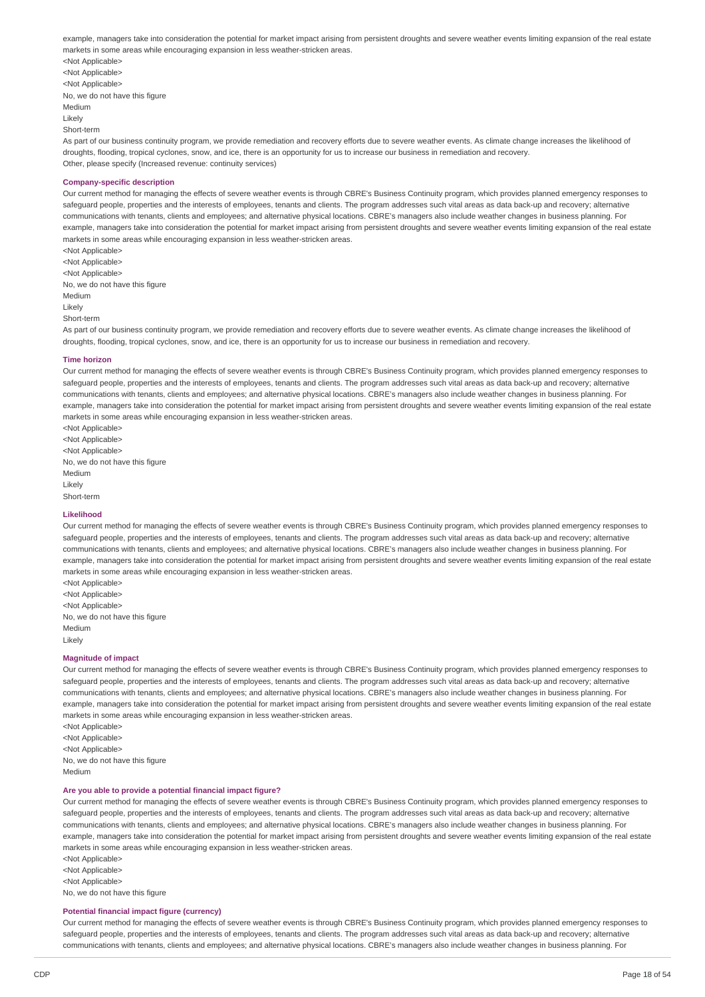example, managers take into consideration the potential for market impact arising from persistent droughts and severe weather events limiting expansion of the real estate markets in some areas while encouraging expansion in less weather-stricken areas.

<Not Applicable> <Not Applicable> <Not Applicable> No, we do not have this figure Medium Likely Short-term

As part of our business continuity program, we provide remediation and recovery efforts due to severe weather events. As climate change increases the likelihood of droughts, flooding, tropical cyclones, snow, and ice, there is an opportunity for us to increase our business in remediation and recovery. Other, please specify (Increased revenue: continuity services)

#### **Company-specific description**

Our current method for managing the effects of severe weather events is through CBRE's Business Continuity program, which provides planned emergency responses to safeguard people, properties and the interests of employees, tenants and clients. The program addresses such vital areas as data back-up and recovery; alternative communications with tenants, clients and employees; and alternative physical locations. CBRE's managers also include weather changes in business planning. For example, managers take into consideration the potential for market impact arising from persistent droughts and severe weather events limiting expansion of the real estate markets in some areas while encouraging expansion in less weather-stricken areas.

<Not Applicable> <Not Applicable> <Not Applicable> No, we do not have this figure Medium Likely Short-term

As part of our business continuity program, we provide remediation and recovery efforts due to severe weather events. As climate change increases the likelihood of droughts, flooding, tropical cyclones, snow, and ice, there is an opportunity for us to increase our business in remediation and recovery.

#### **Time horizon**

Our current method for managing the effects of severe weather events is through CBRE's Business Continuity program, which provides planned emergency responses to safeguard people, properties and the interests of employees, tenants and clients. The program addresses such vital areas as data back-up and recovery; alternative communications with tenants, clients and employees; and alternative physical locations. CBRE's managers also include weather changes in business planning. For example, managers take into consideration the potential for market impact arising from persistent droughts and severe weather events limiting expansion of the real estate markets in some areas while encouraging expansion in less weather-stricken areas.

<Not Applicable> <Not Applicable> <Not Applicable> No, we do not have this figure Medium Likely Short-term

#### **Likelihood**

Our current method for managing the effects of severe weather events is through CBRE's Business Continuity program, which provides planned emergency responses to safeguard people, properties and the interests of employees, tenants and clients. The program addresses such vital areas as data back-up and recovery; alternative communications with tenants, clients and employees; and alternative physical locations. CBRE's managers also include weather changes in business planning. For example, managers take into consideration the potential for market impact arising from persistent droughts and severe weather events limiting expansion of the real estate markets in some areas while encouraging expansion in less weather-stricken areas.

<Not Applicable> <Not Applicable> <Not Applicable> No, we do not have this figure Medium Likely

#### **Magnitude of impact**

Our current method for managing the effects of severe weather events is through CBRE's Business Continuity program, which provides planned emergency responses to safeguard people, properties and the interests of employees, tenants and clients. The program addresses such vital areas as data back-up and recovery; alternative communications with tenants, clients and employees; and alternative physical locations. CBRE's managers also include weather changes in business planning. For example, managers take into consideration the potential for market impact arising from persistent droughts and severe weather events limiting expansion of the real estate markets in some areas while encouraging expansion in less weather-stricken areas.

<Not Applicable> <Not Applicable> <Not Applicable> No, we do not have this figure Medium

#### **Are you able to provide a potential financial impact figure?**

Our current method for managing the effects of severe weather events is through CBRE's Business Continuity program, which provides planned emergency responses to safeguard people, properties and the interests of employees, tenants and clients. The program addresses such vital areas as data back-up and recovery; alternative communications with tenants, clients and employees; and alternative physical locations. CBRE's managers also include weather changes in business planning. For example, managers take into consideration the potential for market impact arising from persistent droughts and severe weather events limiting expansion of the real estate markets in some areas while encouraging expansion in less weather-stricken areas.

<Not Applicable> <Not Applicable> <Not Applicable> No, we do not have this figure

#### **Potential financial impact figure (currency)**

Our current method for managing the effects of severe weather events is through CBRE's Business Continuity program, which provides planned emergency responses to safeguard people, properties and the interests of employees, tenants and clients. The program addresses such vital areas as data back-up and recovery; alternative communications with tenants, clients and employees; and alternative physical locations. CBRE's managers also include weather changes in business planning. For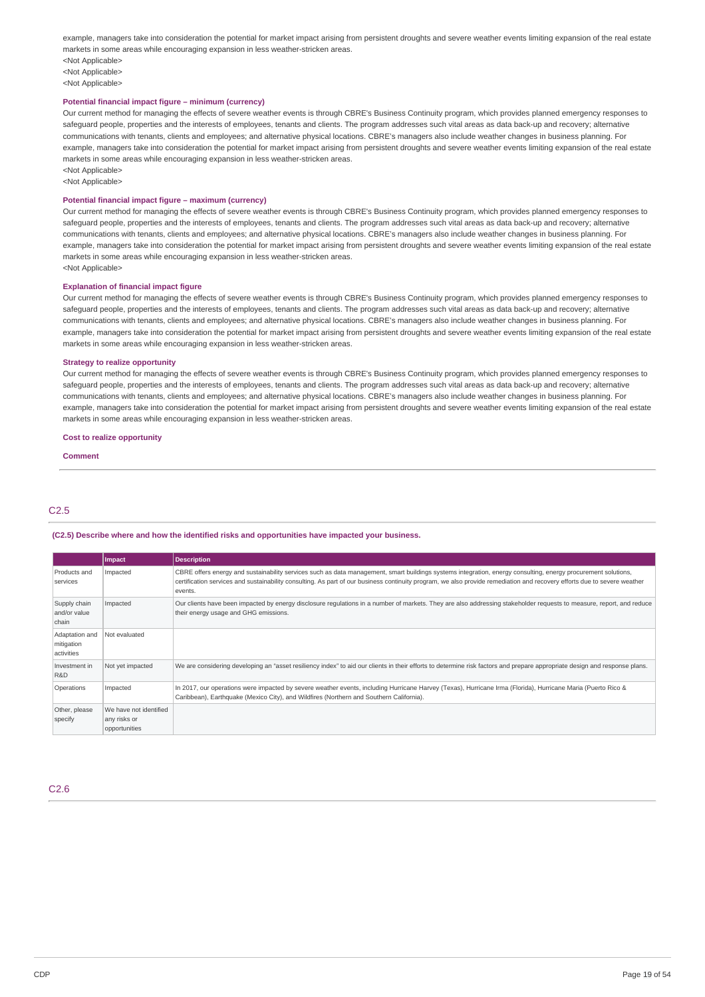example, managers take into consideration the potential for market impact arising from persistent droughts and severe weather events limiting expansion of the real estate markets in some areas while encouraging expansion in less weather-stricken areas. <Not Applicable>

<Not Applicable> <Not Applicable>

#### **Potential financial impact figure – minimum (currency)**

Our current method for managing the effects of severe weather events is through CBRE's Business Continuity program, which provides planned emergency responses to safeguard people, properties and the interests of employees, tenants and clients. The program addresses such vital areas as data back-up and recovery; alternative communications with tenants, clients and employees; and alternative physical locations. CBRE's managers also include weather changes in business planning. For example, managers take into consideration the potential for market impact arising from persistent droughts and severe weather events limiting expansion of the real estate markets in some areas while encouraging expansion in less weather-stricken areas. <Not Applicable>

<Not Applicable>

### **Potential financial impact figure – maximum (currency)**

Our current method for managing the effects of severe weather events is through CBRE's Business Continuity program, which provides planned emergency responses to safeguard people, properties and the interests of employees, tenants and clients. The program addresses such vital areas as data back-up and recovery; alternative communications with tenants, clients and employees; and alternative physical locations. CBRE's managers also include weather changes in business planning. For example, managers take into consideration the potential for market impact arising from persistent droughts and severe weather events limiting expansion of the real estate markets in some areas while encouraging expansion in less weather-stricken areas. <Not Applicable>

#### **Explanation of financial impact figure**

Our current method for managing the effects of severe weather events is through CBRE's Business Continuity program, which provides planned emergency responses to safeguard people, properties and the interests of employees, tenants and clients. The program addresses such vital areas as data back-up and recovery; alternative communications with tenants, clients and employees; and alternative physical locations. CBRE's managers also include weather changes in business planning. For example, managers take into consideration the potential for market impact arising from persistent droughts and severe weather events limiting expansion of the real estate markets in some areas while encouraging expansion in less weather-stricken areas.

#### **Strategy to realize opportunity**

Our current method for managing the effects of severe weather events is through CBRE's Business Continuity program, which provides planned emergency responses to safeguard people, properties and the interests of employees, tenants and clients. The program addresses such vital areas as data back-up and recovery; alternative communications with tenants, clients and employees; and alternative physical locations. CBRE's managers also include weather changes in business planning. For example, managers take into consideration the potential for market impact arising from persistent droughts and severe weather events limiting expansion of the real estate markets in some areas while encouraging expansion in less weather-stricken areas.

#### **Cost to realize opportunity**

**Comment**

# C2.5

#### **(C2.5) Describe where and how the identified risks and opportunities have impacted your business.**

|                                            | Impact                                                  | <b>Description</b>                                                                                                                                                                                                                                                                                                                                   |
|--------------------------------------------|---------------------------------------------------------|------------------------------------------------------------------------------------------------------------------------------------------------------------------------------------------------------------------------------------------------------------------------------------------------------------------------------------------------------|
| Products and<br>services                   | Impacted                                                | CBRE offers energy and sustainability services such as data management, smart buildings systems integration, energy consulting, energy procurement solutions,<br>certification services and sustainability consulting. As part of our business continuity program, we also provide remediation and recovery efforts due to severe weather<br>events. |
| Supply chain<br>and/or value<br>chain      | Impacted                                                | Our clients have been impacted by energy disclosure regulations in a number of markets. They are also addressing stakeholder requests to measure, report, and reduce<br>their energy usage and GHG emissions.                                                                                                                                        |
| Adaptation and<br>mitigation<br>activities | Not evaluated                                           |                                                                                                                                                                                                                                                                                                                                                      |
| Investment in<br>R&D                       | Not yet impacted                                        | We are considering developing an "asset resiliency index" to aid our clients in their efforts to determine risk factors and prepare appropriate design and response plans.                                                                                                                                                                           |
| Operations                                 | Impacted                                                | In 2017, our operations were impacted by severe weather events, including Hurricane Harvey (Texas), Hurricane Irma (Florida), Hurricane Maria (Puerto Rico &<br>Caribbean), Earthquake (Mexico City), and Wildfires (Northern and Southern California).                                                                                              |
| Other, please<br>specify                   | We have not identified<br>any risks or<br>opportunities |                                                                                                                                                                                                                                                                                                                                                      |

# C2.6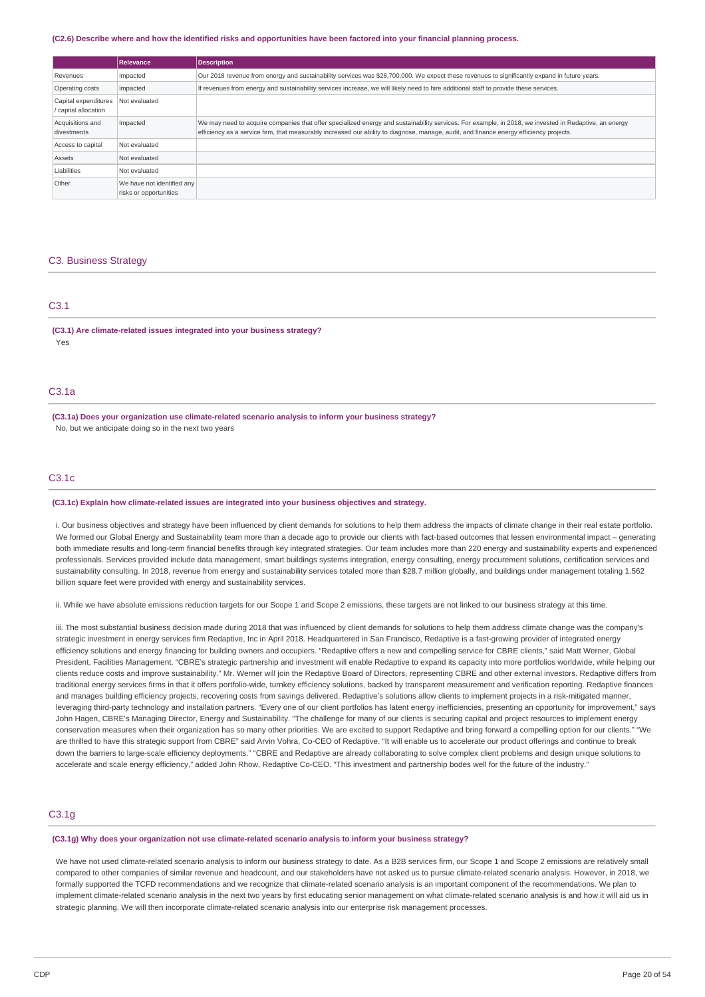#### (C2.6) Describe where and how the identified risks and opportunities have been factored into your financial planning process.

|                                              | Relevance                                            | <b>Description</b>                                                                                                                                                                                                                                                                               |
|----------------------------------------------|------------------------------------------------------|--------------------------------------------------------------------------------------------------------------------------------------------------------------------------------------------------------------------------------------------------------------------------------------------------|
| Revenues                                     | Impacted                                             | Our 2018 revenue from energy and sustainability services was \$28,700,000. We expect these revenues to significantly expand in future years.                                                                                                                                                     |
| Operating costs                              | Impacted                                             | If revenues from energy and sustainability services increase, we will likely need to hire additional staff to provide these services.                                                                                                                                                            |
| Capital expenditures<br>/ capital allocation | Not evaluated                                        |                                                                                                                                                                                                                                                                                                  |
| Acquisitions and<br>divestments              | Impacted                                             | We may need to acquire companies that offer specialized energy and sustainability services. For example, in 2018, we invested in Redaptive, an energy<br>efficiency as a service firm, that measurably increased our ability to diagnose, manage, audit, and finance energy efficiency projects. |
| Access to capital                            | Not evaluated                                        |                                                                                                                                                                                                                                                                                                  |
| Assets                                       | Not evaluated                                        |                                                                                                                                                                                                                                                                                                  |
| Liabilities                                  | Not evaluated                                        |                                                                                                                                                                                                                                                                                                  |
| Other                                        | We have not identified any<br>risks or opportunities |                                                                                                                                                                                                                                                                                                  |

# C3. Business Strategy

# C3.1

**(C3.1) Are climate-related issues integrated into your business strategy?** Yes

# C3.1a

**(C3.1a) Does your organization use climate-related scenario analysis to inform your business strategy?** No, but we anticipate doing so in the next two years

#### C3.1c

#### **(C3.1c) Explain how climate-related issues are integrated into your business objectives and strategy.**

i. Our business objectives and strategy have been influenced by client demands for solutions to help them address the impacts of climate change in their real estate portfolio. We formed our Global Energy and Sustainability team more than a decade ago to provide our clients with fact-based outcomes that lessen environmental impact – generating both immediate results and long-term financial benefits through key integrated strategies. Our team includes more than 220 energy and sustainability experts and experienced professionals. Services provided include data management, smart buildings systems integration, energy consulting, energy procurement solutions, certification services and sustainability consulting. In 2018, revenue from energy and sustainability services totaled more than \$28.7 million globally, and buildings under management totaling 1.562 billion square feet were provided with energy and sustainability services.

ii. While we have absolute emissions reduction targets for our Scope 1 and Scope 2 emissions, these targets are not linked to our business strategy at this time.

iii. The most substantial business decision made during 2018 that was influenced by client demands for solutions to help them address climate change was the company's strategic investment in energy services firm Redaptive, Inc in April 2018. Headquartered in San Francisco, Redaptive is a fast-growing provider of integrated energy efficiency solutions and energy financing for building owners and occupiers. "Redaptive offers a new and compelling service for CBRE clients," said Matt Werner, Global President, Facilities Management. "CBRE's strategic partnership and investment will enable Redaptive to expand its capacity into more portfolios worldwide, while helping our clients reduce costs and improve sustainability." Mr. Werner will join the Redaptive Board of Directors, representing CBRE and other external investors. Redaptive differs from traditional energy services firms in that it offers portfolio-wide, turnkey efficiency solutions, backed by transparent measurement and verification reporting. Redaptive finances and manages building efficiency projects, recovering costs from savings delivered. Redaptive's solutions allow clients to implement projects in a risk-mitigated manner. leveraging third-party technology and installation partners. "Every one of our client portfolios has latent energy inefficiencies, presenting an opportunity for improvement," says John Hagen, CBRE's Managing Director, Energy and Sustainability. "The challenge for many of our clients is securing capital and project resources to implement energy conservation measures when their organization has so many other priorities. We are excited to support Redaptive and bring forward a compelling option for our clients." "We are thrilled to have this strategic support from CBRE" said Arvin Vohra, Co-CEO of Redaptive. "It will enable us to accelerate our product offerings and continue to break down the barriers to large-scale efficiency deployments." "CBRE and Redaptive are already collaborating to solve complex client problems and design unique solutions to accelerate and scale energy efficiency," added John Rhow, Redaptive Co-CEO. "This investment and partnership bodes well for the future of the industry."

# C3.1g

#### **(C3.1g) Why does your organization not use climate-related scenario analysis to inform your business strategy?**

We have not used climate-related scenario analysis to inform our business strategy to date. As a B2B services firm, our Scope 1 and Scope 2 emissions are relatively small compared to other companies of similar revenue and headcount, and our stakeholders have not asked us to pursue climate-related scenario analysis. However, in 2018, we formally supported the TCFD recommendations and we recognize that climate-related scenario analysis is an important component of the recommendations. We plan to implement climate-related scenario analysis in the next two years by first educating senior management on what climate-related scenario analysis is and how it will aid us in strategic planning. We will then incorporate climate-related scenario analysis into our enterprise risk management processes.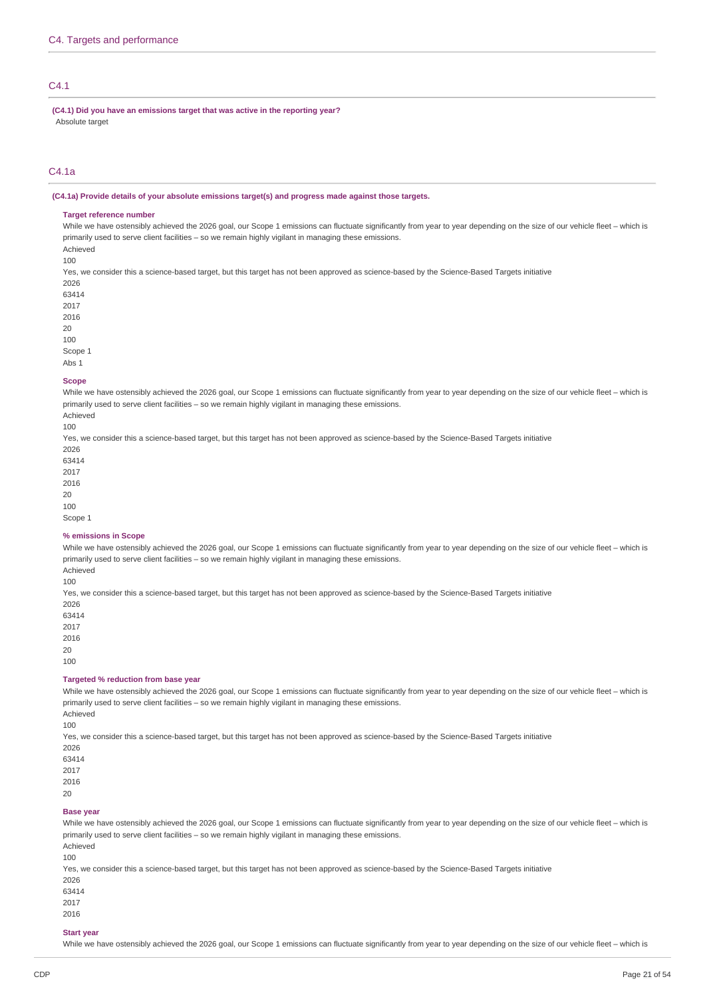# $C4.1$

**(C4.1) Did you have an emissions target that was active in the reporting year?** Absolute target

# C4.1a

#### **(C4.1a) Provide details of your absolute emissions target(s) and progress made against those targets.**

### **Target reference number**

While we have ostensibly achieved the 2026 goal, our Scope 1 emissions can fluctuate significantly from year to year depending on the size of our vehicle fleet - which is primarily used to serve client facilities – so we remain highly vigilant in managing these emissions.

Achieved 100

Yes, we consider this a science-based target, but this target has not been approved as science-based by the Science-Based Targets initiative

Scope 1

Abs 1

#### **Scope**

While we have ostensibly achieved the 2026 goal, our Scope 1 emissions can fluctuate significantly from year to year depending on the size of our vehicle fleet – which is primarily used to serve client facilities – so we remain highly vigilant in managing these emissions.

Achieved 100

Yes, we consider this a science-based target, but this target has not been approved as science-based by the Science-Based Targets initiative

20

100

Scope 1

#### **% emissions in Scope**

While we have ostensibly achieved the 2026 goal, our Scope 1 emissions can fluctuate significantly from year to year depending on the size of our vehicle fleet – which is primarily used to serve client facilities – so we remain highly vigilant in managing these emissions.

Achieved 100

Yes, we consider this a science-based target, but this target has not been approved as science-based by the Science-Based Targets initiative

2026 63414 2017

2016

20

100

#### **Targeted % reduction from base year**

While we have ostensibly achieved the 2026 goal, our Scope 1 emissions can fluctuate significantly from year to year depending on the size of our vehicle fleet - which is primarily used to serve client facilities – so we remain highly vigilant in managing these emissions. Achieved

100

Yes, we consider this a science-based target, but this target has not been approved as science-based by the Science-Based Targets initiative

2026

63414 2017

2016

20

#### **Base year**

While we have ostensibly achieved the 2026 goal, our Scope 1 emissions can fluctuate significantly from year to year depending on the size of our vehicle fleet - which is primarily used to serve client facilities – so we remain highly vigilant in managing these emissions. Achieved

100

Yes, we consider this a science-based target, but this target has not been approved as science-based by the Science-Based Targets initiative

- 2026
- 63414
- 2017

2016

# **Start year**

While we have ostensibly achieved the 2026 goal, our Scope 1 emissions can fluctuate significantly from year to year depending on the size of our vehicle fleet - which is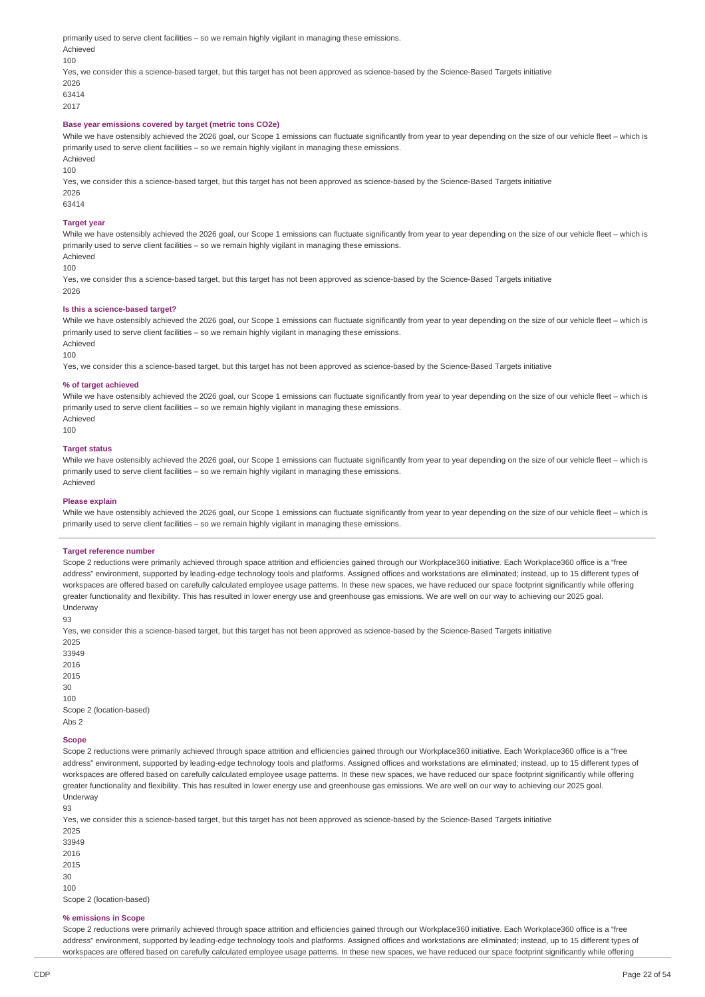primarily used to serve client facilities – so we remain highly vigilant in managing these emissions. Achieved 100 Yes, we consider this a science-based target, but this target has not been approved as science-based by the Science-Based Targets initiative 2026 63414

2017

## **Base year emissions covered by target (metric tons CO2e)**

While we have ostensibly achieved the 2026 goal, our Scope 1 emissions can fluctuate significantly from year to year depending on the size of our vehicle fleet – which is primarily used to serve client facilities – so we remain highly vigilant in managing these emissions.

Achieved

100

Yes, we consider this a science-based target, but this target has not been approved as science-based by the Science-Based Targets initiative 2026

63414

#### **Target year**

While we have ostensibly achieved the 2026 goal, our Scope 1 emissions can fluctuate significantly from year to year depending on the size of our vehicle fleet - which is primarily used to serve client facilities – so we remain highly vigilant in managing these emissions. Achieved

 $100$ 

Yes, we consider this a science-based target, but this target has not been approved as science-based by the Science-Based Targets initiative 2026

#### **Is this a science-based target?**

While we have ostensibly achieved the 2026 goal, our Scope 1 emissions can fluctuate significantly from year to year depending on the size of our vehicle fleet - which is primarily used to serve client facilities – so we remain highly vigilant in managing these emissions. Achieved

100

Yes, we consider this a science-based target, but this target has not been approved as science-based by the Science-Based Targets initiative

#### **% of target achieved**

While we have ostensibly achieved the 2026 goal, our Scope 1 emissions can fluctuate significantly from year to year depending on the size of our vehicle fleet – which is primarily used to serve client facilities – so we remain highly vigilant in managing these emissions. Achieved

100

#### **Target status**

While we have ostensibly achieved the 2026 goal, our Scope 1 emissions can fluctuate significantly from year to year depending on the size of our vehicle fleet – which is primarily used to serve client facilities – so we remain highly vigilant in managing these emissions. Achieved

#### **Please explain**

While we have ostensibly achieved the 2026 goal, our Scope 1 emissions can fluctuate significantly from year to year depending on the size of our vehicle fleet – which is primarily used to serve client facilities - so we remain highly vigilant in managing these emissions

#### **Target reference number**

Scope 2 reductions were primarily achieved through space attrition and efficiencies gained through our Workplace360 initiative. Each Workplace360 office is a "free address" environment, supported by leading-edge technology tools and platforms. Assigned offices and workstations are eliminated; instead, up to 15 different types of workspaces are offered based on carefully calculated employee usage patterns. In these new spaces, we have reduced our space footprint significantly while offering greater functionality and flexibility. This has resulted in lower energy use and greenhouse gas emissions. We are well on our way to achieving our 2025 goal. Underway

93

Yes, we consider this a science-based target, but this target has not been approved as science-based by the Science-Based Targets initiative

Scope 2 (location-based) Abs 2

#### **Scope**

Scope 2 reductions were primarily achieved through space attrition and efficiencies gained through our Workplace360 initiative. Each Workplace360 office is a "free address" environment, supported by leading-edge technology tools and platforms. Assigned offices and workstations are eliminated; instead, up to 15 different types of workspaces are offered based on carefully calculated employee usage patterns. In these new spaces, we have reduced our space footprint significantly while offering greater functionality and flexibility. This has resulted in lower energy use and greenhouse gas emissions. We are well on our way to achieving our 2025 goal. Underway

93

Yes, we consider this a science-based target, but this target has not been approved as science-based by the Science-Based Targets initiative

2025 33949 2016 2015 30 100 Scope 2 (location-based)

#### **% emissions in Scope**

Scope 2 reductions were primarily achieved through space attrition and efficiencies gained through our Workplace360 initiative. Each Workplace360 office is a "free address" environment, supported by leading-edge technology tools and platforms. Assigned offices and workstations are eliminated; instead, up to 15 different types of workspaces are offered based on carefully calculated employee usage patterns. In these new spaces, we have reduced our space footprint significantly while offering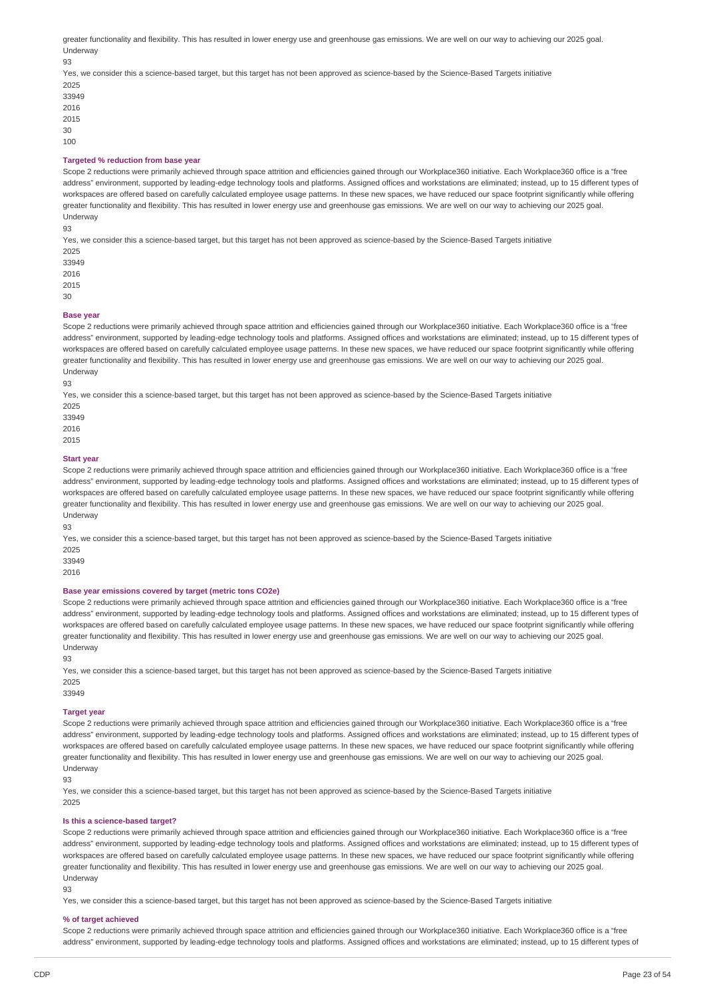greater functionality and flexibility. This has resulted in lower energy use and greenhouse gas emissions. We are well on our way to achieving our 2025 goal. Underway

93

- Yes, we consider this a science-based target, but this target has not been approved as science-based by the Science-Based Targets initiative 2025
- 33949 2016 2015 30  $100$

#### **Targeted % reduction from base year**

Scope 2 reductions were primarily achieved through space attrition and efficiencies gained through our Workplace360 initiative. Each Workplace360 office is a "free address" environment, supported by leading-edge technology tools and platforms. Assigned offices and workstations are eliminated; instead, up to 15 different types of workspaces are offered based on carefully calculated employee usage patterns. In these new spaces, we have reduced our space footprint significantly while offering greater functionality and flexibility. This has resulted in lower energy use and greenhouse gas emissions. We are well on our way to achieving our 2025 goal. Underway

93

Yes, we consider this a science-based target, but this target has not been approved as science-based by the Science-Based Targets initiative

2025 33949 2016

2015

30

#### **Base** year

Scope 2 reductions were primarily achieved through space attrition and efficiencies gained through our Workplace360 initiative. Each Workplace360 office is a "free address" environment, supported by leading-edge technology tools and platforms. Assigned offices and workstations are eliminated; instead, up to 15 different types of workspaces are offered based on carefully calculated employee usage patterns. In these new spaces, we have reduced our space footprint significantly while offering greater functionality and flexibility. This has resulted in lower energy use and greenhouse gas emissions. We are well on our way to achieving our 2025 goal. Underway

93

Yes, we consider this a science-based target, but this target has not been approved as science-based by the Science-Based Targets initiative

2025

33949

2016

2015

### **Start year**

Scope 2 reductions were primarily achieved through space attrition and efficiencies gained through our Workplace360 initiative. Each Workplace360 office is a "free address" environment, supported by leading-edge technology tools and platforms. Assigned offices and workstations are eliminated; instead, up to 15 different types of workspaces are offered based on carefully calculated employee usage patterns. In these new spaces, we have reduced our space footprint significantly while offering greater functionality and flexibility. This has resulted in lower energy use and greenhouse gas emissions. We are well on our way to achieving our 2025 goal. Underway

93

Yes, we consider this a science-based target, but this target has not been approved as science-based by the Science-Based Targets initiative 2025

33949

2016

# **Base year emissions covered by target (metric tons CO2e)**

Scope 2 reductions were primarily achieved through space attrition and efficiencies gained through our Workplace360 initiative. Each Workplace360 office is a "free address" environment, supported by leading-edge technology tools and platforms. Assigned offices and workstations are eliminated; instead, up to 15 different types of workspaces are offered based on carefully calculated employee usage patterns. In these new spaces, we have reduced our space footprint significantly while offering greater functionality and flexibility. This has resulted in lower energy use and greenhouse gas emissions. We are well on our way to achieving our 2025 goal. Underway

93

Yes, we consider this a science-based target, but this target has not been approved as science-based by the Science-Based Targets initiative 2025

#### 33949

# **Target year**

Scope 2 reductions were primarily achieved through space attrition and efficiencies gained through our Workplace360 initiative. Each Workplace360 office is a "free address" environment, supported by leading-edge technology tools and platforms. Assigned offices and workstations are eliminated; instead, up to 15 different types of workspaces are offered based on carefully calculated employee usage patterns. In these new spaces, we have reduced our space footprint significantly while offering greater functionality and flexibility. This has resulted in lower energy use and greenhouse gas emissions. We are well on our way to achieving our 2025 goal. Underway

93

Yes, we consider this a science-based target, but this target has not been approved as science-based by the Science-Based Targets initiative 2025

# **Is this a science-based target?**

Scope 2 reductions were primarily achieved through space attrition and efficiencies gained through our Workplace360 initiative. Each Workplace360 office is a "free address" environment, supported by leading-edge technology tools and platforms. Assigned offices and workstations are eliminated; instead, up to 15 different types of workspaces are offered based on carefully calculated employee usage patterns. In these new spaces, we have reduced our space footprint significantly while offering greater functionality and flexibility. This has resulted in lower energy use and greenhouse gas emissions. We are well on our way to achieving our 2025 goal. Underway

93

Yes, we consider this a science-based target, but this target has not been approved as science-based by the Science-Based Targets initiative

#### **% of target achieved**

Scope 2 reductions were primarily achieved through space attrition and efficiencies gained through our Workplace360 initiative. Each Workplace360 office is a "free address" environment, supported by leading-edge technology tools and platforms. Assigned offices and workstations are eliminated; instead, up to 15 different types of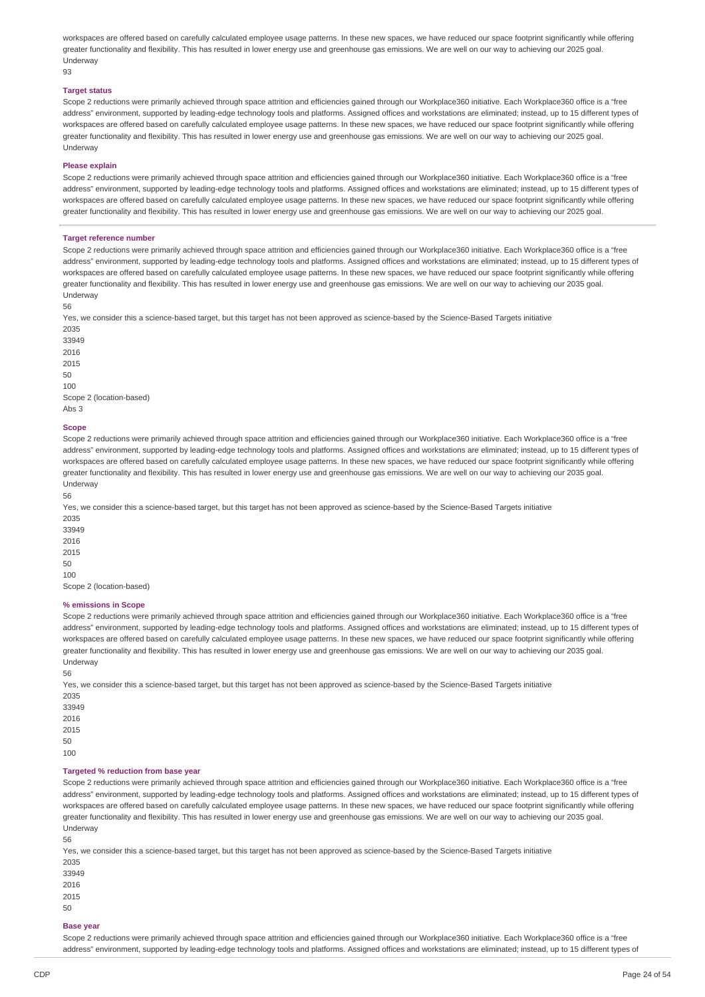workspaces are offered based on carefully calculated employee usage patterns. In these new spaces, we have reduced our space footprint significantly while offering greater functionality and flexibility. This has resulted in lower energy use and greenhouse gas emissions. We are well on our way to achieving our 2025 goal. Underway

 $03$ 

### **Target status**

Scope 2 reductions were primarily achieved through space attrition and efficiencies gained through our Workplace360 initiative. Each Workplace360 office is a "free address" environment, supported by leading-edge technology tools and platforms. Assigned offices and workstations are eliminated; instead, up to 15 different types of workspaces are offered based on carefully calculated employee usage patterns. In these new spaces, we have reduced our space footprint significantly while offering greater functionality and flexibility. This has resulted in lower energy use and greenhouse gas emissions. We are well on our way to achieving our 2025 goal. Underway

#### **Please explain**

Scope 2 reductions were primarily achieved through space attrition and efficiencies gained through our Workplace360 initiative. Each Workplace360 office is a "free address" environment, supported by leading-edge technology tools and platforms. Assigned offices and workstations are eliminated; instead, up to 15 different types of workspaces are offered based on carefully calculated employee usage patterns. In these new spaces, we have reduced our space footprint significantly while offering greater functionality and flexibility. This has resulted in lower energy use and greenhouse gas emissions. We are well on our way to achieving our 2025 goal.

#### **Target reference number**

Scope 2 reductions were primarily achieved through space attrition and efficiencies gained through our Workplace360 initiative. Each Workplace360 office is a "free address" environment, supported by leading-edge technology tools and platforms. Assigned offices and workstations are eliminated; instead, up to 15 different types of workspaces are offered based on carefully calculated employee usage patterns. In these new spaces, we have reduced our space footprint significantly while offering greater functionality and flexibility. This has resulted in lower energy use and greenhouse gas emissions. We are well on our way to achieving our 2035 goal. Underway

56

Yes, we consider this a science-based target, but this target has not been approved as science-based by the Science-Based Targets initiative

2035 33949 2016 2015  $50$ 100 Scope 2 (location-based) Abs 3

#### **Scope**

Scope 2 reductions were primarily achieved through space attrition and efficiencies gained through our Workplace360 initiative. Each Workplace360 office is a "free address" environment, supported by leading-edge technology tools and platforms. Assigned offices and workstations are eliminated; instead, up to 15 different types of workspaces are offered based on carefully calculated employee usage patterns. In these new spaces, we have reduced our space footprint significantly while offering greater functionality and flexibility. This has resulted in lower energy use and greenhouse gas emissions. We are well on our way to achieving our 2035 goal. Underway

56

Yes, we consider this a science-based target, but this target has not been approved as science-based by the Science-Based Targets initiative 2035

Scope 2 (location-based)

#### **% emissions in Scope**

Scope 2 reductions were primarily achieved through space attrition and efficiencies gained through our Workplace360 initiative. Each Workplace360 office is a "free address" environment, supported by leading-edge technology tools and platforms. Assigned offices and workstations are eliminated; instead, up to 15 different types of workspaces are offered based on carefully calculated employee usage patterns. In these new spaces, we have reduced our space footprint significantly while offering greater functionality and flexibility. This has resulted in lower energy use and greenhouse gas emissions. We are well on our way to achieving our 2035 goal. Underway

56

Yes, we consider this a science-based target, but this target has not been approved as science-based by the Science-Based Targets initiative 2035

#### **Targeted % reduction from base year**

Scope 2 reductions were primarily achieved through space attrition and efficiencies gained through our Workplace360 initiative. Each Workplace360 office is a "free address" environment, supported by leading-edge technology tools and platforms. Assigned offices and workstations are eliminated; instead, up to 15 different types of workspaces are offered based on carefully calculated employee usage patterns. In these new spaces, we have reduced our space footprint significantly while offering greater functionality and flexibility. This has resulted in lower energy use and greenhouse gas emissions. We are well on our way to achieving our 2035 goal. Underway

56

Yes, we consider this a science-based target, but this target has not been approved as science-based by the Science-Based Targets initiative 2035

33949 2016 2015

50

**Base year**

Scope 2 reductions were primarily achieved through space attrition and efficiencies gained through our Workplace360 initiative. Each Workplace360 office is a "free address" environment, supported by leading-edge technology tools and platforms. Assigned offices and workstations are eliminated; instead, up to 15 different types of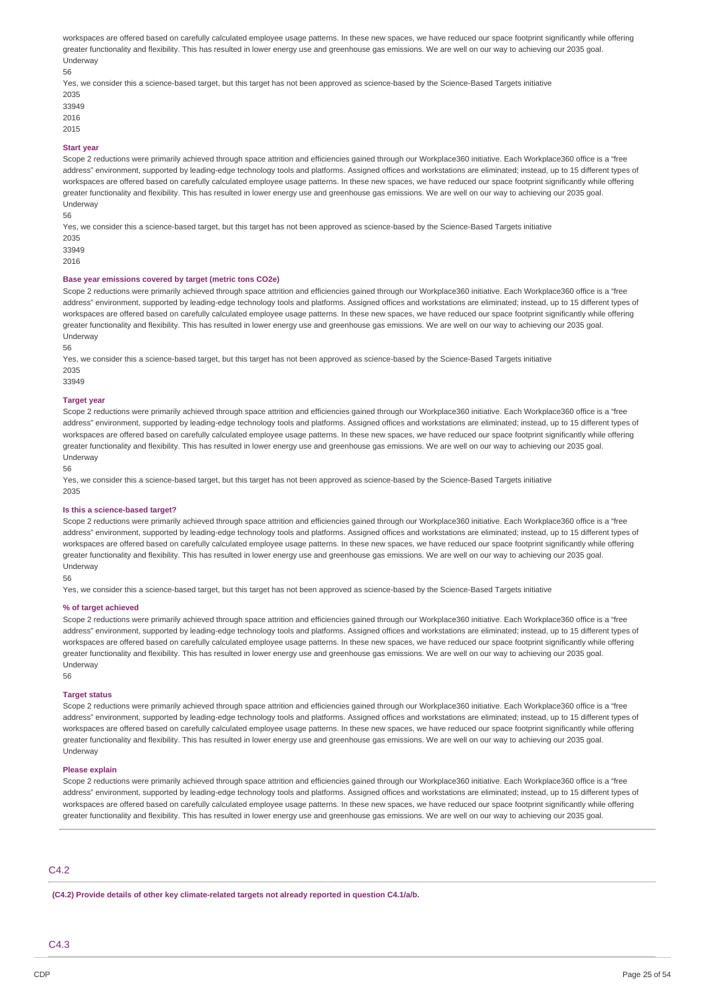workspaces are offered based on carefully calculated employee usage patterns. In these new spaces, we have reduced our space footprint significantly while offering greater functionality and flexibility. This has resulted in lower energy use and greenhouse gas emissions. We are well on our way to achieving our 2035 goal. Underway 56

Yes, we consider this a science-based target, but this target has not been approved as science-based by the Science-Based Targets initiative 2035

- 33949
- 2016 2015

### **Start year**

Scope 2 reductions were primarily achieved through space attrition and efficiencies gained through our Workplace360 initiative. Each Workplace360 office is a "free address" environment, supported by leading-edge technology tools and platforms. Assigned offices and workstations are eliminated; instead, up to 15 different types of workspaces are offered based on carefully calculated employee usage patterns. In these new spaces, we have reduced our space footprint significantly while offering greater functionality and flexibility. This has resulted in lower energy use and greenhouse gas emissions. We are well on our way to achieving our 2035 goal. Underway

56

Yes, we consider this a science-based target, but this target has not been approved as science-based by the Science-Based Targets initiative 2035

33949 2016

# **Base year emissions covered by target (metric tons CO2e)**

Scope 2 reductions were primarily achieved through space attrition and efficiencies gained through our Workplace360 initiative. Each Workplace360 office is a "free address" environment, supported by leading-edge technology tools and platforms. Assigned offices and workstations are eliminated; instead, up to 15 different types of workspaces are offered based on carefully calculated employee usage patterns. In these new spaces, we have reduced our space footprint significantly while offering greater functionality and flexibility. This has resulted in lower energy use and greenhouse gas emissions. We are well on our way to achieving our 2035 goal. Underway

56

Yes, we consider this a science-based target, but this target has not been approved as science-based by the Science-Based Targets initiative 2035

33949

### **Target year**

Scope 2 reductions were primarily achieved through space attrition and efficiencies gained through our Workplace360 initiative. Each Workplace360 office is a "free address" environment, supported by leading-edge technology tools and platforms. Assigned offices and workstations are eliminated; instead, up to 15 different types of workspaces are offered based on carefully calculated employee usage patterns. In these new spaces, we have reduced our space footprint significantly while offering greater functionality and flexibility. This has resulted in lower energy use and greenhouse gas emissions. We are well on our way to achieving our 2035 goal. Underway

56

Yes, we consider this a science-based target, but this target has not been approved as science-based by the Science-Based Targets initiative 2035

#### **Is this a science-based target?**

Scope 2 reductions were primarily achieved through space attrition and efficiencies gained through our Workplace360 initiative. Each Workplace360 office is a "free address" environment, supported by leading-edge technology tools and platforms. Assigned offices and workstations are eliminated; instead, up to 15 different types of workspaces are offered based on carefully calculated employee usage patterns. In these new spaces, we have reduced our space footprint significantly while offering greater functionality and flexibility. This has resulted in lower energy use and greenhouse gas emissions. We are well on our way to achieving our 2035 goal. Underway

56

Yes, we consider this a science-based target, but this target has not been approved as science-based by the Science-Based Targets initiative

#### **% of target achieved**

Scope 2 reductions were primarily achieved through space attrition and efficiencies gained through our Workplace360 initiative. Each Workplace360 office is a "free address" environment, supported by leading-edge technology tools and platforms. Assigned offices and workstations are eliminated; instead, up to 15 different types of workspaces are offered based on carefully calculated employee usage patterns. In these new spaces, we have reduced our space footprint significantly while offering greater functionality and flexibility. This has resulted in lower energy use and greenhouse gas emissions. We are well on our way to achieving our 2035 goal. Underway 56

#### **Target status**

Scope 2 reductions were primarily achieved through space attrition and efficiencies gained through our Workplace360 initiative. Each Workplace360 office is a "free address" environment, supported by leading-edge technology tools and platforms. Assigned offices and workstations are eliminated; instead, up to 15 different types of workspaces are offered based on carefully calculated employee usage patterns. In these new spaces, we have reduced our space footprint significantly while offering greater functionality and flexibility. This has resulted in lower energy use and greenhouse gas emissions. We are well on our way to achieving our 2035 goal. Underway

#### **Please explain**

Scope 2 reductions were primarily achieved through space attrition and efficiencies gained through our Workplace360 initiative. Each Workplace360 office is a "free address" environment, supported by leading-edge technology tools and platforms. Assigned offices and workstations are eliminated; instead, up to 15 different types of workspaces are offered based on carefully calculated employee usage patterns. In these new spaces, we have reduced our space footprint significantly while offering greater functionality and flexibility. This has resulted in lower energy use and greenhouse gas emissions. We are well on our way to achieving our 2035 goal.

# C4.2

**(C4.2) Provide details of other key climate-related targets not already reported in question C4.1/a/b.**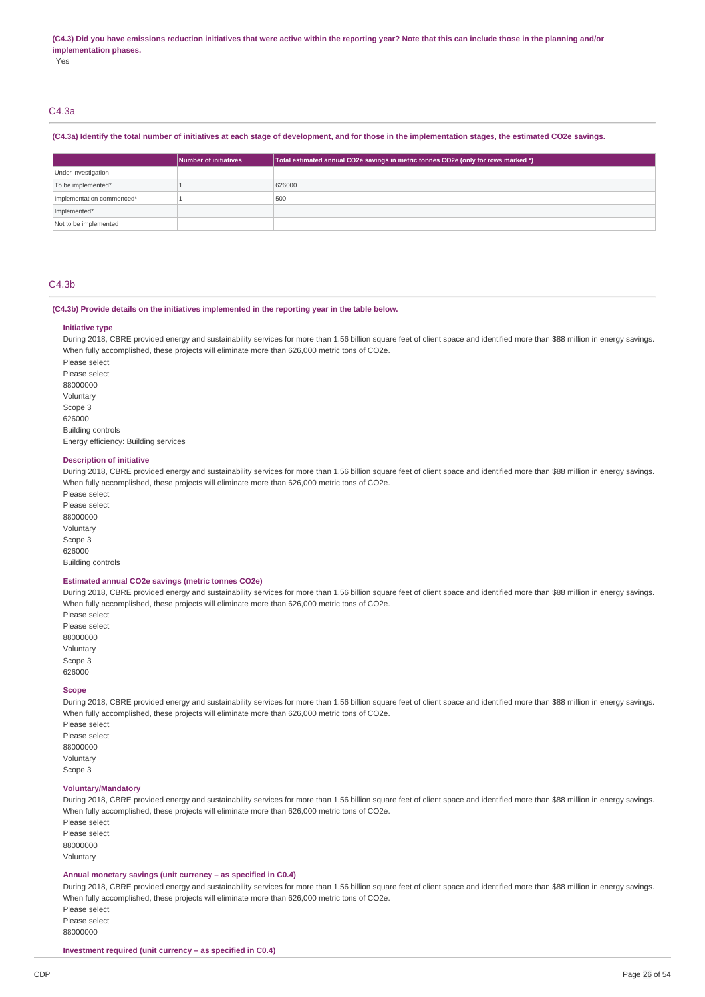#### (C4.3) Did you have emissions reduction initiatives that were active within the reporting year? Note that this can include those in the planning and/or **implementation phases.**

Yes

# C4.3a

### (C4.3a) Identify the total number of initiatives at each stage of development, and for those in the implementation stages, the estimated CO2e savings.

|                           | Number of initiatives | Total estimated annual CO2e savings in metric tonnes CO2e (only for rows marked *) |
|---------------------------|-----------------------|------------------------------------------------------------------------------------|
| Under investigation       |                       |                                                                                    |
| To be implemented*        |                       | 626000                                                                             |
| Implementation commenced* |                       | 500                                                                                |
| Implemented*              |                       |                                                                                    |
| Not to be implemented     |                       |                                                                                    |

### C4.3b

### **(C4.3b) Provide details on the initiatives implemented in the reporting year in the table below.**

#### **Initiative type**

During 2018, CBRE provided energy and sustainability services for more than 1.56 billion square feet of client space and identified more than \$88 million in energy savings. When fully accomplished, these projects will eliminate more than 626,000 metric tons of CO2e.

Please select Please select 88000000 Voluntary Scope 3 626000 Building controls Energy efficiency: Building services

#### **Description of initiative**

During 2018, CBRE provided energy and sustainability services for more than 1.56 billion square feet of client space and identified more than \$88 million in energy savings. When fully accomplished, these projects will eliminate more than 626,000 metric tons of CO2e.

Please select Please select 88000000 Voluntary Scope 3 626000 Building controls

#### **Estimated annual CO2e savings (metric tonnes CO2e)**

During 2018, CBRE provided energy and sustainability services for more than 1.56 billion square feet of client space and identified more than \$88 million in energy savings. When fully accomplished, these projects will eliminate more than 626,000 metric tons of CO2e.

Please select Please select 88000000 Voluntary Scope 3 626000

#### **Scope**

During 2018, CBRE provided energy and sustainability services for more than 1.56 billion square feet of client space and identified more than \$88 million in energy savings. When fully accomplished, these projects will eliminate more than 626,000 metric tons of CO2e.

Please select Please select 88000000 Voluntary Scope 3

### **Voluntary/Mandatory**

During 2018, CBRE provided energy and sustainability services for more than 1.56 billion square feet of client space and identified more than \$88 million in energy savings. When fully accomplished, these projects will eliminate more than 626,000 metric tons of CO2e.

Please select Please select 88000000 Voluntary

# **Annual monetary savings (unit currency – as specified in C0.4)**

During 2018, CBRE provided energy and sustainability services for more than 1.56 billion square feet of client space and identified more than \$88 million in energy savings. When fully accomplished, these projects will eliminate more than 626,000 metric tons of CO2e. Please select

Please select

88000000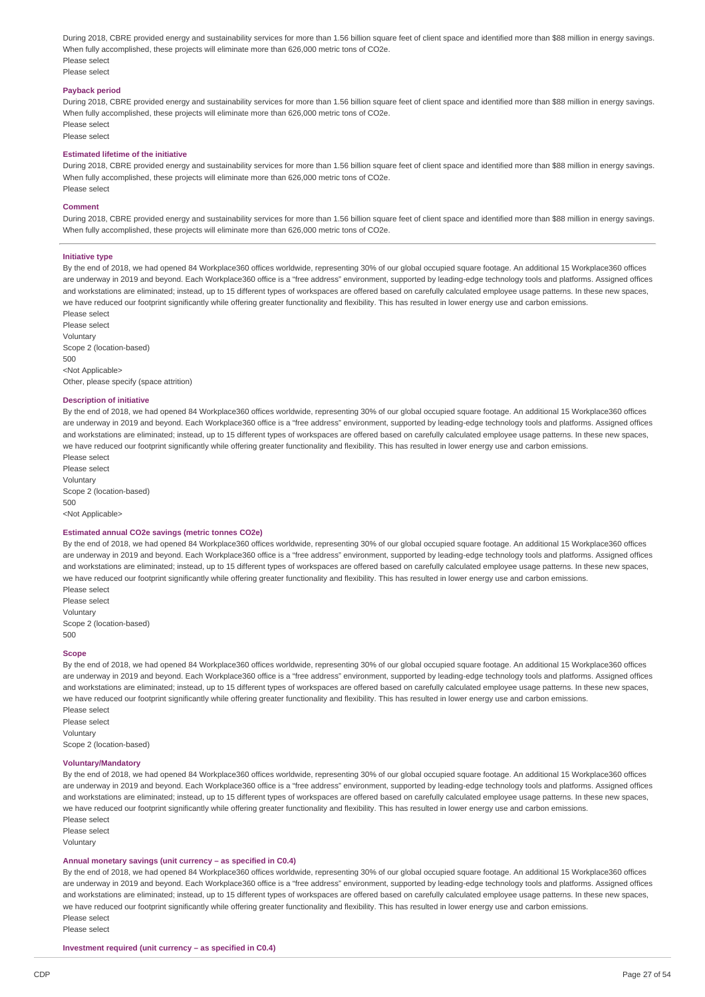During 2018, CBRE provided energy and sustainability services for more than 1.56 billion square feet of client space and identified more than \$88 million in energy savings. When fully accomplished, these projects will eliminate more than 626,000 metric tons of CO2e. Please select Please select

# **Payback period**

During 2018, CBRE provided energy and sustainability services for more than 1.56 billion square feet of client space and identified more than \$88 million in energy savings. When fully accomplished, these projects will eliminate more than 626,000 metric tons of CO2e. Please select

Please select

#### **Estimated lifetime of the initiative**

During 2018, CBRE provided energy and sustainability services for more than 1.56 billion square feet of client space and identified more than \$88 million in energy savings. When fully accomplished, these projects will eliminate more than 626,000 metric tons of CO2e. Please select

#### **Comment**

During 2018, CBRE provided energy and sustainability services for more than 1.56 billion square feet of client space and identified more than \$88 million in energy savings. When fully accomplished, these projects will eliminate more than 626,000 metric tons of CO2e.

#### **Initiative type**

By the end of 2018, we had opened 84 Workplace360 offices worldwide, representing 30% of our global occupied square footage. An additional 15 Workplace360 offices are underway in 2019 and beyond. Each Workplace360 office is a "free address" environment, supported by leading-edge technology tools and platforms. Assigned offices and workstations are eliminated; instead, up to 15 different types of workspaces are offered based on carefully calculated employee usage patterns. In these new spaces, we have reduced our footprint significantly while offering greater functionality and flexibility. This has resulted in lower energy use and carbon emissions.

Please select Please select Voluntary Scope 2 (location-based) 500 <Not Applicable> Other, please specify (space attrition)

#### **Description of initiative**

By the end of 2018, we had opened 84 Workplace360 offices worldwide, representing 30% of our global occupied square footage. An additional 15 Workplace360 offices are underway in 2019 and beyond. Each Workplace360 office is a "free address" environment, supported by leading-edge technology tools and platforms. Assigned offices and workstations are eliminated; instead, up to 15 different types of workspaces are offered based on carefully calculated employee usage patterns. In these new spaces, we have reduced our footprint significantly while offering greater functionality and flexibility. This has resulted in lower energy use and carbon emissions. Please select

Please select Voluntary Scope 2 (location-based) 500 <Not Applicable>

#### **Estimated annual CO2e savings (metric tonnes CO2e)**

By the end of 2018, we had opened 84 Workplace360 offices worldwide, representing 30% of our global occupied square footage. An additional 15 Workplace360 offices are underway in 2019 and beyond. Each Workplace360 office is a "free address" environment, supported by leading-edge technology tools and platforms. Assigned offices and workstations are eliminated; instead, up to 15 different types of workspaces are offered based on carefully calculated employee usage patterns. In these new spaces, we have reduced our footprint significantly while offering greater functionality and flexibility. This has resulted in lower energy use and carbon emissions. Please select

Please select Voluntary Scope 2 (location-based) 500

#### **Scope**

By the end of 2018, we had opened 84 Workplace360 offices worldwide, representing 30% of our global occupied square footage. An additional 15 Workplace360 offices are underway in 2019 and beyond. Each Workplace360 office is a "free address" environment, supported by leading-edge technology tools and platforms. Assigned offices and workstations are eliminated; instead, up to 15 different types of workspaces are offered based on carefully calculated employee usage patterns. In these new spaces, we have reduced our footprint significantly while offering greater functionality and flexibility. This has resulted in lower energy use and carbon emissions. Please select

Please select Voluntary Scope 2 (location-based)

#### **Voluntary/Mandatory**

By the end of 2018, we had opened 84 Workplace360 offices worldwide, representing 30% of our global occupied square footage. An additional 15 Workplace360 offices are underway in 2019 and beyond. Each Workplace360 office is a "free address" environment, supported by leading-edge technology tools and platforms. Assigned offices and workstations are eliminated; instead, up to 15 different types of workspaces are offered based on carefully calculated employee usage patterns. In these new spaces, we have reduced our footprint significantly while offering greater functionality and flexibility. This has resulted in lower energy use and carbon emissions. Please select

Please select

Voluntary

#### **Annual monetary savings (unit currency – as specified in C0.4)**

By the end of 2018, we had opened 84 Workplace360 offices worldwide, representing 30% of our global occupied square footage. An additional 15 Workplace360 offices are underway in 2019 and beyond. Each Workplace360 office is a "free address" environment, supported by leading-edge technology tools and platforms. Assigned offices and workstations are eliminated; instead, up to 15 different types of workspaces are offered based on carefully calculated employee usage patterns. In these new spaces we have reduced our footprint significantly while offering greater functionality and flexibility. This has resulted in lower energy use and carbon emissions. Please select

Please select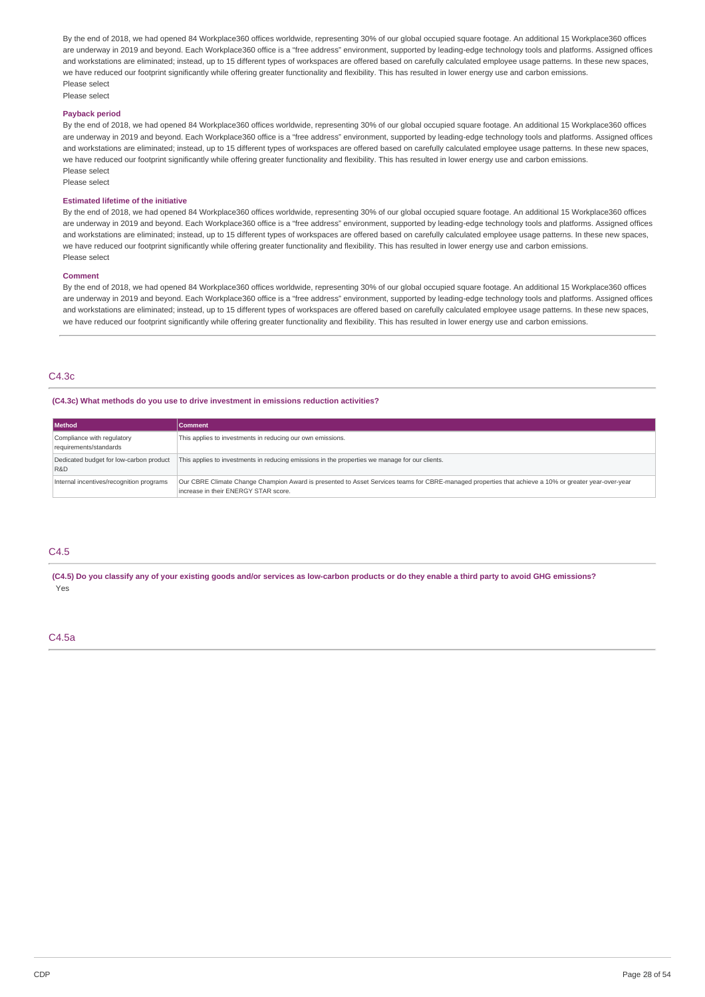By the end of 2018, we had opened 84 Workplace360 offices worldwide, representing 30% of our global occupied square footage. An additional 15 Workplace360 offices are underway in 2019 and beyond. Each Workplace360 office is a "free address" environment, supported by leading-edge technology tools and platforms. Assigned offices and workstations are eliminated; instead, up to 15 different types of workspaces are offered based on carefully calculated employee usage patterns. In these new spaces, we have reduced our footprint significantly while offering greater functionality and flexibility. This has resulted in lower energy use and carbon emissions. Please select

Please select

# **Payback period**

By the end of 2018, we had opened 84 Workplace360 offices worldwide, representing 30% of our global occupied square footage. An additional 15 Workplace360 offices are underway in 2019 and beyond. Each Workplace360 office is a "free address" environment, supported by leading-edge technology tools and platforms. Assigned offices and workstations are eliminated; instead, up to 15 different types of workspaces are offered based on carefully calculated employee usage patterns. In these new spaces, we have reduced our footprint significantly while offering greater functionality and flexibility. This has resulted in lower energy use and carbon emissions. Please select

Please select

#### **Estimated lifetime of the initiative**

By the end of 2018, we had opened 84 Workplace360 offices worldwide, representing 30% of our global occupied square footage. An additional 15 Workplace360 offices are underway in 2019 and beyond. Each Workplace360 office is a "free address" environment, supported by leading-edge technology tools and platforms. Assigned offices and workstations are eliminated; instead, up to 15 different types of workspaces are offered based on carefully calculated employee usage patterns. In these new spaces, we have reduced our footprint significantly while offering greater functionality and flexibility. This has resulted in lower energy use and carbon emissions. Please select

#### **Comment**

By the end of 2018, we had opened 84 Workplace360 offices worldwide, representing 30% of our global occupied square footage. An additional 15 Workplace360 offices are underway in 2019 and beyond. Each Workplace360 office is a "free address" environment, supported by leading-edge technology tools and platforms. Assigned offices and workstations are eliminated; instead, up to 15 different types of workspaces are offered based on carefully calculated employee usage patterns. In these new spaces, we have reduced our footprint significantly while offering greater functionality and flexibility. This has resulted in lower energy use and carbon emissions.

# C4.3c

#### **(C4.3c) What methods do you use to drive investment in emissions reduction activities?**

| <b>Method</b>                                        | <b>Comment</b>                                                                                                                                                                               |
|------------------------------------------------------|----------------------------------------------------------------------------------------------------------------------------------------------------------------------------------------------|
| Compliance with regulatory<br>requirements/standards | This applies to investments in reducing our own emissions.                                                                                                                                   |
| Dedicated budget for low-carbon product<br>R&D       | This applies to investments in reducing emissions in the properties we manage for our clients.                                                                                               |
| Internal incentives/recognition programs             | Our CBRE Climate Change Champion Award is presented to Asset Services teams for CBRE-managed properties that achieve a 10% or greater year-over-year<br>increase in their ENERGY STAR score. |

# C4.5

(C4.5) Do you classify any of your existing goods and/or services as low-carbon products or do they enable a third party to avoid GHG emissions? Yes

#### C4.5a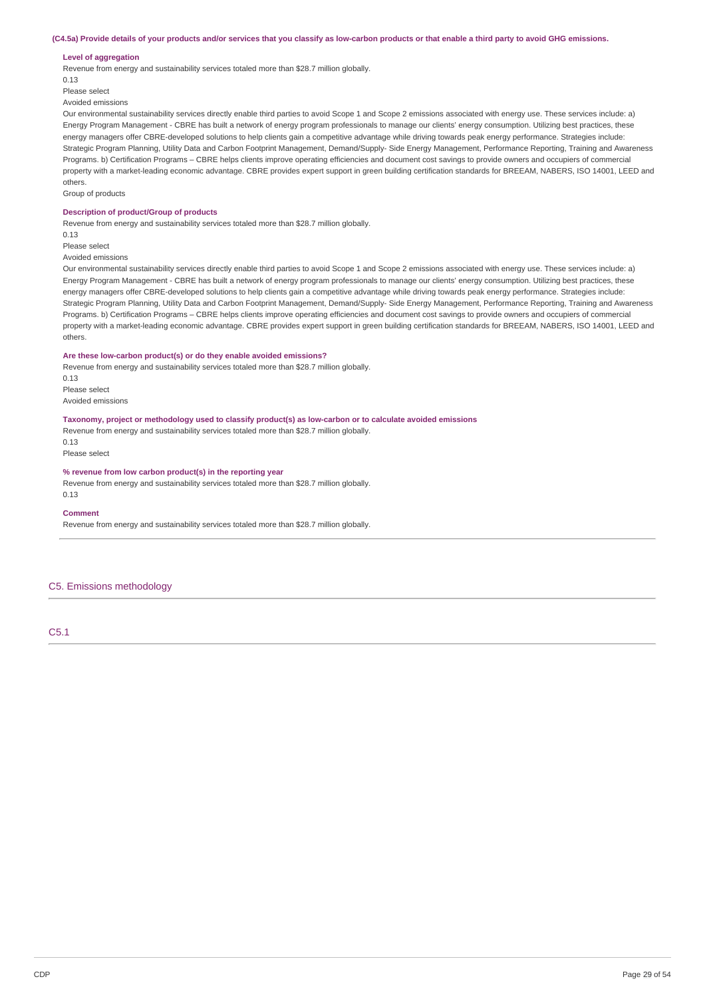#### (C4.5a) Provide details of your products and/or services that you classify as low-carbon products or that enable a third party to avoid GHG emissions.

#### **Level of aggregation**

Revenue from energy and sustainability services totaled more than \$28.7 million globally.

0.13

# Please select

Avoided emissions

Our environmental sustainability services directly enable third parties to avoid Scope 1 and Scope 2 emissions associated with energy use. These services include: a) Energy Program Management - CBRE has built a network of energy program professionals to manage our clients' energy consumption. Utilizing best practices, these energy managers offer CBRE-developed solutions to help clients gain a competitive advantage while driving towards peak energy performance. Strategies include: Strategic Program Planning, Utility Data and Carbon Footprint Management, Demand/Supply- Side Energy Management, Performance Reporting, Training and Awareness Programs. b) Certification Programs – CBRE helps clients improve operating efficiencies and document cost savings to provide owners and occupiers of commercial property with a market-leading economic advantage. CBRE provides expert support in green building certification standards for BREEAM, NABERS, ISO 14001, LEED and others.

Group of products

### **Description of product/Group of products**

Revenue from energy and sustainability services totaled more than \$28.7 million globally.

0.13

Please select

Avoided emissions

Our environmental sustainability services directly enable third parties to avoid Scope 1 and Scope 2 emissions associated with energy use. These services include: a) Energy Program Management - CBRE has built a network of energy program professionals to manage our clients' energy consumption. Utilizing best practices, these energy managers offer CBRE-developed solutions to help clients gain a competitive advantage while driving towards peak energy performance. Strategies include: Strategic Program Planning, Utility Data and Carbon Footprint Management, Demand/Supply- Side Energy Management, Performance Reporting, Training and Awareness Programs. b) Certification Programs – CBRE helps clients improve operating efficiencies and document cost savings to provide owners and occupiers of commercial property with a market-leading economic advantage. CBRE provides expert support in green building certification standards for BREEAM, NABERS, ISO 14001, LEED and others.

### **Are these low-carbon product(s) or do they enable avoided emissions?**

Revenue from energy and sustainability services totaled more than \$28.7 million globally. 0.13

Please select Avoided emissions

## **Taxonomy, project or methodology used to classify product(s) as low-carbon or to calculate avoided emissions**

Revenue from energy and sustainability services totaled more than \$28.7 million globally. 0.13

Please select

# **% revenue from low carbon product(s) in the reporting year**

Revenue from energy and sustainability services totaled more than \$28.7 million globally. 0.13

#### **Comment**

Revenue from energy and sustainability services totaled more than \$28.7 million globally.

# C5. Emissions methodology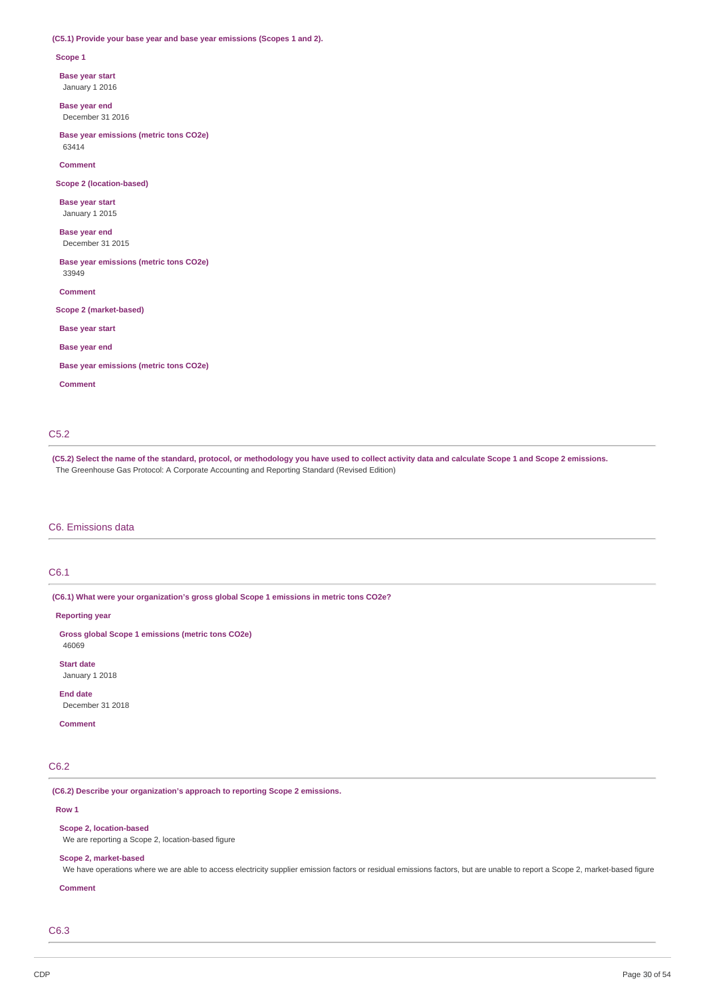#### **(C5.1) Provide your base year and base year emissions (Scopes 1 and 2).**

#### **Scope 1**

**Base year start**

January 1 2016

**Base year end** December 31 2016

**Base year emissions (metric tons CO2e)** 63414

**Comment**

**Scope 2 (location-based)**

**Base year start** January 1 2015

**Base year end** December 31 2015

**Base year emissions (metric tons CO2e)** 33949

**Comment**

**Scope 2 (market-based)**

**Base year start**

**Base year end**

**Base year emissions (metric tons CO2e)**

**Comment**

# C5.2

(C5.2) Select the name of the standard, protocol, or methodology you have used to collect activity data and calculate Scope 1 and Scope 2 emissions. The Greenhouse Gas Protocol: A Corporate Accounting and Reporting Standard (Revised Edition)

# C6. Emissions data

# C6.1

**(C6.1) What were your organization's gross global Scope 1 emissions in metric tons CO2e?**

**Reporting year**

**Gross global Scope 1 emissions (metric tons CO2e)** 46069

**Start date** January 1 2018

**End date**

December 31 2018

**Comment**

# C6.2

**(C6.2) Describe your organization's approach to reporting Scope 2 emissions.**

#### **Row 1**

**Scope 2, location-based**

We are reporting a Scope 2, location-based figure

#### **Scope 2, market-based**

We have operations where we are able to access electricity supplier emission factors or residual emissions factors, but are unable to report a Scope 2, market-based figure

# **Comment**

C6.3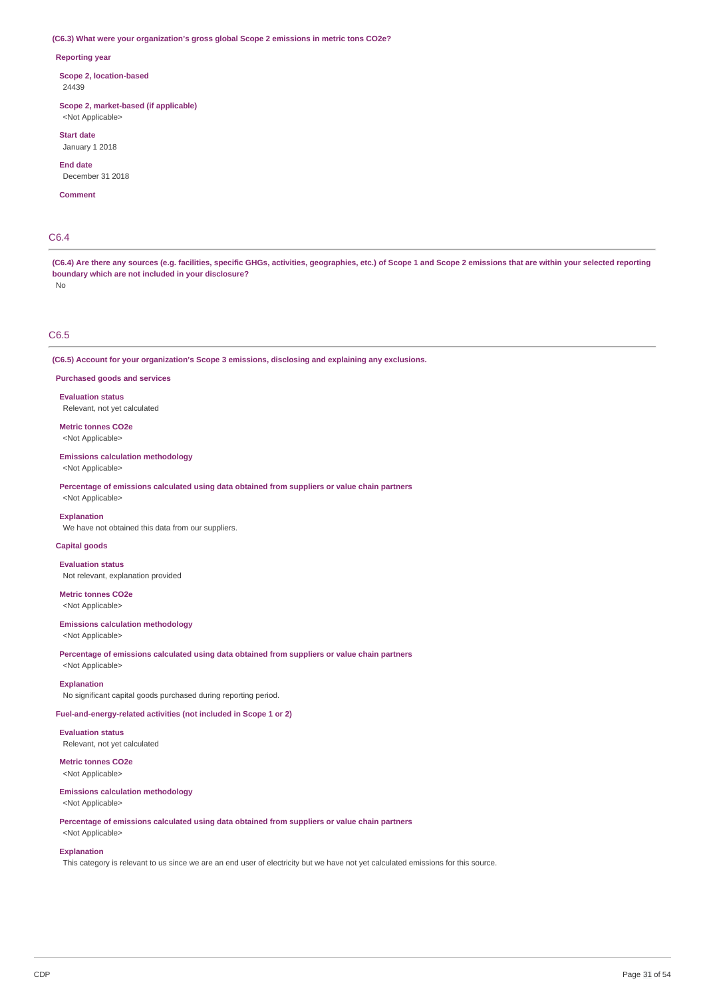#### **(C6.3) What were your organization's gross global Scope 2 emissions in metric tons CO2e?**

#### **Reporting year**

**Scope 2, location-based** 24439

**Scope 2, market-based (if applicable)** <Not Applicable>

**Start date**

January 1 2018

**End date** December 31 2018

**Comment**

# C6.4

(C6.4) Are there any sources (e.g. facilities, specific GHGs, activities, geographies, etc.) of Scope 1 and Scope 2 emissions that are within your selected reporting **boundary which are not included in your disclosure?**

No

# C6.5

**(C6.5) Account for your organization's Scope 3 emissions, disclosing and explaining any exclusions.**

**Purchased goods and services**

**Evaluation status** Relevant, not yet calculated

**Metric tonnes CO2e** <Not Applicable>

**Emissions calculation methodology** <Not Applicable>

**Percentage of emissions calculated using data obtained from suppliers or value chain partners** <Not Applicable>

#### **Explanation**

We have not obtained this data from our suppliers.

# **Capital goods**

**Evaluation status**

Not relevant, explanation provided

**Metric tonnes CO2e** <Not Applicable>

**Emissions calculation methodology** <Not Applicable>

**Percentage of emissions calculated using data obtained from suppliers or value chain partners**

<Not Applicable>

#### **Explanation**

No significant capital goods purchased during reporting period.

**Fuel-and-energy-related activities (not included in Scope 1 or 2)**

**Evaluation status** Relevant, not yet calculated

**Metric tonnes CO2e** <Not Applicable>

### **Emissions calculation methodology** <Not Applicable>

**Percentage of emissions calculated using data obtained from suppliers or value chain partners**

<Not Applicable>

#### **Explanation**

This category is relevant to us since we are an end user of electricity but we have not yet calculated emissions for this source.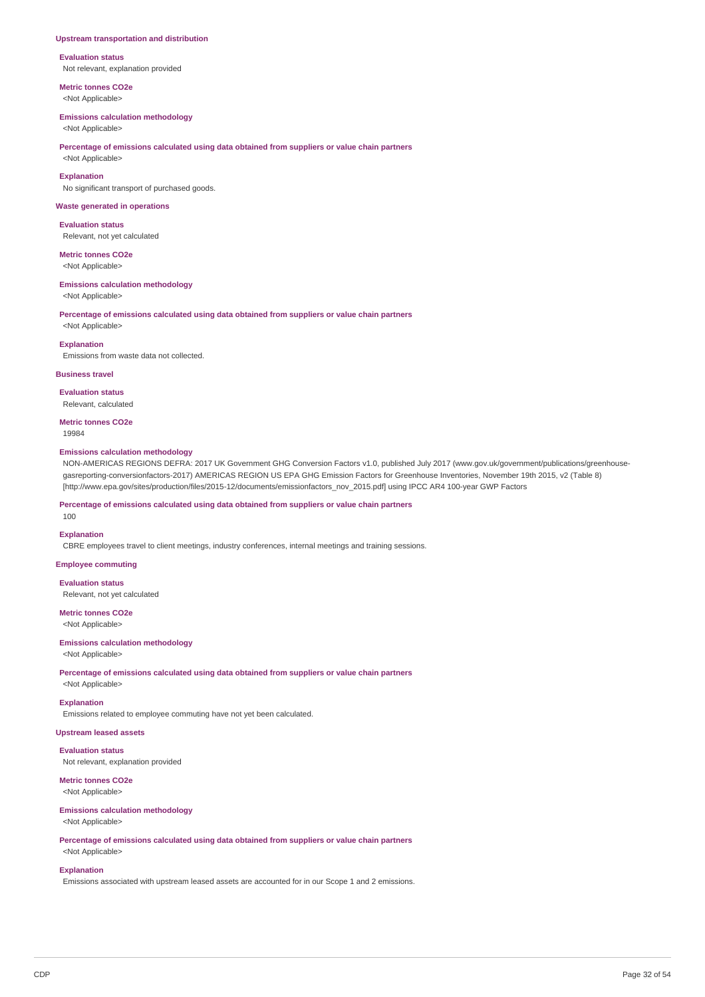#### **Upstream transportation and distribution**

**Evaluation status** Not relevant, explanation provided

**Metric tonnes CO2e** <Not Applicable>

# **Emissions calculation methodology**

<Not Applicable>

# **Percentage of emissions calculated using data obtained from suppliers or value chain partners**

<Not Applicable>

**Explanation** No significant transport of purchased goods.

#### **Waste generated in operations**

**Evaluation status** Relevant, not yet calculated

# **Metric tonnes CO2e**

<Not Applicable>

### **Emissions calculation methodology**

<Not Applicable>

#### **Percentage of emissions calculated using data obtained from suppliers or value chain partners**

<Not Applicable>

**Explanation** Emissions from waste data not collected.

#### **Business travel**

**Evaluation status** Relevant, calculated

**Metric tonnes CO2e** 19984

#### **Emissions calculation methodology**

NON-AMERICAS REGIONS DEFRA: 2017 UK Government GHG Conversion Factors v1.0, published July 2017 (www.gov.uk/government/publications/greenhousegasreporting-conversionfactors-2017) AMERICAS REGION US EPA GHG Emission Factors for Greenhouse Inventories, November 19th 2015, v2 (Table 8) [http://www.epa.gov/sites/production/files/2015-12/documents/emissionfactors\_nov\_2015.pdf] using IPCC AR4 100-year GWP Factors

**Percentage of emissions calculated using data obtained from suppliers or value chain partners**

### **Explanation**

100

CBRE employees travel to client meetings, industry conferences, internal meetings and training sessions.

**Employee commuting**

#### **Evaluation status**

Relevant, not yet calculated

**Metric tonnes CO2e** <Not Applicable>

# **Emissions calculation methodology** <Not Applicable>

**Percentage of emissions calculated using data obtained from suppliers or value chain partners** <Not Applicable>

#### **Explanation**

Emissions related to employee commuting have not yet been calculated.

# **Upstream leased assets**

**Evaluation status**

Not relevant, explanation provided

**Metric tonnes CO2e** <Not Applicable>

# **Emissions calculation methodology**

# <Not Applicable>

**Percentage of emissions calculated using data obtained from suppliers or value chain partners** <Not Applicable>

#### **Explanation**

Emissions associated with upstream leased assets are accounted for in our Scope 1 and 2 emissions.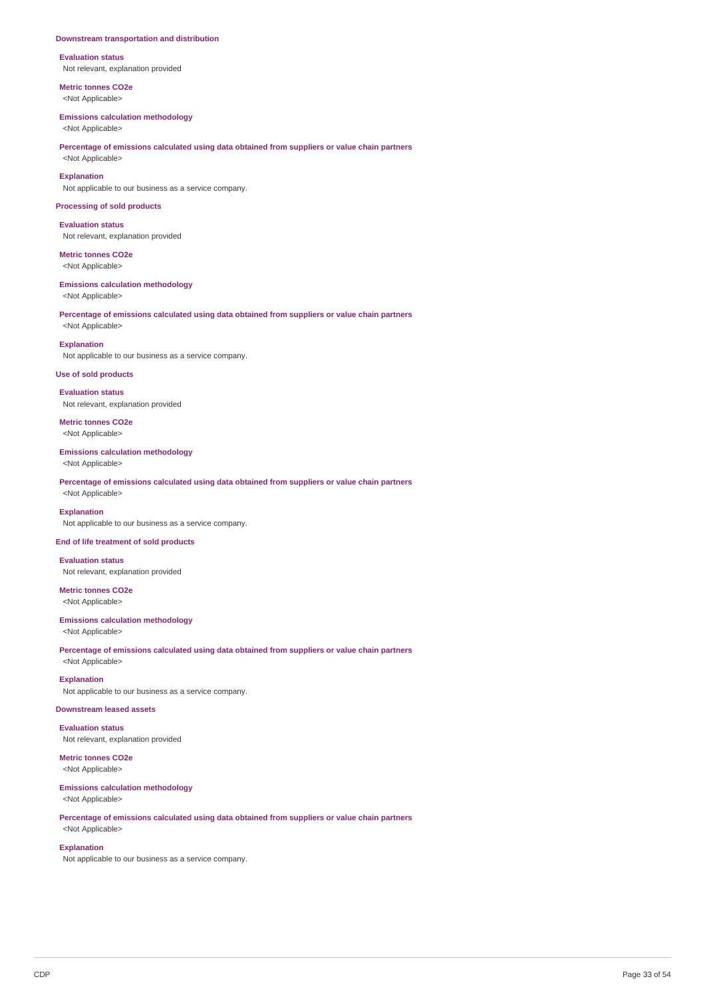#### **Downstream transportation and distribution**

**Evaluation status** Not relevant, explanation provided

**Metric tonnes CO2e** <Not Applicable>

#### **Emissions calculation methodology**

<Not Applicable>

# **Percentage of emissions calculated using data obtained from suppliers or value chain partners**

<Not Applicable> **Explanation**

Not applicable to our business as a service company.

#### **Processing of sold products**

**Evaluation status** Not relevant, explanation provided

**Metric tonnes CO2e** <Not Applicable>

### **Emissions calculation methodology**

<Not Applicable>

# **Percentage of emissions calculated using data obtained from suppliers or value chain partners** <Not Applicable>

**Explanation** Not applicable to our business as a service company.

# **Use of sold products**

**Evaluation status**

Not relevant, explanation provided

**Metric tonnes CO2e** <Not Applicable>

# **Emissions calculation methodology**

<Not Applicable>

**Percentage of emissions calculated using data obtained from suppliers or value chain partners** <Not Applicable>

# **Explanation**

Not applicable to our business as a service company.

# **End of life treatment of sold products**

**Evaluation status** Not relevant, explanation provided

**Metric tonnes CO2e** <Not Applicable>

# **Emissions calculation methodology**

<Not Applicable>

**Percentage of emissions calculated using data obtained from suppliers or value chain partners** <Not Applicable>

# **Explanation**

Not applicable to our business as a service company.

# **Downstream leased assets**

**Evaluation status** Not relevant, explanation provided

**Metric tonnes CO2e** <Not Applicable>

#### **Emissions calculation methodology** <Not Applicable>

**Percentage of emissions calculated using data obtained from suppliers or value chain partners**

# **Explanation**

<Not Applicable>

Not applicable to our business as a service company.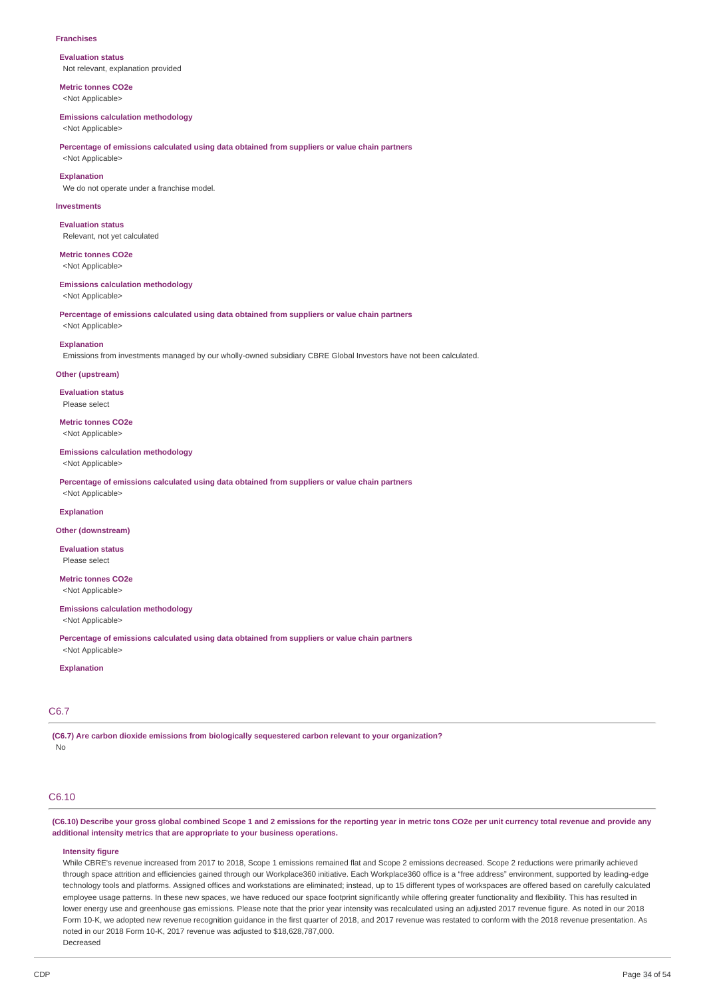#### **Franchises**

**Evaluation status** Not relevant, explanation provided

**Metric tonnes CO2e** <Not Applicable>

#### **Emissions calculation methodology**

<Not Applicable>

#### **Percentage of emissions calculated using data obtained from suppliers or value chain partners** <Not Applicable>

**Explanation**

We do not operate under a franchise model.

#### **Investments**

**Evaluation status** Relevant, not yet calculated

**Metric tonnes CO2e** <Not Applicable>

#### **Emissions calculation methodology**

<Not Applicable>

**Percentage of emissions calculated using data obtained from suppliers or value chain partners**

<Not Applicable>

# **Explanation**

Emissions from investments managed by our wholly-owned subsidiary CBRE Global Investors have not been calculated.

#### **Other (upstream)**

**Evaluation status** Please select

**Metric tonnes CO2e** <Not Applicable>

#### **Emissions calculation methodology**

<Not Applicable>

<Not Applicable>

**Percentage of emissions calculated using data obtained from suppliers or value chain partners**

#### **Explanation**

#### **Other (downstream)**

**Evaluation status** Please select

**Metric tonnes CO2e** <Not Applicable>

# **Emissions calculation methodology**

<Not Applicable>

**Percentage of emissions calculated using data obtained from suppliers or value chain partners** <Not Applicable>

**Explanation**

# C6.7

**(C6.7) Are carbon dioxide emissions from biologically sequestered carbon relevant to your organization?** No

# C6.10

(C6.10) Describe your gross global combined Scope 1 and 2 emissions for the reporting year in metric tons CO2e per unit currency total revenue and provide any **additional intensity metrics that are appropriate to your business operations.**

#### **Intensity figure**

While CBRE's revenue increased from 2017 to 2018, Scope 1 emissions remained flat and Scope 2 emissions decreased. Scope 2 reductions were primarily achieved through space attrition and efficiencies gained through our Workplace360 initiative. Each Workplace360 office is a "free address" environment, supported by leading-edge technology tools and platforms. Assigned offices and workstations are eliminated; instead, up to 15 different types of workspaces are offered based on carefully calculated employee usage patterns. In these new spaces, we have reduced our space footprint significantly while offering greater functionality and flexibility. This has resulted in lower energy use and greenhouse gas emissions. Please note that the prior year intensity was recalculated using an adjusted 2017 revenue figure. As noted in our 2018 Form 10-K, we adopted new revenue recognition guidance in the first quarter of 2018, and 2017 revenue was restated to conform with the 2018 revenue presentation. As noted in our 2018 Form 10-K, 2017 revenue was adjusted to \$18,628,787,000. Decreased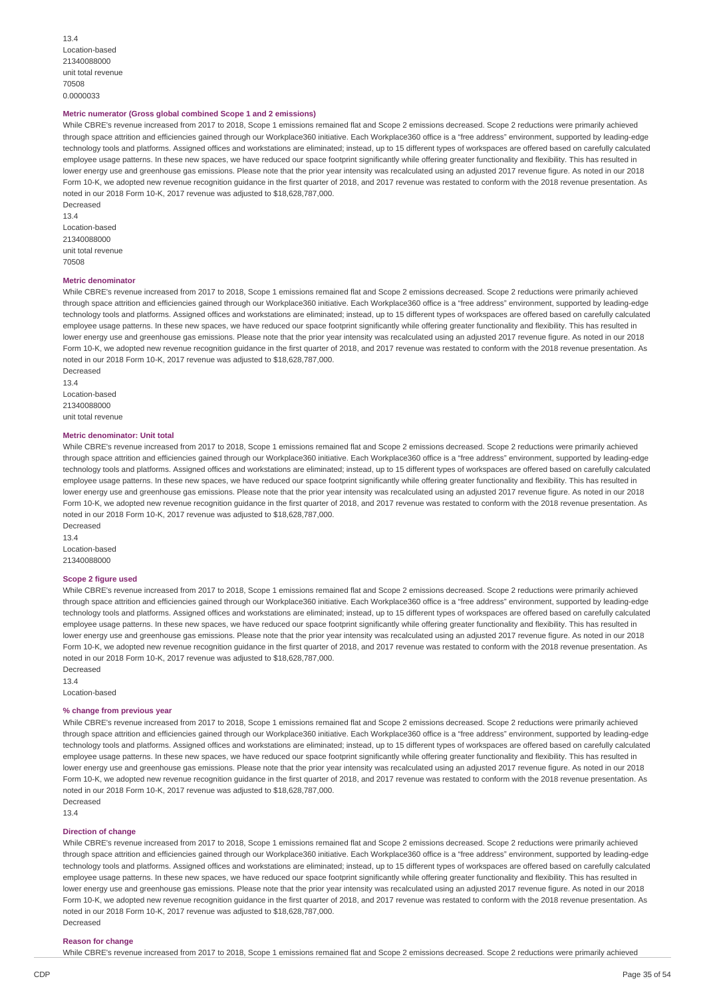13.4 Location-based 21340088000 unit total revenue 70508 0.0000033

#### **Metric numerator (Gross global combined Scope 1 and 2 emissions)**

While CBRE's revenue increased from 2017 to 2018, Scope 1 emissions remained flat and Scope 2 emissions decreased. Scope 2 reductions were primarily achieved through space attrition and efficiencies gained through our Workplace360 initiative. Each Workplace360 office is a "free address" environment, supported by leading-edge technology tools and platforms. Assigned offices and workstations are eliminated; instead, up to 15 different types of workspaces are offered based on carefully calculated employee usage patterns. In these new spaces, we have reduced our space footprint significantly while offering greater functionality and flexibility. This has resulted in lower energy use and greenhouse gas emissions. Please note that the prior year intensity was recalculated using an adjusted 2017 revenue figure. As noted in our 2018 Form 10-K, we adopted new revenue recognition guidance in the first quarter of 2018, and 2017 revenue was restated to conform with the 2018 revenue presentation. As noted in our 2018 Form 10-K, 2017 revenue was adjusted to \$18,628,787,000.

Decreased 13.4 Location-based 21340088000 unit total revenue 70508

#### **Metric denominator**

While CBRE's revenue increased from 2017 to 2018, Scope 1 emissions remained flat and Scope 2 emissions decreased. Scope 2 reductions were primarily achieved through space attrition and efficiencies gained through our Workplace360 initiative. Each Workplace360 office is a "free address" environment, supported by leading-edge technology tools and platforms. Assigned offices and workstations are eliminated; instead, up to 15 different types of workspaces are offered based on carefully calculated employee usage patterns. In these new spaces, we have reduced our space footprint significantly while offering greater functionality and flexibility. This has resulted in lower energy use and greenhouse gas emissions. Please note that the prior year intensity was recalculated using an adjusted 2017 revenue figure. As noted in our 2018 Form 10-K, we adopted new revenue recognition guidance in the first quarter of 2018, and 2017 revenue was restated to conform with the 2018 revenue presentation. As noted in our 2018 Form 10-K, 2017 revenue was adjusted to \$18,628,787,000. Decreased

13.4 Location-based 21340088000 unit total revenue

# **Metric denominator: Unit total**

While CBRE's revenue increased from 2017 to 2018. Scope 1 emissions remained flat and Scope 2 emissions decreased. Scope 2 reductions were primarily achieved through space attrition and efficiencies gained through our Workplace360 initiative. Each Workplace360 office is a "free address" environment, supported by leading-edge technology tools and platforms. Assigned offices and workstations are eliminated; instead, up to 15 different types of workspaces are offered based on carefully calculated employee usage patterns. In these new spaces, we have reduced our space footprint significantly while offering greater functionality and flexibility. This has resulted in lower energy use and greenhouse gas emissions. Please note that the prior year intensity was recalculated using an adjusted 2017 revenue figure. As noted in our 2018 Form 10-K, we adopted new revenue recognition guidance in the first quarter of 2018, and 2017 revenue was restated to conform with the 2018 revenue presentation. As noted in our 2018 Form 10-K, 2017 revenue was adjusted to \$18,628,787,000. Decreased

13.4 Location-based 21340088000

#### **Scope 2 figure used**

While CBRE's revenue increased from 2017 to 2018, Scope 1 emissions remained flat and Scope 2 emissions decreased. Scope 2 reductions were primarily achieved through space attrition and efficiencies gained through our Workplace360 initiative. Each Workplace360 office is a "free address" environment, supported by leading-edge technology tools and platforms. Assigned offices and workstations are eliminated; instead, up to 15 different types of workspaces are offered based on carefully calculated employee usage patterns. In these new spaces, we have reduced our space footprint significantly while offering greater functionality and flexibility. This has resulted in lower energy use and greenhouse gas emissions. Please note that the prior year intensity was recalculated using an adjusted 2017 revenue figure. As noted in our 2018 Form 10-K, we adopted new revenue recognition guidance in the first quarter of 2018, and 2017 revenue was restated to conform with the 2018 revenue presentation. As noted in our 2018 Form 10-K, 2017 revenue was adjusted to \$18,628,787,000.

Decreased 13.4 Location-based

#### **% change from previous year**

While CBRE's revenue increased from 2017 to 2018. Scope 1 emissions remained flat and Scope 2 emissions decreased. Scope 2 reductions were primarily achieved through space attrition and efficiencies gained through our Workplace360 initiative. Each Workplace360 office is a "free address" environment, supported by leading-edge technology tools and platforms. Assigned offices and workstations are eliminated; instead, up to 15 different types of workspaces are offered based on carefully calculated employee usage patterns. In these new spaces, we have reduced our space footprint significantly while offering greater functionality and flexibility. This has resulted in lower energy use and greenhouse gas emissions. Please note that the prior year intensity was recalculated using an adjusted 2017 revenue figure. As noted in our 2018 Form 10-K, we adopted new revenue recognition guidance in the first quarter of 2018, and 2017 revenue was restated to conform with the 2018 revenue presentation. As noted in our 2018 Form 10-K, 2017 revenue was adjusted to \$18,628,787,000. Decreased

13.4

#### **Direction of change**

While CBRE's revenue increased from 2017 to 2018, Scope 1 emissions remained flat and Scope 2 emissions decreased. Scope 2 reductions were primarily achieved through space attrition and efficiencies gained through our Workplace360 initiative. Each Workplace360 office is a "free address" environment, supported by leading-edge technology tools and platforms. Assigned offices and workstations are eliminated; instead, up to 15 different types of workspaces are offered based on carefully calculated employee usage patterns. In these new spaces, we have reduced our space footprint significantly while offering greater functionality and flexibility. This has resulted in lower energy use and greenhouse gas emissions. Please note that the prior year intensity was recalculated using an adjusted 2017 revenue figure. As noted in our 2018 Form 10-K, we adopted new revenue recognition guidance in the first quarter of 2018, and 2017 revenue was restated to conform with the 2018 revenue presentation. As noted in our 2018 Form 10-K, 2017 revenue was adjusted to \$18,628,787,000. Decreased

#### **Reason for change**

While CBRE's revenue increased from 2017 to 2018, Scope 1 emissions remained flat and Scope 2 emissions decreased. Scope 2 reductions were primarily achieved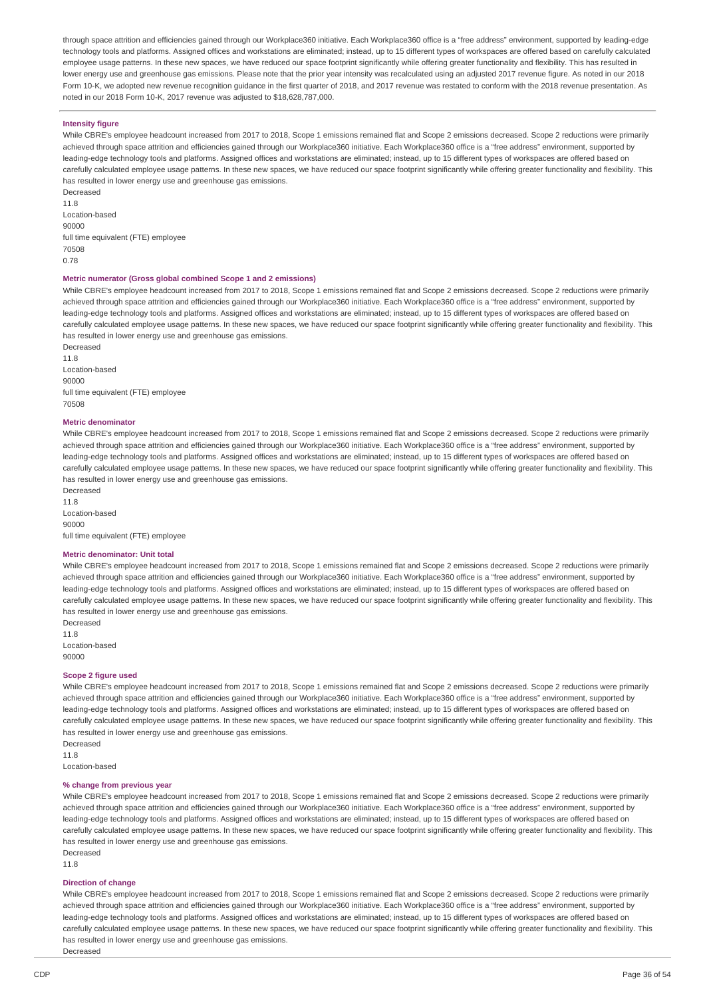through space attrition and efficiencies gained through our Workplace360 initiative. Each Workplace360 office is a "free address" environment, supported by leading-edge technology tools and platforms. Assigned offices and workstations are eliminated; instead, up to 15 different types of workspaces are offered based on carefully calculated employee usage patterns. In these new spaces, we have reduced our space footprint significantly while offering greater functionality and flexibility. This has resulted in lower energy use and greenhouse gas emissions. Please note that the prior year intensity was recalculated using an adjusted 2017 revenue figure. As noted in our 2018 Form 10-K, we adopted new revenue recognition guidance in the first quarter of 2018, and 2017 revenue was restated to conform with the 2018 revenue presentation. As noted in our 2018 Form 10-K, 2017 revenue was adjusted to \$18,628,787,000.

# **Intensity figure**

While CBRE's employee headcount increased from 2017 to 2018, Scope 1 emissions remained flat and Scope 2 emissions decreased. Scope 2 reductions were primarily achieved through space attrition and efficiencies gained through our Workplace360 initiative. Each Workplace360 office is a "free address" environment, supported by leading-edge technology tools and platforms. Assigned offices and workstations are eliminated; instead, up to 15 different types of workspaces are offered based on carefully calculated employee usage patterns. In these new spaces, we have reduced our space footprint significantly while offering greater functionality and flexibility. This has resulted in lower energy use and greenhouse gas emissions.

Decreased 11.8 Location-based 90000 full time equivalent (FTE) employee 70508 0.78

# **Metric numerator (Gross global combined Scope 1 and 2 emissions)**

While CBRE's employee headcount increased from 2017 to 2018, Scope 1 emissions remained flat and Scope 2 emissions decreased. Scope 2 reductions were primarily achieved through space attrition and efficiencies gained through our Workplace360 initiative. Each Workplace360 office is a "free address" environment, supported by leading-edge technology tools and platforms. Assigned offices and workstations are eliminated; instead, up to 15 different types of workspaces are offered based on carefully calculated employee usage patterns. In these new spaces, we have reduced our space footprint significantly while offering greater functionality and flexibility. This has resulted in lower energy use and greenhouse gas emissions.

Decreased 11.8 Location-based 90000 full time equivalent (FTE) employee 70508

#### **Metric denominator**

Decreased

While CBRE's employee headcount increased from 2017 to 2018, Scope 1 emissions remained flat and Scope 2 emissions decreased. Scope 2 reductions were primarily achieved through space attrition and efficiencies gained through our Workplace360 initiative. Each Workplace360 office is a "free address" environment, supported by leading-edge technology tools and platforms. Assigned offices and workstations are eliminated; instead, up to 15 different types of workspaces are offered based on carefully calculated employee usage patterns. In these new spaces, we have reduced our space footprint significantly while offering greater functionality and flexibility. This has resulted in lower energy use and greenhouse gas emissions.

11.8 Location-based 90000 full time equivalent (FTE) employee

#### **Metric denominator: Unit total**

While CBRE's employee headcount increased from 2017 to 2018. Scope 1 emissions remained flat and Scope 2 emissions decreased. Scope 2 reductions were primarily achieved through space attrition and efficiencies gained through our Workplace360 initiative. Each Workplace360 office is a "free address" environment, supported by leading-edge technology tools and platforms. Assigned offices and workstations are eliminated; instead, up to 15 different types of workspaces are offered based on carefully calculated employee usage patterns. In these new spaces, we have reduced our space footprint significantly while offering greater functionality and flexibility. This has resulted in lower energy use and greenhouse gas emissions.

Decreased 11.8 Location-based 90000

#### **Scope 2 figure used**

While CBRE's employee headcount increased from 2017 to 2018, Scope 1 emissions remained flat and Scope 2 emissions decreased. Scope 2 reductions were primarily achieved through space attrition and efficiencies gained through our Workplace360 initiative. Each Workplace360 office is a "free address" environment, supported by leading-edge technology tools and platforms. Assigned offices and workstations are eliminated; instead, up to 15 different types of workspaces are offered based on carefully calculated employee usage patterns. In these new spaces, we have reduced our space footprint significantly while offering greater functionality and flexibility. This has resulted in lower energy use and greenhouse gas emissions.

Decreased

11.8 Location-based

#### **% change from previous year**

While CBRE's employee headcount increased from 2017 to 2018, Scope 1 emissions remained flat and Scope 2 emissions decreased. Scope 2 reductions were primarily achieved through space attrition and efficiencies gained through our Workplace360 initiative. Each Workplace360 office is a "free address" environment, supported by leading-edge technology tools and platforms. Assigned offices and workstations are eliminated; instead, up to 15 different types of workspaces are offered based on carefully calculated employee usage patterns. In these new spaces, we have reduced our space footprint significantly while offering greater functionality and flexibility. This has resulted in lower energy use and greenhouse gas emissions. Decreased

11.8

#### **Direction of change**

While CBRE's employee headcount increased from 2017 to 2018. Scope 1 emissions remained flat and Scope 2 emissions decreased. Scope 2 reductions were primarily achieved through space attrition and efficiencies gained through our Workplace360 initiative. Each Workplace360 office is a "free address" environment, supported by leading-edge technology tools and platforms. Assigned offices and workstations are eliminated; instead, up to 15 different types of workspaces are offered based on carefully calculated employee usage patterns. In these new spaces, we have reduced our space footprint significantly while offering greater functionality and flexibility. This has resulted in lower energy use and greenhouse gas emissions.

Decreased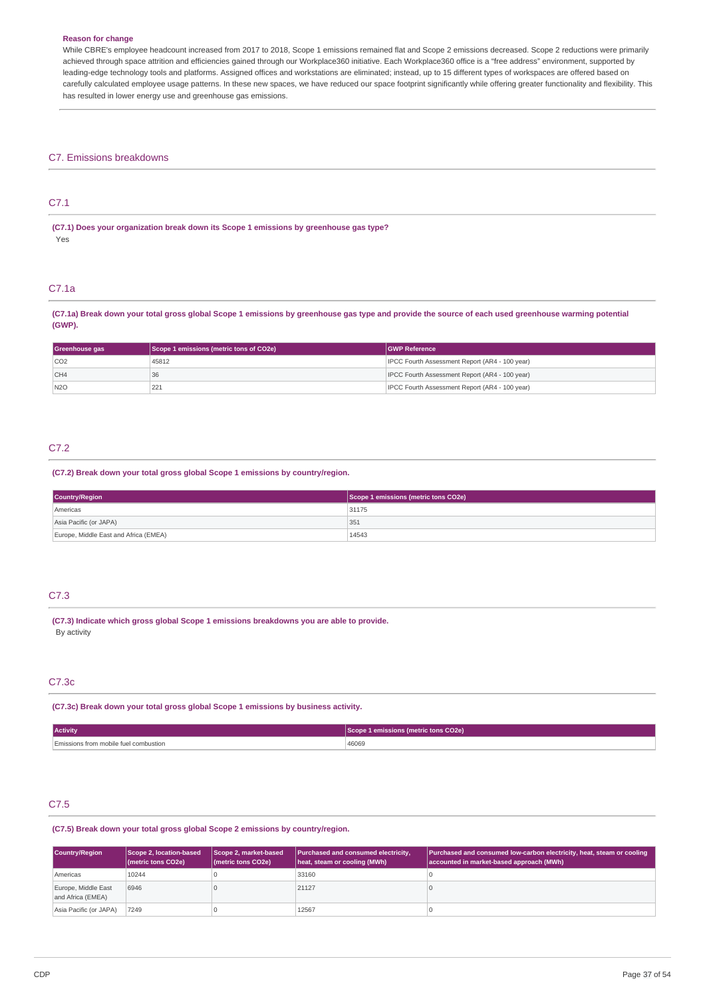#### **Reason for change**

While CBRE's employee headcount increased from 2017 to 2018, Scope 1 emissions remained flat and Scope 2 emissions decreased. Scope 2 reductions were primarily achieved through space attrition and efficiencies gained through our Workplace360 initiative. Each Workplace360 office is a "free address" environment, supported by leading-edge technology tools and platforms. Assigned offices and workstations are eliminated; instead, up to 15 different types of workspaces are offered based on carefully calculated employee usage patterns. In these new spaces, we have reduced our space footprint significantly while offering greater functionality and flexibility. This has resulted in lower energy use and greenhouse gas emissions.

# C7. Emissions breakdowns

# C7.1

**(C7.1) Does your organization break down its Scope 1 emissions by greenhouse gas type?** Yes

#### C7.1a

(C7.1a) Break down your total gross global Scope 1 emissions by greenhouse gas type and provide the source of each used greenhouse warming potential **(GWP).**

| Greenhouse gas | Scope 1 emissions (metric tons of CO2e) | <b>IGWP Reference</b>                          |
|----------------|-----------------------------------------|------------------------------------------------|
| CO2            | 45812                                   | IPCC Fourth Assessment Report (AR4 - 100 year) |
| CH4            | . 36                                    | IPCC Fourth Assessment Report (AR4 - 100 year) |
| N2O            | 221                                     | IPCC Fourth Assessment Report (AR4 - 100 year) |

### C7.2

# **(C7.2) Break down your total gross global Scope 1 emissions by country/region.**

| Country/Region                        | Scope 1 emissions (metric tons CO2e) |
|---------------------------------------|--------------------------------------|
| Americas                              | 31175                                |
| Asia Pacific (or JAPA)                | 351                                  |
| Europe, Middle East and Africa (EMEA) | 14543                                |

# C7.3

**(C7.3) Indicate which gross global Scope 1 emissions breakdowns you are able to provide.** By activity

# C7.3c

**(C7.3c) Break down your total gross global Scope 1 emissions by business activity.**

| <b>Activity</b>                       | 1 emissions (metric tons CO2e) |
|---------------------------------------|--------------------------------|
| Emissions from mobile fuel combustion | 46069                          |

# C7.5

#### **(C7.5) Break down your total gross global Scope 2 emissions by country/region.**

| Country/Region                           | Scope 2, location-based<br>(metric tons CO2e) | Scope 2, market-based<br>(metric tons CO2e) | Purchased and consumed electricity,<br>heat, steam or cooling (MWh) | Purchased and consumed low-carbon electricity, heat, steam or cooling<br>accounted in market-based approach (MWh) |
|------------------------------------------|-----------------------------------------------|---------------------------------------------|---------------------------------------------------------------------|-------------------------------------------------------------------------------------------------------------------|
| Americas                                 | 10244                                         |                                             | 33160                                                               |                                                                                                                   |
| Europe, Middle East<br>and Africa (EMEA) | 6946                                          |                                             | 21127                                                               |                                                                                                                   |
| Asia Pacific (or JAPA)                   | 7249                                          |                                             | 12567                                                               |                                                                                                                   |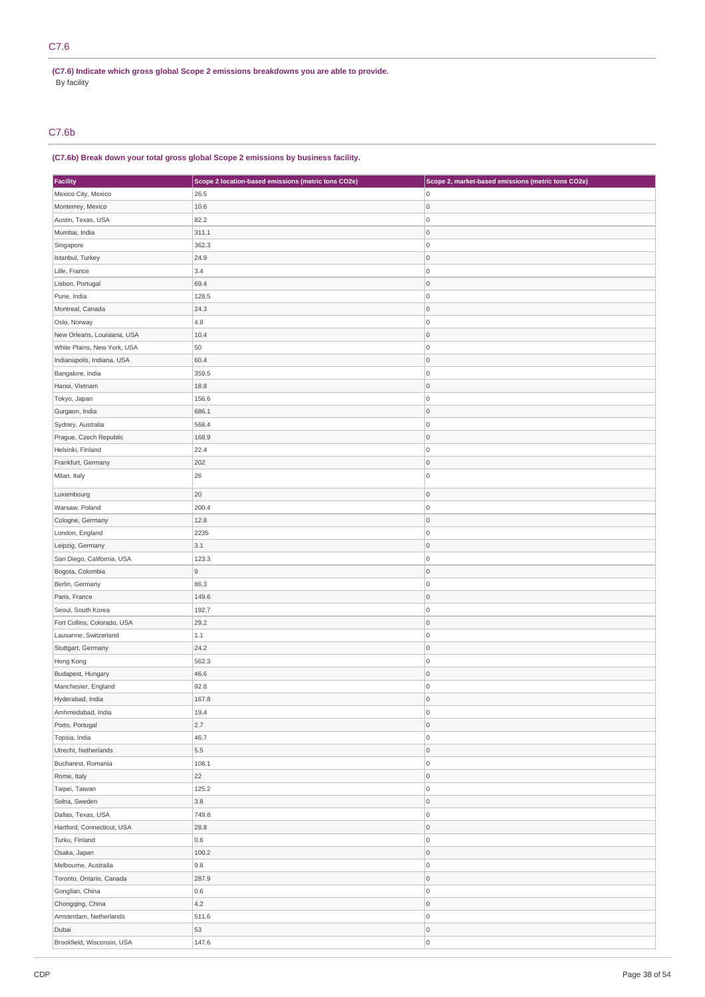# C7.6

**(C7.6) Indicate which gross global Scope 2 emissions breakdowns you are able to provide.** By facility

# C7.6b

# **(C7.6b) Break down your total gross global Scope 2 emissions by business facility.**

| <b>Facility</b>             | Scope 2 location-based emissions (metric tons CO2e) | Scope 2, market-based emissions (metric tons CO2e) |  |
|-----------------------------|-----------------------------------------------------|----------------------------------------------------|--|
| Mexico City, Mexico         | 26.5                                                | $\overline{0}$                                     |  |
| Monterrey, Mexico           | 10.6                                                | 0                                                  |  |
| Austin, Texas, USA          | 82.2                                                | $\overline{0}$                                     |  |
| Mumbai, India               | 311.1                                               | $\mathsf{O}\xspace$                                |  |
| Singapore                   | 362.3                                               | $\overline{0}$                                     |  |
| Istanbul, Turkey            | 24.9                                                | $\mathsf 0$                                        |  |
| Lille, France               | 3.4                                                 | $\overline{0}$                                     |  |
| Lisbon, Portugal            | 69.4                                                | $\mathsf 0$                                        |  |
| Pune, India                 | 128.5                                               | 0                                                  |  |
| Montreal, Canada            | 24.3                                                | $\mathsf 0$                                        |  |
| Oslo, Norway                | 4.8                                                 | $\mathsf{O}\xspace$                                |  |
| New Orleans, Louisiana, USA | 10.4                                                | $\mathsf 0$                                        |  |
| White Plains, New York, USA | 50                                                  | $\mathsf 0$                                        |  |
| Indianapolis, Indiana, USA  | 60.4                                                | $\mathsf{O}\xspace$                                |  |
| Bangalore, India            | 359.5                                               | $\overline{0}$                                     |  |
| Hanoi, Vietnam              | 18.8                                                | $\mathsf 0$                                        |  |
| Tokyo, Japan                | 156.6                                               | $\overline{0}$                                     |  |
| Gurgaon, India              | 686.1                                               | $\mathsf 0$                                        |  |
| Sydney, Australia           | 568.4                                               | 0                                                  |  |
| Prague, Czech Republic      | 168.9                                               | $\mathsf 0$                                        |  |
| Helsinki, Finland           | 22.4                                                | $\mathsf{O}\xspace$                                |  |
|                             |                                                     | $\mathsf{O}\xspace$                                |  |
| Frankfurt, Germany          | 202                                                 | $\mathsf{O}\xspace$                                |  |
| Milan, Italy                | 26                                                  |                                                    |  |
| Luxembourg                  | 20                                                  | $\mathsf 0$                                        |  |
| Warsaw, Poland              | 200.4                                               | $\overline{0}$                                     |  |
| Cologne, Germany            | 12.8                                                | $\mathsf{O}\xspace$                                |  |
| London, England             | 2235                                                | $\overline{0}$                                     |  |
| Leipzig, Germany            | 3.1                                                 | $\mathsf 0$                                        |  |
| San Diego, California, USA  | 123.3                                               | $\mathsf{O}\xspace$                                |  |
| Bogota, Colombia            | $\mathsf g$                                         | $\circ$                                            |  |
| Berlin, Germany             | 86.3                                                | 0                                                  |  |
| Paris, France               | 149.6                                               | 0                                                  |  |
| Seoul, South Korea          | 192.7                                               | $\mathsf{O}\xspace$                                |  |
| Fort Collins, Colorado, USA | 29.2                                                | $\mathsf{O}\xspace$                                |  |
| Lausanne, Switzerland       | $1.1\,$                                             | 0                                                  |  |
| Stuttgart, Germany          | 24.2                                                | 0                                                  |  |
| Hong Kong                   | 562.3                                               | $\overline{0}$                                     |  |
| Budapest, Hungary           | 46.6                                                | $\mathsf{O}\xspace$                                |  |
| Manchester, England         | 92.8                                                | $\mathsf 0$                                        |  |
| Hyderabad, India            | 167.8                                               | $\mathsf{O}\xspace$                                |  |
| Amhmedabad, India           | 19.4                                                | $\overline{0}$                                     |  |
| Porto, Portugal             | 2.7                                                 | 0                                                  |  |
| Topsia, India               | 46.7                                                | $\mathsf{O}\xspace$                                |  |
| Utrecht, Netherlands        | 5.5                                                 | $\mathsf{O}\xspace$                                |  |
| Bucharest, Romania          | 108.1                                               | 0                                                  |  |
| Rome, Italy                 | 22                                                  | 0                                                  |  |
| Taipei, Taiwan              | 125.2                                               | $\overline{0}$                                     |  |
| Solna, Sweden               | 3.8                                                 | $\mathsf 0$                                        |  |
| Dallas, Texas, USA          | 749.8                                               | 0                                                  |  |
| Hartford, Connecticut, USA  | 28.8                                                | $\mathsf{O}\xspace$                                |  |
| Turku, Finland              | 0.6                                                 | 0                                                  |  |
| Osaka, Japan                | 100.2                                               | $\mathsf 0$                                        |  |
| Melbourne, Australia        | 9.8                                                 | $\mathsf{O}\xspace$                                |  |
| Toronto, Ontario, Canada    | 287.9                                               | $\mathsf{O}\xspace$                                |  |
| Gonglian, China             | 0.6                                                 | 0                                                  |  |
| Chongqing, China            | 4.2                                                 | 0                                                  |  |
|                             |                                                     | 0                                                  |  |
| Amsterdam, Netherlands      | 511.6                                               |                                                    |  |
| Dubai                       | 53                                                  | $\mathsf{O}\xspace$<br>$\mathsf{O}\xspace$         |  |
| Brookfield, Wisconsin, USA  | 147.6                                               |                                                    |  |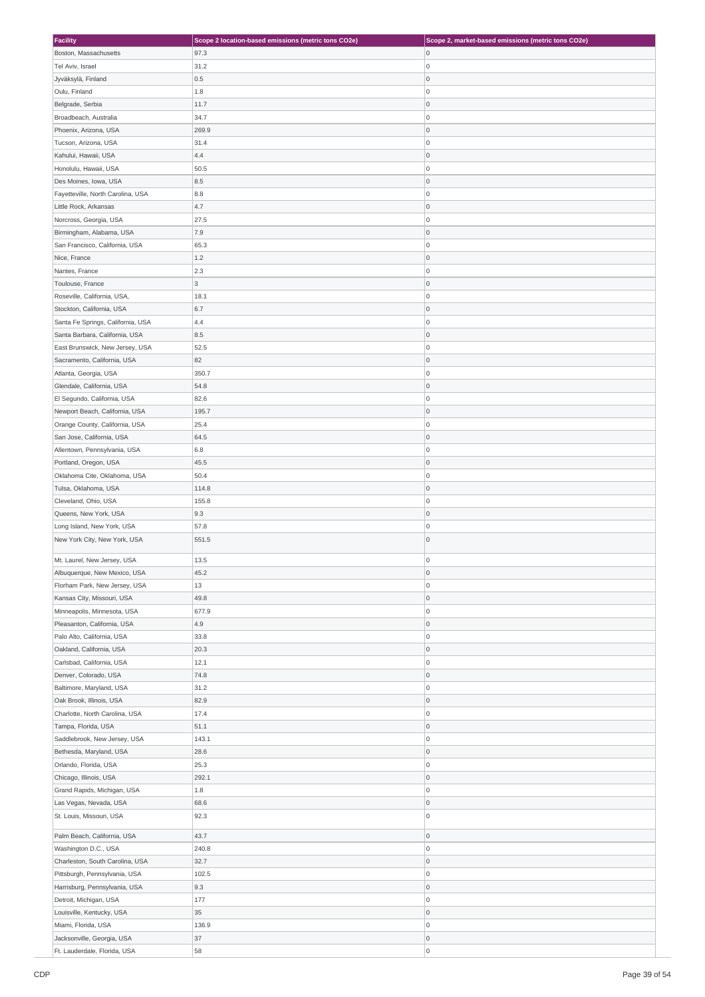| <b>Facility</b>                   | Scope 2 location-based emissions (metric tons CO2e) | Scope 2, market-based emissions (metric tons CO2e) |
|-----------------------------------|-----------------------------------------------------|----------------------------------------------------|
| Boston, Massachusetts             | 97.3                                                | 0                                                  |
| Tel Aviv, Israel                  | 31.2                                                | $\overline{0}$                                     |
| Jyväksylä, Finland                | 0.5                                                 | 0                                                  |
| Oulu, Finland                     | 1.8                                                 | $\overline{0}$                                     |
|                                   |                                                     |                                                    |
| Belgrade, Serbia                  | 11.7                                                | $\overline{0}$                                     |
| Broadbeach, Australia             | 34.7                                                | $\overline{0}$                                     |
| Phoenix, Arizona, USA             | 269.9                                               | $\mathsf{O}$                                       |
| Tucson, Arizona, USA              | 31.4                                                | 0                                                  |
| Kahului, Hawaii, USA              | 4.4                                                 | 0                                                  |
| Honolulu, Hawaii, USA             | 50.5                                                | $\overline{0}$                                     |
| Des Moines, Iowa, USA             | 8.5                                                 | 0                                                  |
| Fayetteville, North Carolina, USA | 8.8                                                 | $\overline{0}$                                     |
| Little Rock, Arkansas             | 4.7                                                 | 0                                                  |
| Norcross, Georgia, USA            | 27.5                                                | $\overline{0}$                                     |
|                                   | 7.9                                                 | $\overline{0}$                                     |
| Birmingham, Alabama, USA          |                                                     |                                                    |
| San Francisco, California, USA    | 65.3                                                | $\overline{0}$                                     |
| Nice, France                      | 1.2                                                 | $\mathsf{O}$                                       |
| Nantes, France                    | 2.3                                                 | $\overline{0}$                                     |
| Toulouse, France                  | $\overline{3}$                                      | 0                                                  |
| Roseville, California, USA,       | 18.1                                                | $\overline{0}$                                     |
| Stockton, California, USA         | 6.7                                                 | 0                                                  |
| Santa Fe Springs, California, USA | 4.4                                                 | $\overline{0}$                                     |
| Santa Barbara, California, USA    | 8.5                                                 | $\mathsf{O}$                                       |
| East Brunswick, New Jersey, USA   | 52.5                                                | $\overline{0}$                                     |
| Sacramento, California, USA       | 82                                                  | $\overline{0}$                                     |
| Atlanta, Georgia, USA             | 350.7                                               | $\overline{0}$                                     |
|                                   |                                                     |                                                    |
| Glendale, California, USA         | 54.8                                                | 0                                                  |
| El Segundo, California, USA       | 82.6                                                | $\overline{0}$                                     |
| Newport Beach, California, USA    | 195.7                                               | 0                                                  |
| Orange County, California, USA    | 25.4                                                | $\overline{0}$                                     |
| San Jose, California, USA         | 64.5                                                | 0                                                  |
| Allentown, Pennsylvania, USA      | 6.8                                                 | $\overline{0}$                                     |
| Portland, Oregon, USA             | 45.5                                                | $\mathsf{O}$                                       |
| Oklahoma Cite, Oklahoma, USA      | 50.4                                                | 0                                                  |
| Tulsa, Oklahoma, USA              | 114.8                                               | $\overline{0}$                                     |
| Cleveland, Ohio, USA              | 155.8                                               | $\overline{0}$                                     |
| Queens, New York, USA             | 9.3                                                 | $\mathsf{O}$                                       |
| Long Island, New York, USA        | 57.8                                                | $\overline{0}$                                     |
| New York City, New York, USA      | 551.5                                               | $\overline{0}$                                     |
| Mt. Laurel, New Jersey, USA       | 13.5                                                | $\overline{0}$                                     |
|                                   |                                                     |                                                    |
| Albuquerque, New Mexico, USA      | 45.2                                                | 0                                                  |
| Florham Park, New Jersey, USA     | 13                                                  | 0                                                  |
| Kansas City, Missouri, USA        | 49.8                                                | $\overline{0}$                                     |
| Minneapolis, Minnesota, USA       | 677.9                                               | 0                                                  |
| Pleasanton, California, USA       | 4.9                                                 | 0                                                  |
| Palo Alto, California, USA        | 33.8                                                | $\overline{0}$                                     |
| Oakland, California, USA          | 20.3                                                | 0                                                  |
| Carlsbad, California, USA         | 12.1                                                | $\overline{0}$                                     |
| Denver, Colorado, USA             | 74.8                                                | 0                                                  |
| Baltimore, Maryland, USA          | 31.2                                                | 0                                                  |
| Oak Brook, Illinois, USA          | 82.9                                                | $\mathsf 0$                                        |
| Charlotte, North Carolina, USA    | 17.4                                                | $\overline{0}$                                     |
| Tampa, Florida, USA               | 51.1                                                | $\overline{0}$                                     |
|                                   | 143.1                                               | 0                                                  |
| Saddlebrook, New Jersey, USA      |                                                     |                                                    |
| Bethesda, Maryland, USA           | 28.6                                                | 0                                                  |
| Orlando, Florida, USA             | 25.3                                                | $\overline{0}$                                     |
| Chicago, Illinois, USA            | 292.1                                               | 0                                                  |
| Grand Rapids, Michigan, USA       | 1.8                                                 | $\overline{0}$                                     |
| Las Vegas, Nevada, USA            | 68.6                                                | 0                                                  |
| St. Louis, Missouri, USA          | 92.3                                                | $\overline{0}$                                     |
| Palm Beach, California, USA       | 43.7                                                | 0                                                  |
|                                   |                                                     |                                                    |
| Washington D.C., USA              | 240.8                                               | $\overline{0}$                                     |
| Charleston, South Carolina, USA   | 32.7                                                | $\mathsf{O}$                                       |
| Pittsburgh, Pennsylvania, USA     | 102.5                                               | 0                                                  |
| Harrisburg, Pennsylvania, USA     | 9.3                                                 | 0                                                  |
| Detroit, Michigan, USA            | 177                                                 | $\overline{0}$                                     |
| Louisville, Kentucky, USA         | 35                                                  | 0                                                  |
| Miami, Florida, USA               | 136.9                                               | $\overline{0}$                                     |
| Jacksonville, Georgia, USA        | 37                                                  | 0                                                  |
| Ft. Lauderdale, Florida, USA      | 58                                                  | 0                                                  |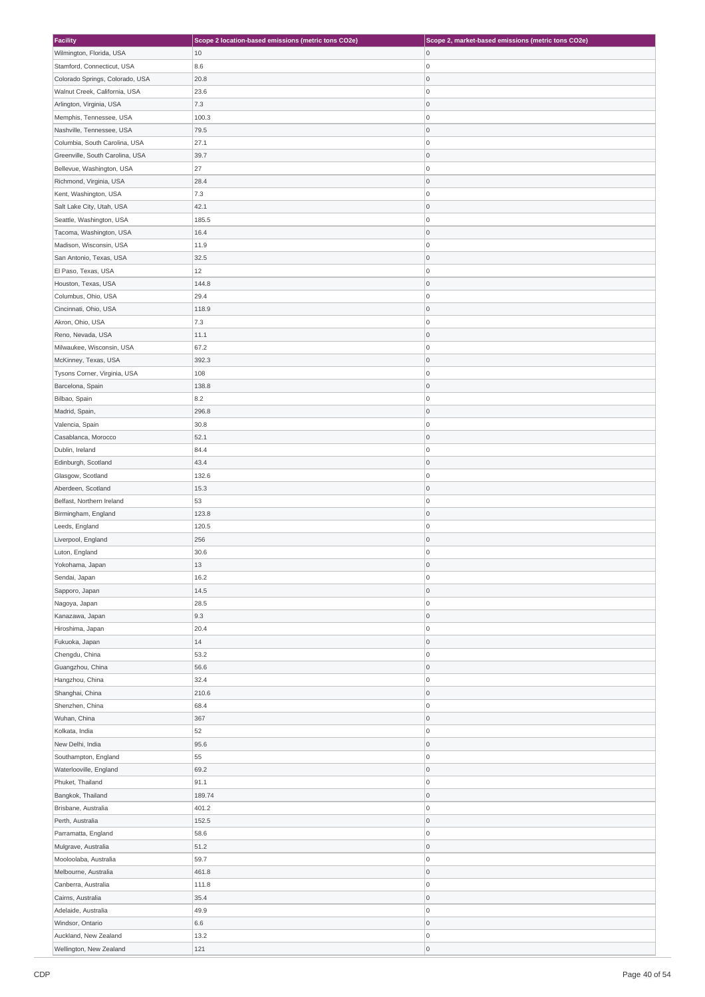| <b>Facility</b>                 | Scope 2 location-based emissions (metric tons CO2e) | Scope 2, market-based emissions (metric tons CO2e) |
|---------------------------------|-----------------------------------------------------|----------------------------------------------------|
| Wilmington, Florida, USA        | 10                                                  | 0                                                  |
| Stamford, Connecticut, USA      | 8.6                                                 | 0                                                  |
|                                 |                                                     | 0                                                  |
| Colorado Springs, Colorado, USA | 20.8                                                |                                                    |
| Walnut Creek, California, USA   | 23.6                                                | 0                                                  |
| Arlington, Virginia, USA        | 7.3                                                 | 0                                                  |
| Memphis, Tennessee, USA         | 100.3                                               | 0                                                  |
| Nashville, Tennessee, USA       | 79.5                                                | 0                                                  |
| Columbia, South Carolina, USA   | 27.1                                                | 0                                                  |
| Greenville, South Carolina, USA | 39.7                                                | 0                                                  |
| Bellevue, Washington, USA       | 27                                                  | 0                                                  |
| Richmond, Virginia, USA         | 28.4                                                | 0                                                  |
| Kent, Washington, USA           | 7.3                                                 | 0                                                  |
|                                 |                                                     |                                                    |
| Salt Lake City, Utah, USA       | 42.1                                                | 0                                                  |
| Seattle, Washington, USA        | 185.5                                               | 0                                                  |
| Tacoma, Washington, USA         | 16.4                                                | 0                                                  |
| Madison, Wisconsin, USA         | 11.9                                                | 0                                                  |
| San Antonio, Texas, USA         | 32.5                                                | 0                                                  |
| El Paso, Texas, USA             | 12                                                  | 0                                                  |
| Houston, Texas, USA             | 144.8                                               | 0                                                  |
| Columbus, Ohio, USA             | 29.4                                                | 0                                                  |
| Cincinnati, Ohio, USA           | 118.9                                               | 0                                                  |
| Akron, Ohio, USA                | 7.3                                                 | 0                                                  |
|                                 |                                                     |                                                    |
| Reno, Nevada, USA               | 11.1                                                | 0                                                  |
| Milwaukee, Wisconsin, USA       | 67.2                                                | O                                                  |
| McKinney, Texas, USA            | 392.3                                               | 0                                                  |
| Tysons Corner, Virginia, USA    | 108                                                 | 0                                                  |
| Barcelona, Spain                | 138.8                                               | 0                                                  |
| Bilbao, Spain                   | 8.2                                                 | 0                                                  |
| Madrid, Spain,                  | 296.8                                               | 0                                                  |
| Valencia, Spain                 | 30.8                                                | 0                                                  |
| Casablanca, Morocco             | 52.1                                                | 0                                                  |
| Dublin, Ireland                 | 84.4                                                | 0                                                  |
| Edinburgh, Scotland             | 43.4                                                | 0                                                  |
| Glasgow, Scotland               | 132.6                                               | 0                                                  |
| Aberdeen, Scotland              | 15.3                                                | 0                                                  |
| Belfast, Northern Ireland       | 53                                                  | 0                                                  |
| Birmingham, England             | 123.8                                               | 0                                                  |
| Leeds, England                  | 120.5                                               | 0                                                  |
| Liverpool, England              | 256                                                 | 0                                                  |
|                                 |                                                     |                                                    |
| Luton, England                  | 30.6                                                | $\overline{0}$                                     |
| Yokohama, Japan                 | 13                                                  | $\mathbf 0$                                        |
| Sendai, Japan                   | 16.2                                                | O                                                  |
| Sapporo, Japan                  | 14.5                                                | 0                                                  |
| Nagoya, Japan                   | 28.5                                                | O                                                  |
| Kanazawa, Japan                 | 9.3                                                 | 0                                                  |
| Hiroshima, Japan                | 20.4                                                | 0                                                  |
| Fukuoka, Japan                  | 14                                                  | 0                                                  |
| Chengdu, China                  | 53.2                                                | O                                                  |
| Guangzhou, China                | 56.6                                                | 0                                                  |
| Hangzhou, China                 | 32.4                                                | 0                                                  |
| Shanghai, China                 | 210.6                                               | 0                                                  |
| Shenzhen, China                 | 68.4                                                | 0                                                  |
| Wuhan, China                    | 367                                                 | O                                                  |
| Kolkata, India                  | 52                                                  | 0                                                  |
| New Delhi, India                | 95.6                                                | 0                                                  |
|                                 |                                                     | 0                                                  |
| Southampton, England            | 55                                                  |                                                    |
| Waterlooville, England          | 69.2                                                | 0                                                  |
| Phuket, Thailand                | 91.1                                                | O                                                  |
| Bangkok, Thailand               | 189.74                                              | 0                                                  |
| Brisbane, Australia             | 401.2                                               | 0                                                  |
| Perth, Australia                | 152.5                                               | 0                                                  |
| Parramatta, England             | 58.6                                                | 0                                                  |
| Mulgrave, Australia             | 51.2                                                | O                                                  |
| Mooloolaba, Australia           | 59.7                                                | 0                                                  |
| Melbourne, Australia            | 461.8                                               | 0                                                  |
| Canberra, Australia             | 111.8                                               | 0                                                  |
| Cairns, Australia               | 35.4                                                | 0                                                  |
| Adelaide, Australia             | 49.9                                                | O                                                  |
| Windsor, Ontario                | 6.6                                                 | 0                                                  |
| Auckland, New Zealand           | 13.2                                                | 0                                                  |
| Wellington, New Zealand         | 121                                                 | 0                                                  |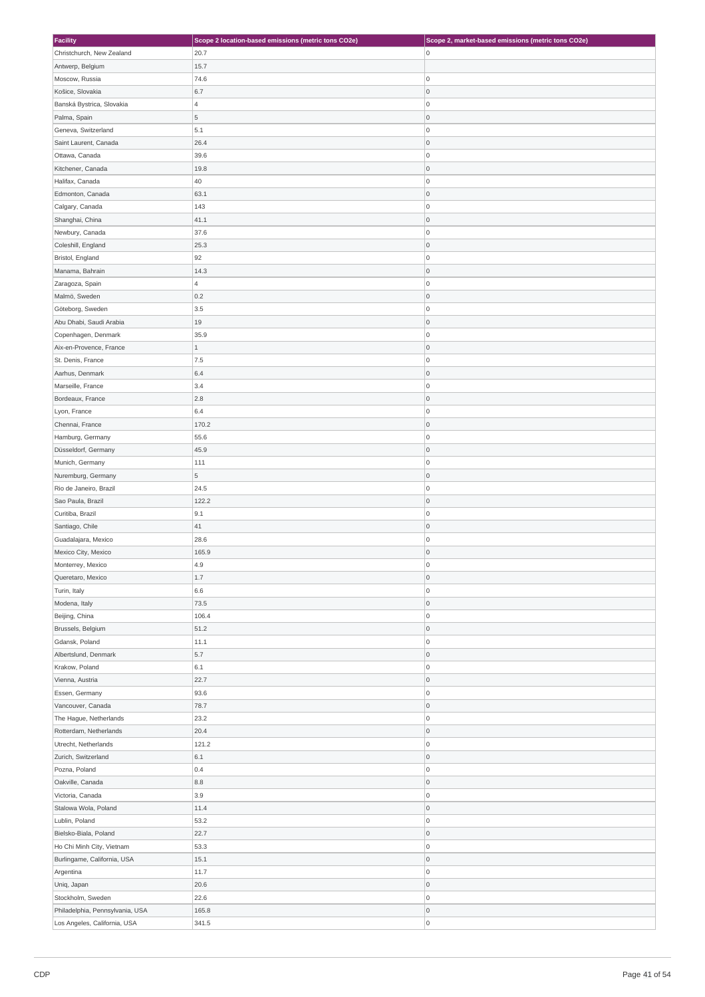| <b>Facility</b>                 | Scope 2 location-based emissions (metric tons CO2e) | Scope 2, market-based emissions (metric tons CO2e) |
|---------------------------------|-----------------------------------------------------|----------------------------------------------------|
| Christchurch, New Zealand       | 20.7                                                | $\overline{0}$                                     |
| Antwerp, Belgium                | 15.7                                                |                                                    |
| Moscow, Russia                  | 74.6                                                | 0                                                  |
|                                 |                                                     |                                                    |
| Košice, Slovakia                | 6.7                                                 | 0                                                  |
| Banská Bystrica, Slovakia       | $\overline{4}$                                      | 0                                                  |
| Palma, Spain                    | 5                                                   | 0                                                  |
| Geneva, Switzerland             | $5.1\,$                                             | 0                                                  |
| Saint Laurent, Canada           | 26.4                                                | 0                                                  |
| Ottawa, Canada                  | 39.6                                                | 0                                                  |
| Kitchener, Canada               | 19.8                                                | 0                                                  |
| Halifax, Canada                 | 40                                                  | O                                                  |
|                                 |                                                     |                                                    |
| Edmonton, Canada                | 63.1                                                | 0                                                  |
| Calgary, Canada                 | 143                                                 | 0                                                  |
| Shanghai, China                 | 41.1                                                | 0                                                  |
| Newbury, Canada                 | 37.6                                                | 0                                                  |
| Coleshill, England              | 25.3                                                | 0                                                  |
| Bristol, England                | 92                                                  | 0                                                  |
| Manama, Bahrain                 | 14.3                                                | 0                                                  |
| Zaragoza, Spain                 | $\overline{4}$                                      | 0                                                  |
|                                 |                                                     |                                                    |
| Malmö, Sweden                   | 0.2                                                 | 0                                                  |
| Göteborg, Sweden                | 3.5                                                 | 0                                                  |
| Abu Dhabi, Saudi Arabia         | 19                                                  | 0                                                  |
| Copenhagen, Denmark             | 35.9                                                | 0                                                  |
| Aix-en-Provence, France         | $\,1$                                               | 0                                                  |
| St. Denis, France               | 7.5                                                 | 0                                                  |
| Aarhus, Denmark                 | 6.4                                                 | 0                                                  |
| Marseille, France               | 3.4                                                 | 0                                                  |
| Bordeaux, France                | 2.8                                                 | 0                                                  |
|                                 | 6.4                                                 | 0                                                  |
| Lyon, France                    |                                                     |                                                    |
| Chennai, France                 | 170.2                                               | 0                                                  |
| Hamburg, Germany                | 55.6                                                | 0                                                  |
| Düsseldorf, Germany             | 45.9                                                | 0                                                  |
| Munich, Germany                 | 111                                                 | 0                                                  |
| Nuremburg, Germany              | 5                                                   | 0                                                  |
| Rio de Janeiro, Brazil          | 24.5                                                | 0                                                  |
| Sao Paula, Brazil               | 122.2                                               | 0                                                  |
| Curitiba, Brazil                | 9.1                                                 | 0                                                  |
| Santiago, Chile                 | 41                                                  | 0                                                  |
|                                 |                                                     |                                                    |
| Guadalajara, Mexico             | 28.6                                                | 0                                                  |
| Mexico City, Mexico             | 165.9                                               | $\mathsf 0$                                        |
| Monterrey, Mexico               | 4.9                                                 | $\Omega$                                           |
| Queretaro, Mexico               | $1.7\,$                                             | 0                                                  |
| Turin, Italy                    | 6.6                                                 | O                                                  |
| Modena, Italy                   | 73.5                                                | 0                                                  |
| Beijing, China                  | 106.4                                               | $\overline{0}$                                     |
| Brussels, Belgium               | 51.2                                                | 0                                                  |
| Gdansk, Poland                  | 11.1                                                | 0                                                  |
| Albertslund, Denmark            | 5.7                                                 | 0                                                  |
| Krakow, Poland                  | $6.1\,$                                             | O                                                  |
|                                 |                                                     |                                                    |
| Vienna, Austria                 | 22.7                                                | $\overline{0}$                                     |
| Essen, Germany                  | 93.6                                                | O                                                  |
| Vancouver, Canada               | 78.7                                                | 0                                                  |
| The Hague, Netherlands          | 23.2                                                | 0                                                  |
| Rotterdam, Netherlands          | 20.4                                                | 0                                                  |
| Utrecht, Netherlands            | 121.2                                               | $\overline{0}$                                     |
| Zurich, Switzerland             | $6.1\,$                                             | 0                                                  |
| Pozna, Poland                   | 0.4                                                 | 0                                                  |
| Oakville, Canada                | 8.8                                                 | 0                                                  |
| Victoria, Canada                | 3.9                                                 | O                                                  |
|                                 |                                                     | 0                                                  |
| Stalowa Wola, Poland            | 11.4                                                |                                                    |
| Lublin, Poland                  | 53.2                                                | 0                                                  |
| Bielsko-Biala, Poland           | 22.7                                                | 0                                                  |
| Ho Chi Minh City, Vietnam       | 53.3                                                | 0                                                  |
| Burlingame, California, USA     | 15.1                                                | 0                                                  |
| Argentina                       | 11.7                                                | $\overline{0}$                                     |
| Uniq, Japan                     | 20.6                                                | 0                                                  |
| Stockholm, Sweden               | 22.6                                                | 0                                                  |
| Philadelphia, Pennsylvania, USA | 165.8                                               | 0                                                  |
| Los Angeles, California, USA    | 341.5                                               | 0                                                  |
|                                 |                                                     |                                                    |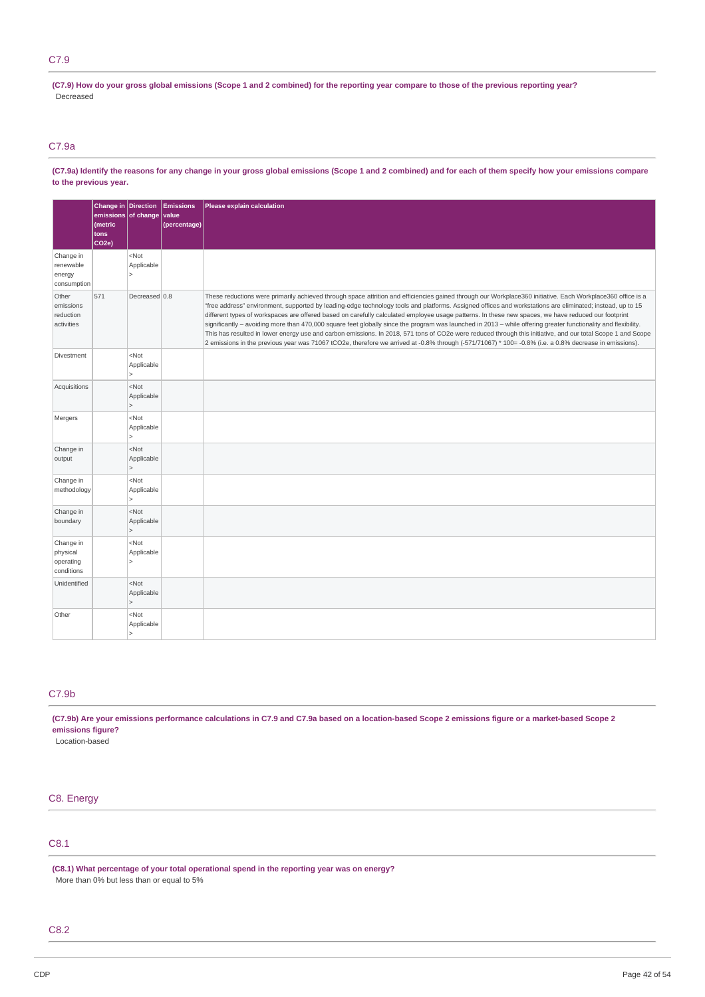# C7.9

(C7.9) How do your gross global emissions (Scope 1 and 2 combined) for the reporting year compare to those of the previous reporting year? Decreased

# C7.9a

(C7.9a) Identify the reasons for any change in your gross global emissions (Scope 1 and 2 combined) and for each of them specify how your emissions compare **to the previous year.**

|                                                  | Change in Direction<br>emissions of change<br>(metric<br>tons<br>CO <sub>2e</sub> ) |                                                                     | <b>Emissions</b><br>value<br>(percentage) | Please explain calculation                                                                                                                                                                                                                                                                                                                                                                                                                                                                                                                                                                                                                                                                                                                                                                                                                                                                                                                                                 |
|--------------------------------------------------|-------------------------------------------------------------------------------------|---------------------------------------------------------------------|-------------------------------------------|----------------------------------------------------------------------------------------------------------------------------------------------------------------------------------------------------------------------------------------------------------------------------------------------------------------------------------------------------------------------------------------------------------------------------------------------------------------------------------------------------------------------------------------------------------------------------------------------------------------------------------------------------------------------------------------------------------------------------------------------------------------------------------------------------------------------------------------------------------------------------------------------------------------------------------------------------------------------------|
| Change in<br>renewable<br>energy<br>consumption  |                                                                                     | <not<br>Applicable<br/><math>\mathsf{L}</math></not<br>             |                                           |                                                                                                                                                                                                                                                                                                                                                                                                                                                                                                                                                                                                                                                                                                                                                                                                                                                                                                                                                                            |
| Other<br>emissions<br>reduction<br>activities    | 571                                                                                 | Decreased 0.8                                                       |                                           | These reductions were primarily achieved through space attrition and efficiencies gained through our Workplace360 initiative. Each Workplace360 office is a<br>"free address" environment, supported by leading-edge technology tools and platforms. Assigned offices and workstations are eliminated; instead, up to 15<br>different types of workspaces are offered based on carefully calculated employee usage patterns. In these new spaces, we have reduced our footprint<br>significantly - avoiding more than 470,000 square feet globally since the program was launched in 2013 - while offering greater functionality and flexibility.<br>This has resulted in lower energy use and carbon emissions. In 2018, 571 tons of CO2e were reduced through this initiative, and our total Scope 1 and Scope<br>2 emissions in the previous year was 71067 tCO2e, therefore we arrived at -0.8% through (-571/71067) * 100= -0.8% (i.e. a 0.8% decrease in emissions). |
| Divestment                                       |                                                                                     | <not<br>Applicable<br/><math>\mathsf{L}</math></not<br>             |                                           |                                                                                                                                                                                                                                                                                                                                                                                                                                                                                                                                                                                                                                                                                                                                                                                                                                                                                                                                                                            |
| Acquisitions                                     |                                                                                     | <not<br>Applicable<br/><math>\vert</math></not<br>                  |                                           |                                                                                                                                                                                                                                                                                                                                                                                                                                                                                                                                                                                                                                                                                                                                                                                                                                                                                                                                                                            |
| Mergers                                          |                                                                                     | $<$ Not<br>Applicable<br>$\vert$                                    |                                           |                                                                                                                                                                                                                                                                                                                                                                                                                                                                                                                                                                                                                                                                                                                                                                                                                                                                                                                                                                            |
| Change in<br>output                              |                                                                                     | <not<br>Applicable<br/><math>\mathsf{L}</math></not<br>             |                                           |                                                                                                                                                                                                                                                                                                                                                                                                                                                                                                                                                                                                                                                                                                                                                                                                                                                                                                                                                                            |
| Change in<br>methodology                         |                                                                                     | <not<br>Applicable<br/><math>\geq</math></not<br>                   |                                           |                                                                                                                                                                                                                                                                                                                                                                                                                                                                                                                                                                                                                                                                                                                                                                                                                                                                                                                                                                            |
| Change in<br>boundary                            |                                                                                     | $<$ Not<br>Applicable<br>$\vert$                                    |                                           |                                                                                                                                                                                                                                                                                                                                                                                                                                                                                                                                                                                                                                                                                                                                                                                                                                                                                                                                                                            |
| Change in<br>physical<br>operating<br>conditions |                                                                                     | <not<br>Applicable<br/><math>\mathsf{L}</math></not<br>             |                                           |                                                                                                                                                                                                                                                                                                                                                                                                                                                                                                                                                                                                                                                                                                                                                                                                                                                                                                                                                                            |
| Unidentified                                     |                                                                                     | <not<br>Applicable<br/><math>\mathsf{L}</math></not<br>             |                                           |                                                                                                                                                                                                                                                                                                                                                                                                                                                                                                                                                                                                                                                                                                                                                                                                                                                                                                                                                                            |
| Other                                            |                                                                                     | <not<br>Applicable<br/><math>\overline{\phantom{a}}</math></not<br> |                                           |                                                                                                                                                                                                                                                                                                                                                                                                                                                                                                                                                                                                                                                                                                                                                                                                                                                                                                                                                                            |

# C7.9b

(C7.9b) Are your emissions performance calculations in C7.9 and C7.9a based on a location-based Scope 2 emissions figure or a market-based Scope 2 **emissions figure?**

Location-based

# C8. Energy

# C8.1

**(C8.1) What percentage of your total operational spend in the reporting year was on energy?** More than 0% but less than or equal to 5%

# C8.2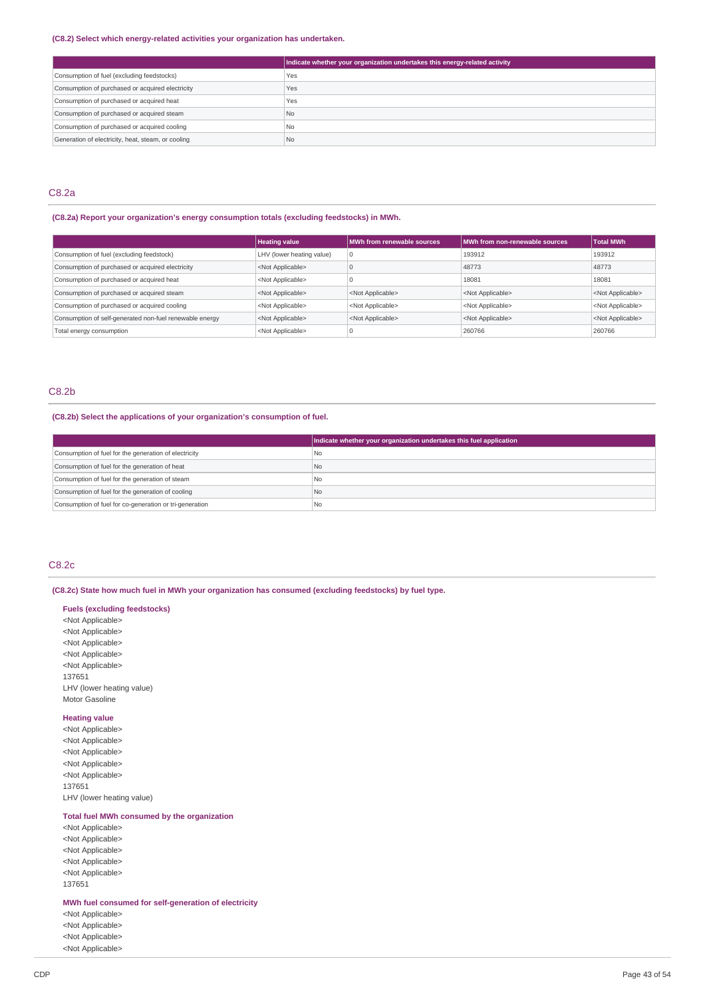# **(C8.2) Select which energy-related activities your organization has undertaken.**

|                                                    | Indicate whether your organization undertakes this energy-related activity |
|----------------------------------------------------|----------------------------------------------------------------------------|
| Consumption of fuel (excluding feedstocks)         | Yes                                                                        |
| Consumption of purchased or acquired electricity   | Yes                                                                        |
| Consumption of purchased or acquired heat          | Yes                                                                        |
| Consumption of purchased or acquired steam         | N <sub>o</sub>                                                             |
| Consumption of purchased or acquired cooling       | N <sub>o</sub>                                                             |
| Generation of electricity, heat, steam, or cooling | N <sub>o</sub>                                                             |

# C8.2a

# **(C8.2a) Report your organization's energy consumption totals (excluding feedstocks) in MWh.**

|                                                         | <b>Heating value</b>      | MWh from renewable sources | MWh from non-renewable sources | <b>Total MWh</b>          |
|---------------------------------------------------------|---------------------------|----------------------------|--------------------------------|---------------------------|
| Consumption of fuel (excluding feedstock)               | LHV (lower heating value) | 0                          | 193912                         | 193912                    |
| Consumption of purchased or acquired electricity        | <not applicable=""></not> |                            | 48773                          | 48773                     |
| Consumption of purchased or acquired heat               | <not applicable=""></not> |                            | 18081                          | 18081                     |
| Consumption of purchased or acquired steam              | <not applicable=""></not> | <not applicable=""></not>  | <not applicable=""></not>      | <not applicable=""></not> |
| Consumption of purchased or acquired cooling            | <not applicable=""></not> | <not applicable=""></not>  | <not applicable=""></not>      | <not applicable=""></not> |
| Consumption of self-generated non-fuel renewable energy | <not applicable=""></not> | <not applicable=""></not>  | <not applicable=""></not>      | <not applicable=""></not> |
| Total energy consumption                                | <not applicable=""></not> |                            | 260766                         | 260766                    |

# C8.2b

# **(C8.2b) Select the applications of your organization's consumption of fuel.**

|                                                         | Indicate whether your organization undertakes this fuel application |
|---------------------------------------------------------|---------------------------------------------------------------------|
| Consumption of fuel for the generation of electricity   | l No                                                                |
| Consumption of fuel for the generation of heat          | IN <sub>o</sub>                                                     |
| Consumption of fuel for the generation of steam         | No.                                                                 |
| Consumption of fuel for the generation of cooling       | No.                                                                 |
| Consumption of fuel for co-generation or tri-generation | l No                                                                |

# C8.2c

**(C8.2c) State how much fuel in MWh your organization has consumed (excluding feedstocks) by fuel type.**

**Fuels (excluding feedstocks)** <Not Applicable> <Not Applicable> <Not Applicable> <Not Applicable> <Not Applicable>

137651 LHV (lower heating value) Motor Gasoline

# **Heating value**

<Not Applicable> <Not Applicable> <Not Applicable> <Not Applicable> <Not Applicable> 137651 LHV (lower heating value)

# **Total fuel MWh consumed by the organization**

<Not Applicable> <Not Applicable> <Not Applicable> <Not Applicable> <Not Applicable> 137651

**MWh fuel consumed for self-generation of electricity**

<Not Applicable> <Not Applicable> <Not Applicable> <Not Applicable>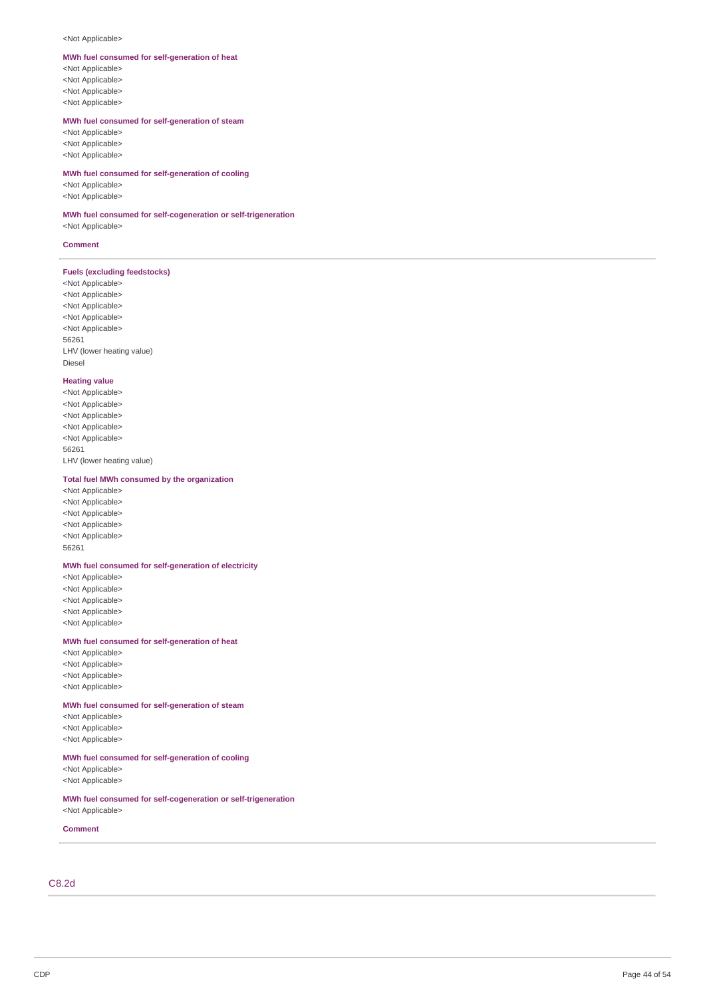#### <Not Applicable>

#### MWh fuel consumed for self-generation of heat

<Not Applicable> <Not Applicable> <Not Applicable> <Not Applicable>

#### MWh fuel consumed for self-generation of steam

<Not Applicable> <Not Applicable> <Not Applicable>

#### MWh fuel consumed for self-generation of cooling

<Not Applicable> <Not Applicable>

#### MWh fuel consumed for self-cogeneration or self-trigeneration

<Not Applicable>

#### **Comment**

#### **Fuels** (excluding feedstocks)

<Not Applicable> <Not Applicable> <Not Applicable> <Not Applicable> <Not Applicable> 5 6 2 6 1 LHV (lower heating value) Diesel

#### **Heatin g v alu e**

<Not Applicable> <Not Applicable> <Not Applicable> <Not Applicable> <Not Applicable> 5 6 2 6 1 LHV (lower heating value)

#### Total fuel MWh consumed by the organization

<Not Applicable> <Not Applicable> <Not Applicable> <Not Applicable> <Not Applicable> 5 6 2 6 1

#### MWh fuel consumed for self-generation of electricity

<Not Applicable> <Not Applicable> <Not Applicable> <Not Applicable> <Not Applicable>

#### MWh fuel consumed for self-generation of heat

<Not Applicable> <Not Applicable> <Not Applicable> <Not Applicable>

#### MWh fuel consumed for self-generation of steam

<Not Applicable> <Not Applicable> <Not Applicable>

### MWh fuel consumed for self-generation of cooling

<Not Applicable> <Not Applicable>

#### MWh fuel consumed for self-cogeneration or self-trigeneration <Not Applicable>

**Comment** 

# C 8.2 d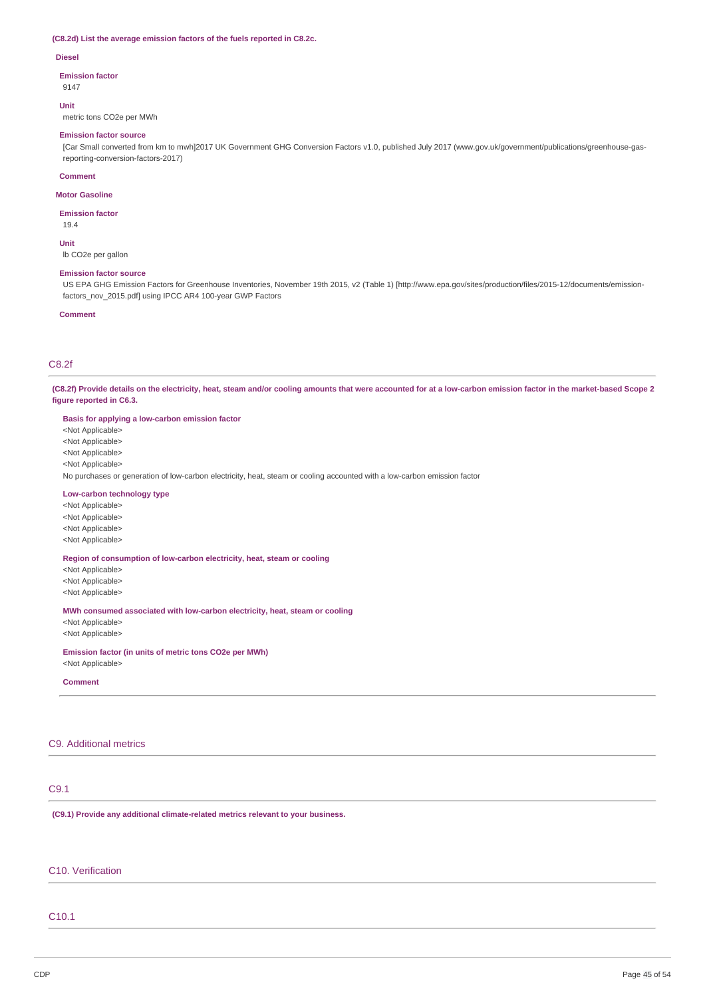# **(C8.2d) List the average emission factors of the fuels reported in C8.2c.**

#### **Diesel**

#### **Emission factor**

9147

#### **Unit**

metric tons CO2e per MWh

# **Emission factor source**

[Car Small converted from km to mwh]2017 UK Government GHG Conversion Factors v1.0, published July 2017 (www.gov.uk/government/publications/greenhouse-gasreporting-conversion-factors-2017)

# **Comment**

## **Motor Gasoline**

**Emission factor**

# 19.4

**Unit** lb CO2e per gallon

#### **Emission factor source**

US EPA GHG Emission Factors for Greenhouse Inventories, November 19th 2015, v2 (Table 1) [http://www.epa.gov/sites/production/files/2015-12/documents/emissionfactors\_nov\_2015.pdf] using IPCC AR4 100-year GWP Factors

#### **Comment**

# C8.2f

(C8.2f) Provide details on the electricity, heat, steam and/or cooling amounts that were accounted for at a low-carbon emission factor in the market-based Scope 2 **figure reported in C6.3.**

| Basis for applying a low-carbon emission factor                                                                          |
|--------------------------------------------------------------------------------------------------------------------------|
| <not applicable=""></not>                                                                                                |
| <not applicable=""></not>                                                                                                |
| <not applicable=""></not>                                                                                                |
| <not applicable=""></not>                                                                                                |
| No purchases or generation of low-carbon electricity, heat, steam or cooling accounted with a low-carbon emission factor |
| Low-carbon technology type                                                                                               |
| <not applicable=""></not>                                                                                                |
| <not applicable=""></not>                                                                                                |
| <not applicable=""></not>                                                                                                |
| <not applicable=""></not>                                                                                                |
| Region of consumption of low-carbon electricity, heat, steam or cooling                                                  |
| <not applicable=""></not>                                                                                                |
| <not applicable=""></not>                                                                                                |
| <not applicable=""></not>                                                                                                |
| MWh consumed associated with low-carbon electricity, heat, steam or cooling                                              |
| <not applicable=""></not>                                                                                                |
| <not applicable=""></not>                                                                                                |
| Emission factor (in units of metric tons CO2e per MWh)                                                                   |
| <not applicable=""></not>                                                                                                |

**Comment**

# C9. Additional metrics

# C9.1

**(C9.1) Provide any additional climate-related metrics relevant to your business.**

# C10. Verification

# C10.1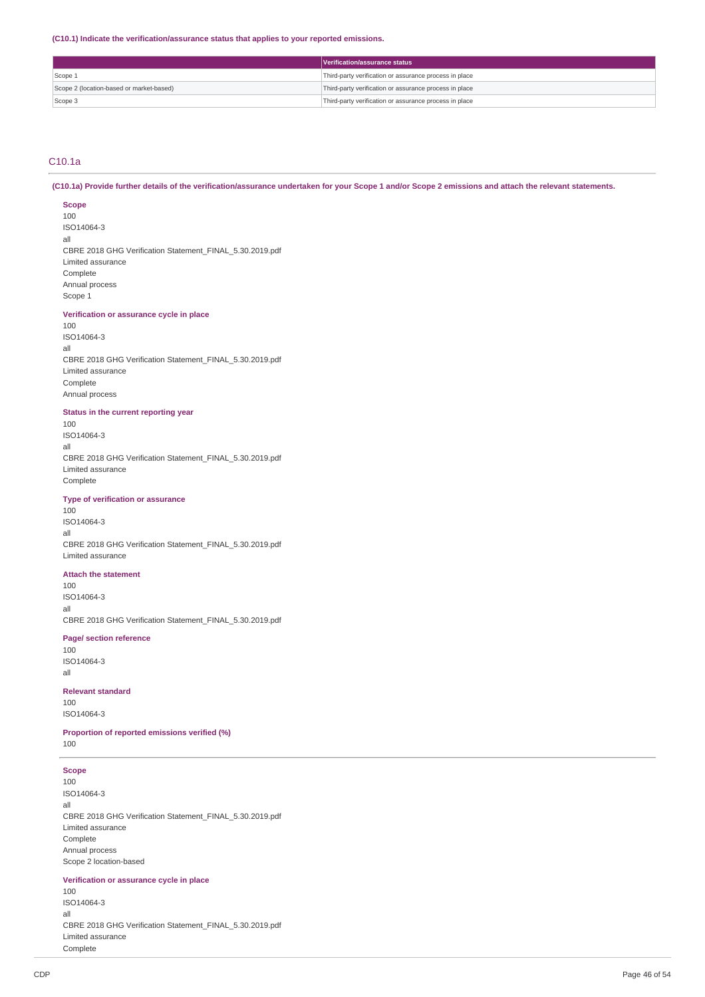**(C10.1) Indicate the verification/assurance status that applies to your reported emissions.**

|                                          | Verification/assurance status                          |
|------------------------------------------|--------------------------------------------------------|
| Scope 1                                  | Third-party verification or assurance process in place |
| Scope 2 (location-based or market-based) | Third-party verification or assurance process in place |
| Scope 3                                  | Third-party verification or assurance process in place |

# C10.1a

(C10.1a) Provide further details of the verification/assurance undertaken for your Scope 1 and/or Scope 2 emissions and attach the relevant statements.

# **Scope**

100 ISO14064-3 all CBRE 2018 GHG Verification Statement\_FINAL\_5.30.2019.pdf Limited assurance Complete Annual process Scope 1

# **Verification or assurance cycle in place**

100 ISO14064-3 all CBRE 2018 GHG Verification Statement\_FINAL\_5.30.2019.pdf Limited assurance Complete Annual process

# **Status in the current reporting year**

100 ISO14064-3 all CBRE 2018 GHG Verification Statement\_FINAL\_5.30.2019.pdf Limited assurance Complete

# **Type of verification or assurance**

100 ISO14064-3 all CBRE 2018 GHG Verification Statement\_FINAL\_5.30.2019.pdf Limited assurance

# **Attach the statement**

100 ISO14064-3 all CBRE 2018 GHG Verification Statement\_FINAL\_5.30.2019.pdf

# **Page/ section reference**

100 ISO14064-3 all

# **Relevant standard**

100 ISO14064-3

**Proportion of reported emissions verified (%)** 100

# **Scope**

100 ISO14064-3 all CBRE 2018 GHG Verification Statement\_FINAL\_5.30.2019.pdf Limited assurance Complete Annual process Scope 2 location-based

#### **Verification or assurance cycle in place**

100 ISO14064-3 all CBRE 2018 GHG Verification Statement\_FINAL\_5.30.2019.pdf Limited assurance Complete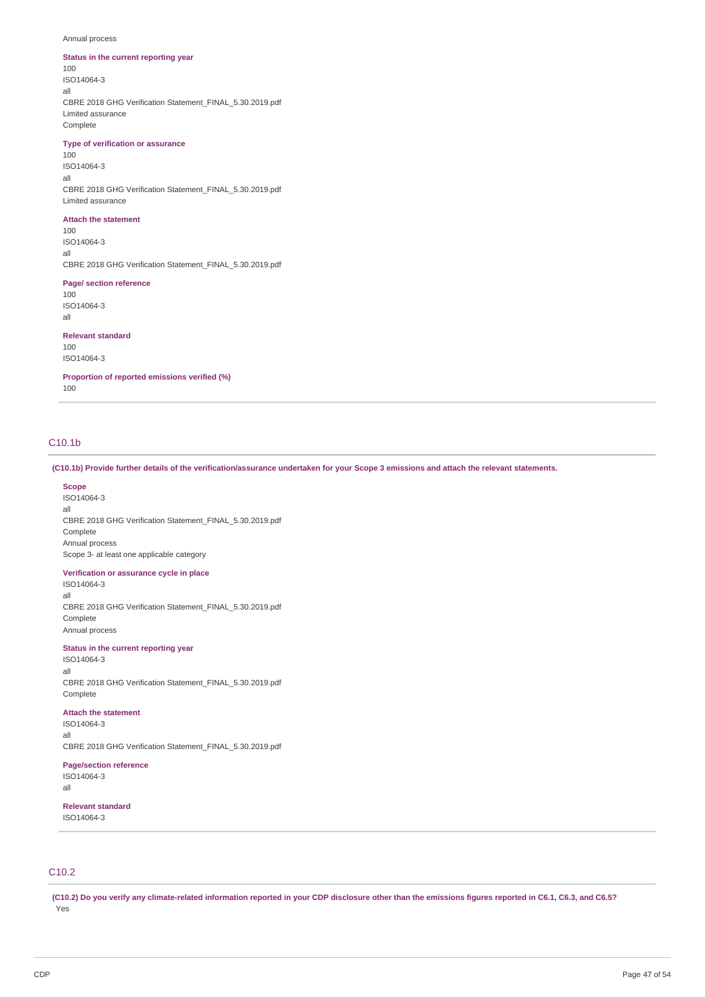#### Annual process

# **Status in the current reporting year**

100 ISO14064-3 all CBRE 2018 GHG Verification Statement\_FINAL\_5.30.2019.pdf Limited assurance Complete

# **Type of verification or assurance**

100 ISO14064-3 all CBRE 2018 GHG Verification Statement\_FINAL\_5.30.2019.pdf Limited assurance

#### **Attach the statement**

100 ISO14064-3 all CBRE 2018 GHG Verification Statement\_FINAL\_5.30.2019.pdf

#### **Page/ section reference**

100 ISO14064-3 all

### **Relevant standard**

100 ISO14064-3

**Proportion of reported emissions verified (%)**

100

# C10.1b

(C10.1b) Provide further details of the verification/assurance undertaken for your Scope 3 emissions and attach the relevant statements.

#### **Scope**

ISO14064-3 all CBRE 2018 GHG Verification Statement\_FINAL\_5.30.2019.pdf Complete Annual process Scope 3- at least one applicable category

#### **Verification or assurance cycle in place**

ISO14064-3 all CBRE 2018 GHG Verification Statement\_FINAL\_5.30.2019.pdf Complete Annual process

# **Status in the current reporting year**

ISO14064-3 all CBRE 2018 GHG Verification Statement\_FINAL\_5.30.2019.pdf Complete

#### **Attach the statement**

ISO14064-3 all

CBRE 2018 GHG Verification Statement\_FINAL\_5.30.2019.pdf

#### **Page/section reference**

ISO14064-3 all

**Relevant standard**

ISO14064-3

# C10.2

(C10.2) Do you verify any climate-related information reported in your CDP disclosure other than the emissions figures reported in C6.1, C6.3, and C6.5? Yes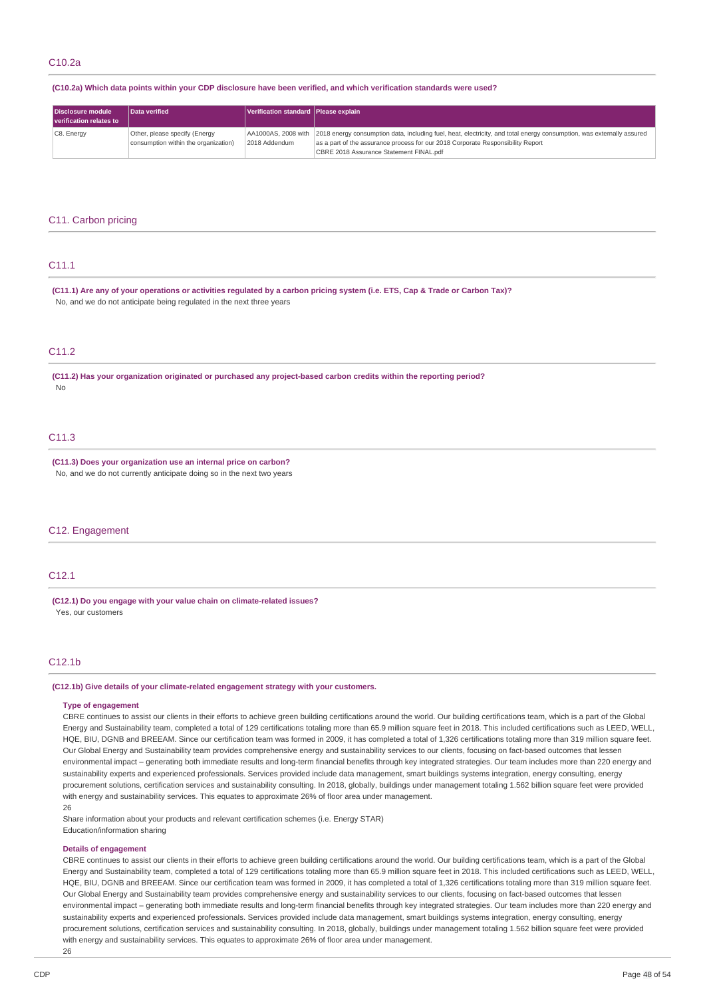# (C10.2a) Which data points within your CDP disclosure have been verified, and which verification standards were used?

| Disclosure module<br>verification relates to | Data verified                                                         | Verification standard Please explain |                                                                                                                                                                                                                                                                         |
|----------------------------------------------|-----------------------------------------------------------------------|--------------------------------------|-------------------------------------------------------------------------------------------------------------------------------------------------------------------------------------------------------------------------------------------------------------------------|
| C8. Energy                                   | Other, please specify (Energy<br>consumption within the organization) | 2018 Addendum                        | AA1000AS, 2008 with 2018 energy consumption data, including fuel, heat, electricity, and total energy consumption, was externally assured<br>as a part of the assurance process for our 2018 Corporate Responsibility Report<br>CBRE 2018 Assurance Statement FINAL.pdf |

#### C11. Carbon pricing

# C11.1

(C11.1) Are any of your operations or activities regulated by a carbon pricing system (i.e. ETS, Cap & Trade or Carbon Tax)? No, and we do not anticipate being regulated in the next three years

# C<sub>11.2</sub>

**(C11.2) Has your organization originated or purchased any project-based carbon credits within the reporting period?** No

# C11.3

**(C11.3) Does your organization use an internal price on carbon?** No, and we do not currently anticipate doing so in the next two years

# C12. Engagement

# C12.1

**(C12.1) Do you engage with your value chain on climate-related issues?** Yes, our customers

# C12.1b

#### **(C12.1b) Give details of your climate-related engagement strategy with your customers.**

#### **Type of engagement**

CBRE continues to assist our clients in their efforts to achieve green building certifications around the world. Our building certifications team, which is a part of the Global Energy and Sustainability team, completed a total of 129 certifications totaling more than 65.9 million square feet in 2018. This included certifications such as LEED, WELL, HQE, BIU, DGNB and BREEAM. Since our certification team was formed in 2009, it has completed a total of 1,326 certifications totaling more than 319 million square feet. Our Global Energy and Sustainability team provides comprehensive energy and sustainability services to our clients, focusing on fact-based outcomes that lessen environmental impact – generating both immediate results and long-term financial benefits through key integrated strategies. Our team includes more than 220 energy and sustainability experts and experienced professionals. Services provided include data management, smart buildings systems integration, energy consulting, energy procurement solutions, certification services and sustainability consulting. In 2018, globally, buildings under management totaling 1.562 billion square feet were provided with energy and sustainability services. This equates to approximate 26% of floor area under management.

#### 26

Share information about your products and relevant certification schemes (i.e. Energy STAR)

Education/information sharing

### **Details of engagement**

CBRE continues to assist our clients in their efforts to achieve green building certifications around the world. Our building certifications team, which is a part of the Global Energy and Sustainability team, completed a total of 129 certifications totaling more than 65.9 million square feet in 2018. This included certifications such as LEED, WELL, HQE, BIU, DGNB and BREEAM. Since our certification team was formed in 2009, it has completed a total of 1,326 certifications totaling more than 319 million square feet. Our Global Energy and Sustainability team provides comprehensive energy and sustainability services to our clients, focusing on fact-based outcomes that lessen environmental impact – generating both immediate results and long-term financial benefits through key integrated strategies. Our team includes more than 220 energy and sustainability experts and experienced professionals. Services provided include data management, smart buildings systems integration, energy consulting, energy procurement solutions, certification services and sustainability consulting. In 2018, globally, buildings under management totaling 1.562 billion square feet were provided with energy and sustainability services. This equates to approximate 26% of floor area under management.

26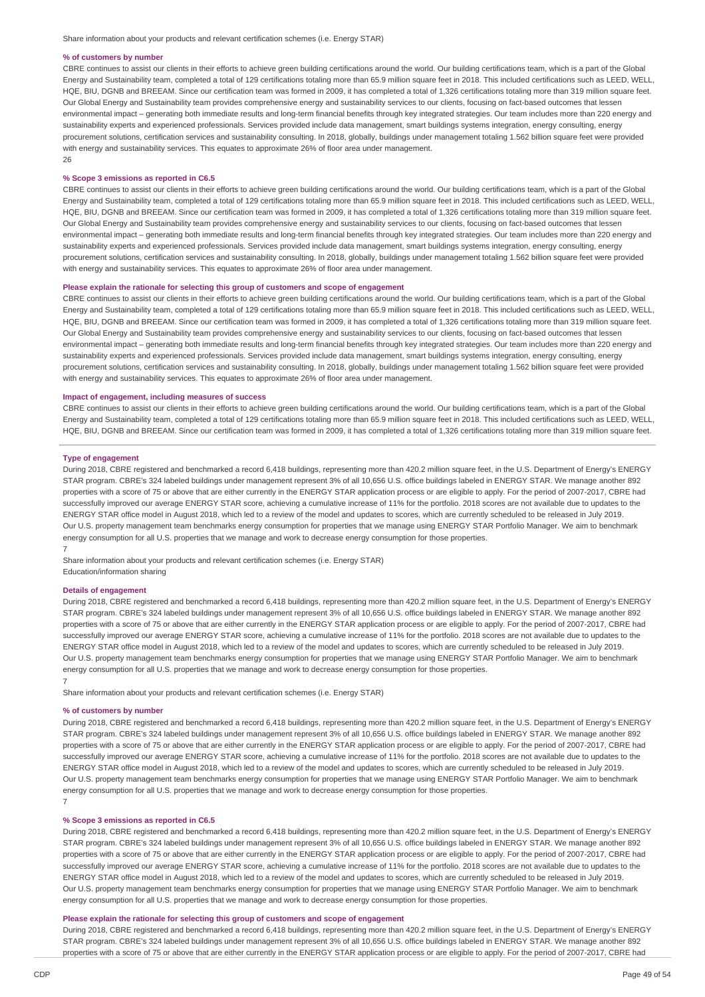#### **% of customers by number**

CBRE continues to assist our clients in their efforts to achieve green building certifications around the world. Our building certifications team, which is a part of the Global Energy and Sustainability team, completed a total of 129 certifications totaling more than 65.9 million square feet in 2018. This included certifications such as LEED, WELL, HQE, BIU, DGNB and BREEAM. Since our certification team was formed in 2009, it has completed a total of 1,326 certifications totaling more than 319 million square feet. Our Global Energy and Sustainability team provides comprehensive energy and sustainability services to our clients, focusing on fact-based outcomes that lessen environmental impact - generating both immediate results and long-term financial benefits through key integrated strategies. Our team includes more than 220 energy and sustainability experts and experienced professionals. Services provided include data management, smart buildings systems integration, energy consulting, energy procurement solutions, certification services and sustainability consulting. In 2018, globally, buildings under management totaling 1.562 billion square feet were provided with energy and sustainability services. This equates to approximate 26% of floor area under management. 26

#### **% Scope 3 emissions as reported in C6.5**

CBRE continues to assist our clients in their efforts to achieve green building certifications around the world. Our building certifications team, which is a part of the Global Energy and Sustainability team, completed a total of 129 certifications totaling more than 65.9 million square feet in 2018. This included certifications such as LEED, WELL, HQE, BIU, DGNB and BREEAM. Since our certification team was formed in 2009, it has completed a total of 1,326 certifications totaling more than 319 million square feet. Our Global Energy and Sustainability team provides comprehensive energy and sustainability services to our clients, focusing on fact-based outcomes that lessen environmental impact - generating both immediate results and long-term financial benefits through key integrated strategies. Our team includes more than 220 energy and sustainability experts and experienced professionals. Services provided include data management, smart buildings systems integration, energy consulting, energy procurement solutions, certification services and sustainability consulting. In 2018, globally, buildings under management totaling 1.562 billion square feet were provided with energy and sustainability services. This equates to approximate 26% of floor area under management.

#### **Please explain the rationale for selecting this group of customers and scope of engagement**

CBRE continues to assist our clients in their efforts to achieve green building certifications around the world. Our building certifications team, which is a part of the Global Energy and Sustainability team, completed a total of 129 certifications totaling more than 65.9 million square feet in 2018. This included certifications such as LEED, WELL, HQE, BIU, DGNB and BREEAM. Since our certification team was formed in 2009, it has completed a total of 1,326 certifications totaling more than 319 million square feet. Our Global Energy and Sustainability team provides comprehensive energy and sustainability services to our clients, focusing on fact-based outcomes that lessen environmental impact – generating both immediate results and long-term financial benefits through key integrated strategies. Our team includes more than 220 energy and sustainability experts and experienced professionals. Services provided include data management, smart buildings systems integration, energy consulting, energy procurement solutions, certification services and sustainability consulting. In 2018, globally, buildings under management totaling 1.562 billion square feet were provided with energy and sustainability services. This equates to approximate 26% of floor area under management.

### **Impact of engagement, including measures of success**

CBRE continues to assist our clients in their efforts to achieve green building certifications around the world. Our building certifications team, which is a part of the Global Energy and Sustainability team, completed a total of 129 certifications totaling more than 65.9 million square feet in 2018. This included certifications such as LEED, WELL, HQE, BIU, DGNB and BREEAM. Since our certification team was formed in 2009, it has completed a total of 1,326 certifications totaling more than 319 million square feet.

#### **Type of engagement**

During 2018, CBRE registered and benchmarked a record 6,418 buildings, representing more than 420.2 million square feet, in the U.S. Department of Energy's ENERGY STAR program. CBRE's 324 labeled buildings under management represent 3% of all 10,656 U.S. office buildings labeled in ENERGY STAR. We manage another 892 properties with a score of 75 or above that are either currently in the ENERGY STAR application process or are eligible to apply. For the period of 2007-2017, CBRE had successfully improved our average ENERGY STAR score, achieving a cumulative increase of 11% for the portfolio. 2018 scores are not available due to updates to the ENERGY STAR office model in August 2018, which led to a review of the model and updates to scores, which are currently scheduled to be released in July 2019. Our U.S. property management team benchmarks energy consumption for properties that we manage using ENERGY STAR Portfolio Manager. We aim to benchmark energy consumption for all U.S. properties that we manage and work to decrease energy consumption for those properties. 7

Share information about your products and relevant certification schemes (i.e. Energy STAR) Education/information sharing

#### **Details of engagement**

During 2018, CBRE registered and benchmarked a record 6,418 buildings, representing more than 420.2 million square feet, in the U.S. Department of Energy's ENERGY STAR program. CBRE's 324 labeled buildings under management represent 3% of all 10,656 U.S. office buildings labeled in ENERGY STAR. We manage another 892 properties with a score of 75 or above that are either currently in the ENERGY STAR application process or are eligible to apply. For the period of 2007-2017, CBRE had successfully improved our average ENERGY STAR score, achieving a cumulative increase of 11% for the portfolio. 2018 scores are not available due to updates to the ENERGY STAR office model in August 2018, which led to a review of the model and updates to scores, which are currently scheduled to be released in July 2019. Our U.S. property management team benchmarks energy consumption for properties that we manage using ENERGY STAR Portfolio Manager. We aim to benchmark energy consumption for all U.S. properties that we manage and work to decrease energy consumption for those properties. 7

Share information about your products and relevant certification schemes (i.e. Energy STAR)

#### **% of customers by number**

During 2018, CBRE registered and benchmarked a record 6,418 buildings, representing more than 420.2 million square feet, in the U.S. Department of Energy's ENERGY STAR program. CBRE's 324 labeled buildings under management represent 3% of all 10,656 U.S. office buildings labeled in ENERGY STAR. We manage another 892 properties with a score of 75 or above that are either currently in the ENERGY STAR application process or are eligible to apply. For the period of 2007-2017, CBRE had successfully improved our average ENERGY STAR score, achieving a cumulative increase of 11% for the portfolio. 2018 scores are not available due to updates to the ENERGY STAR office model in August 2018, which led to a review of the model and updates to scores, which are currently scheduled to be released in July 2019. Our U.S. property management team benchmarks energy consumption for properties that we manage using ENERGY STAR Portfolio Manager. We aim to benchmark energy consumption for all U.S. properties that we manage and work to decrease energy consumption for those properties.

#### **% Scope 3 emissions as reported in C6.5**

During 2018, CBRE registered and benchmarked a record 6,418 buildings, representing more than 420.2 million square feet, in the U.S. Department of Energy's ENERGY STAR program. CBRE's 324 labeled buildings under management represent 3% of all 10,656 U.S. office buildings labeled in ENERGY STAR. We manage another 892 properties with a score of 75 or above that are either currently in the ENERGY STAR application process or are eligible to apply. For the period of 2007-2017, CBRE had successfully improved our average ENERGY STAR score, achieving a cumulative increase of 11% for the portfolio. 2018 scores are not available due to updates to the ENERGY STAR office model in August 2018, which led to a review of the model and updates to scores, which are currently scheduled to be released in July 2019. Our U.S. property management team benchmarks energy consumption for properties that we manage using ENERGY STAR Portfolio Manager. We aim to benchmark energy consumption for all U.S. properties that we manage and work to decrease energy consumption for those properties.

# **Please explain the rationale for selecting this group of customers and scope of engagement**

During 2018, CBRE registered and benchmarked a record 6,418 buildings, representing more than 420.2 million square feet, in the U.S. Department of Energy's ENERGY STAR program. CBRE's 324 labeled buildings under management represent 3% of all 10,656 U.S. office buildings labeled in ENERGY STAR. We manage another 892 properties with a score of 75 or above that are either currently in the ENERGY STAR application process or are eligible to apply. For the period of 2007-2017, CBRE had

7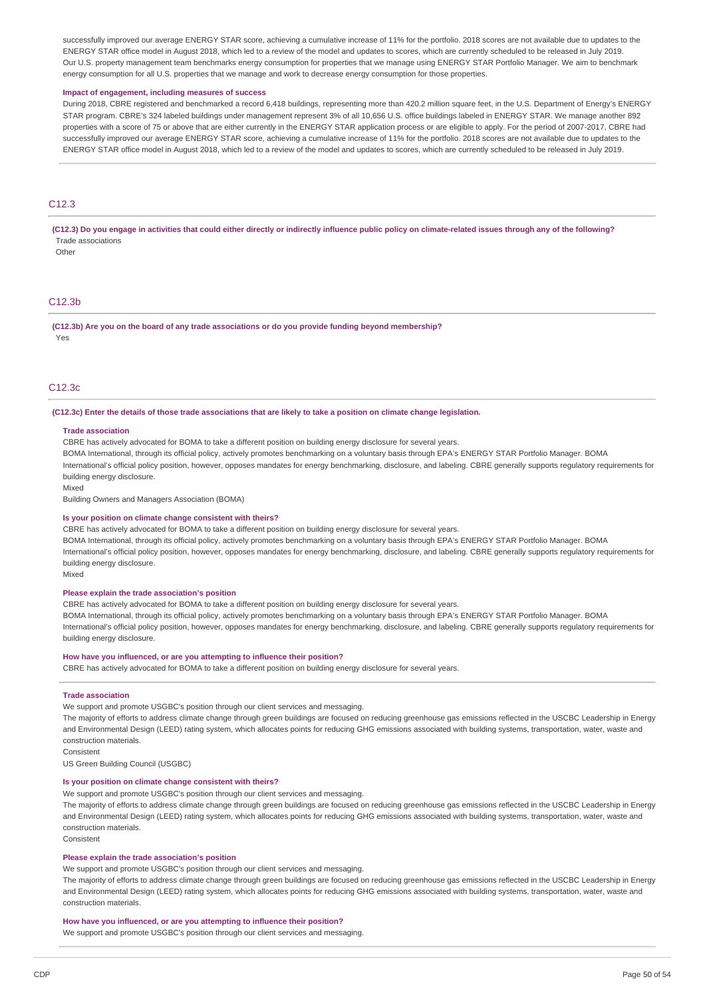successfully improved our average ENERGY STAR score, achieving a cumulative increase of 11% for the portfolio. 2018 scores are not available due to updates to the ENERGY STAR office model in August 2018, which led to a review of the model and updates to scores, which are currently scheduled to be released in July 2019. Our U.S. property management team benchmarks energy consumption for properties that we manage using ENERGY STAR Portfolio Manager. We aim to benchmark energy consumption for all U.S. properties that we manage and work to decrease energy consumption for those properties.

#### **Impact of engagement, including measures of success**

During 2018, CBRE registered and benchmarked a record 6,418 buildings, representing more than 420.2 million square feet, in the U.S. Department of Energy's ENERGY STAR program. CBRE's 324 labeled buildings under management represent 3% of all 10,656 U.S. office buildings labeled in ENERGY STAR. We manage another 892 properties with a score of 75 or above that are either currently in the ENERGY STAR application process or are eligible to apply. For the period of 2007-2017, CBRE had successfully improved our average ENERGY STAR score, achieving a cumulative increase of 11% for the portfolio. 2018 scores are not available due to updates to the ENERGY STAR office model in August 2018, which led to a review of the model and updates to scores, which are currently scheduled to be released in July 2019.

# C<sub>12.3</sub>

(C12.3) Do you engage in activities that could either directly or indirectly influence public policy on climate-related issues through any of the following? Trade associations

**Other** 

# C12.3b

**(C12.3b) Are you on the board of any trade associations or do you provide funding beyond membership?** Yes

#### C12.3c

#### (C12.3c) Enter the details of those trade associations that are likely to take a position on climate change legislation.

#### **Trade association**

CBRE has actively advocated for BOMA to take a different position on building energy disclosure for several years.

BOMA International, through its official policy, actively promotes benchmarking on a voluntary basis through EPA's ENERGY STAR Portfolio Manager. BOMA International's official policy position, however, opposes mandates for energy benchmarking, disclosure, and labeling. CBRE generally supports regulatory requirements for building energy disclosure.

Mixed

Building Owners and Managers Association (BOMA)

#### **Is your position on climate change consistent with theirs?**

CBRE has actively advocated for BOMA to take a different position on building energy disclosure for several years.

BOMA International, through its official policy, actively promotes benchmarking on a voluntary basis through EPA's ENERGY STAR Portfolio Manager. BOMA International's official policy position, however, opposes mandates for energy benchmarking, disclosure, and labeling. CBRE generally supports regulatory requirements for building energy disclosure.

Mixed

#### **Please explain the trade association's position**

CBRE has actively advocated for BOMA to take a different position on building energy disclosure for several years.

BOMA International, through its official policy, actively promotes benchmarking on a voluntary basis through EPA's ENERGY STAR Portfolio Manager. BOMA International's official policy position, however, opposes mandates for energy benchmarking, disclosure, and labeling. CBRE generally supports regulatory requirements for building energy disclosure.

#### **How have you influenced, or are you attempting to influence their position?**

CBRE has actively advocated for BOMA to take a different position on building energy disclosure for several years.

#### **Trade association**

We support and promote USGBC's position through our client services and messaging.

The majority of efforts to address climate change through green buildings are focused on reducing greenhouse gas emissions reflected in the USCBC Leadership in Energy and Environmental Design (LEED) rating system, which allocates points for reducing GHG emissions associated with building systems, transportation, water, waste and construction materials.

Consistent

US Green Building Council (USGBC)

#### **Is your position on climate change consistent with theirs?**

We support and promote USGBC's position through our client services and messaging.

The majority of efforts to address climate change through green buildings are focused on reducing greenhouse gas emissions reflected in the USCBC Leadership in Energy and Environmental Design (LEED) rating system, which allocates points for reducing GHG emissions associated with building systems, transportation, water, waste and construction materials.

**Consistent** 

#### **Please explain the trade association's position**

We support and promote USGBC's position through our client services and messaging.

The majority of efforts to address climate change through green buildings are focused on reducing greenhouse gas emissions reflected in the USCBC Leadership in Energy and Environmental Design (LEED) rating system, which allocates points for reducing GHG emissions associated with building systems, transportation, water, waste and construction materials.

#### **How have you influenced, or are you attempting to influence their position?**

We support and promote USGBC's position through our client services and messaging.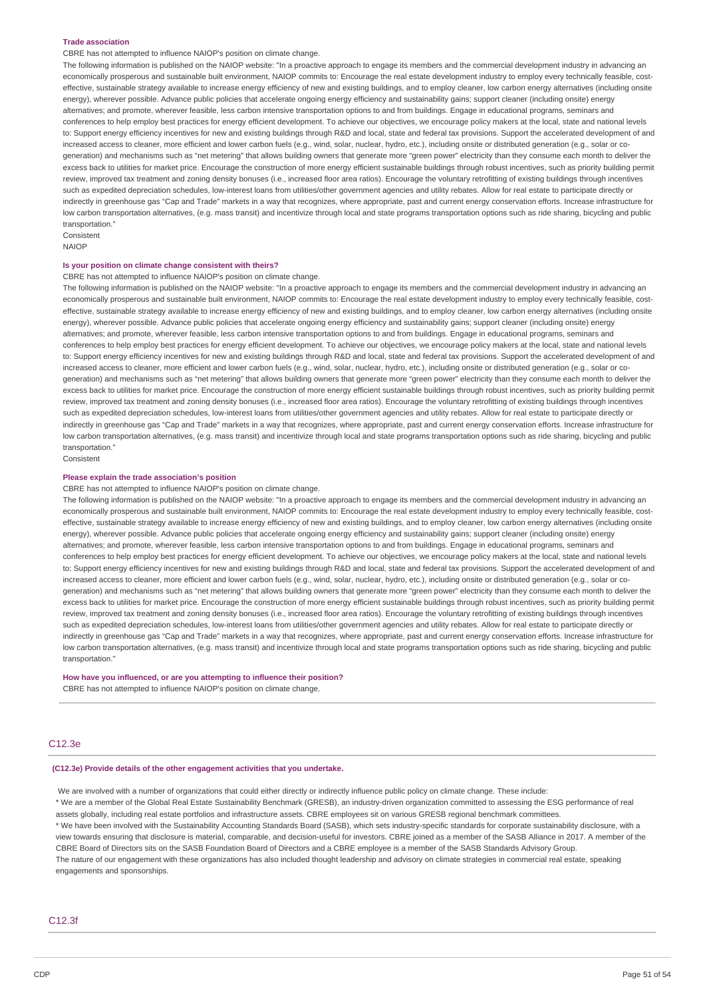#### **Trade association**

CBRE has not attempted to influence NAIOP's position on climate change.

The following information is published on the NAIOP website: "In a proactive approach to engage its members and the commercial development industry in advancing an economically prosperous and sustainable built environment, NAIOP commits to: Encourage the real estate development industry to employ every technically feasible, costeffective, sustainable strategy available to increase energy efficiency of new and existing buildings, and to employ cleaner, low carbon energy alternatives (including onsite energy), wherever possible. Advance public policies that accelerate ongoing energy efficiency and sustainability gains; support cleaner (including onsite) energy alternatives; and promote, wherever feasible, less carbon intensive transportation options to and from buildings. Engage in educational programs, seminars and conferences to help employ best practices for energy efficient development. To achieve our objectives, we encourage policy makers at the local, state and national levels to: Support energy efficiency incentives for new and existing buildings through R&D and local, state and federal tax provisions. Support the accelerated development of and increased access to cleaner, more efficient and lower carbon fuels (e.g., wind, solar, nuclear, hydro, etc.), including onsite or distributed generation (e.g., solar or cogeneration) and mechanisms such as "net metering" that allows building owners that generate more "green power" electricity than they consume each month to deliver the excess back to utilities for market price. Encourage the construction of more energy efficient sustainable buildings through robust incentives, such as priority building permit review, improved tax treatment and zoning density bonuses (i.e., increased floor area ratios). Encourage the voluntary retrofitting of existing buildings through incentives such as expedited depreciation schedules, low-interest loans from utilities/other government agencies and utility rebates. Allow for real estate to participate directly or indirectly in greenhouse gas "Cap and Trade" markets in a way that recognizes, where appropriate, past and current energy conservation efforts. Increase infrastructure for low carbon transportation alternatives, (e.g. mass transit) and incentivize through local and state programs transportation options such as ride sharing, bicycling and public transportation."

Consistent NAIOP

#### **Is your position on climate change consistent with theirs?**

CBRE has not attempted to influence NAIOP's position on climate change.

The following information is published on the NAIOP website: "In a proactive approach to engage its members and the commercial development industry in advancing an economically prosperous and sustainable built environment, NAIOP commits to: Encourage the real estate development industry to employ every technically feasible, costeffective, sustainable strategy available to increase energy efficiency of new and existing buildings, and to employ cleaner, low carbon energy alternatives (including onsite energy), wherever possible. Advance public policies that accelerate ongoing energy efficiency and sustainability gains; support cleaner (including onsite) energy alternatives; and promote, wherever feasible, less carbon intensive transportation options to and from buildings. Engage in educational programs, seminars and conferences to help employ best practices for energy efficient development. To achieve our objectives, we encourage policy makers at the local, state and national levels to: Support energy efficiency incentives for new and existing buildings through R&D and local, state and federal tax provisions. Support the accelerated development of and increased access to cleaner, more efficient and lower carbon fuels (e.g., wind, solar, nuclear, hydro, etc.), including onsite or distributed generation (e.g., solar or cogeneration) and mechanisms such as "net metering" that allows building owners that generate more "green power" electricity than they consume each month to deliver the excess back to utilities for market price. Encourage the construction of more energy efficient sustainable buildings through robust incentives, such as priority building permit review, improved tax treatment and zoning density bonuses (i.e., increased floor area ratios). Encourage the voluntary retrofitting of existing buildings through incentives such as expedited depreciation schedules, low-interest loans from utilities/other government agencies and utility rebates. Allow for real estate to participate directly or indirectly in greenhouse gas "Cap and Trade" markets in a way that recognizes, where appropriate, past and current energy conservation efforts. Increase infrastructure for low carbon transportation alternatives, (e.g. mass transit) and incentivize through local and state programs transportation options such as ride sharing, bicycling and public transportation."

Consistent

#### **Please explain the trade association's position**

CBRE has not attempted to influence NAIOP's position on climate change.

The following information is published on the NAIOP website: "In a proactive approach to engage its members and the commercial development industry in advancing an economically prosperous and sustainable built environment, NAIOP commits to: Encourage the real estate development industry to employ every technically feasible, costeffective, sustainable strategy available to increase energy efficiency of new and existing buildings, and to employ cleaner, low carbon energy alternatives (including onsite energy), wherever possible. Advance public policies that accelerate ongoing energy efficiency and sustainability gains; support cleaner (including onsite) energy alternatives; and promote, wherever feasible, less carbon intensive transportation options to and from buildings. Engage in educational programs, seminars and conferences to help employ best practices for energy efficient development. To achieve our objectives, we encourage policy makers at the local, state and national levels to: Support energy efficiency incentives for new and existing buildings through R&D and local, state and federal tax provisions. Support the accelerated development of and increased access to cleaner, more efficient and lower carbon fuels (e.g., wind, solar, nuclear, hydro, etc.), including onsite or distributed generation (e.g., solar or cogeneration) and mechanisms such as "net metering" that allows building owners that generate more "green power" electricity than they consume each month to deliver the excess back to utilities for market price. Encourage the construction of more energy efficient sustainable buildings through robust incentives, such as priority building permit review, improved tax treatment and zoning density bonuses (i.e., increased floor area ratios). Encourage the voluntary retrofitting of existing buildings through incentives such as expedited depreciation schedules, low-interest loans from utilities/other government agencies and utility rebates. Allow for real estate to participate directly or indirectly in greenhouse gas "Cap and Trade" markets in a way that recognizes, where appropriate, past and current energy conservation efforts. Increase infrastructure for low carbon transportation alternatives, (e.g. mass transit) and incentivize through local and state programs transportation options such as ride sharing, bicycling and public transportation."

#### **How have you influenced, or are you attempting to influence their position?**

CBRE has not attempted to influence NAIOP's position on climate change.

# C12.3e

#### **(C12.3e) Provide details of the other engagement activities that you undertake.**

We are involved with a number of organizations that could either directly or indirectly influence public policy on climate change. These include:

\* We are a member of the Global Real Estate Sustainability Benchmark (GRESB), an industry-driven organization committed to assessing the ESG performance of real assets globally, including real estate portfolios and infrastructure assets. CBRE employees sit on various GRESB regional benchmark committees.

\* We have been involved with the Sustainability Accounting Standards Board (SASB), which sets industry-specific standards for corporate sustainability disclosure, with a view towards ensuring that disclosure is material, comparable, and decision-useful for investors. CBRE joined as a member of the SASB Alliance in 2017. A member of the CBRE Board of Directors sits on the SASB Foundation Board of Directors and a CBRE employee is a member of the SASB Standards Advisory Group. The nature of our engagement with these organizations has also included thought leadership and advisory on climate strategies in commercial real estate, speaking engagements and sponsorships.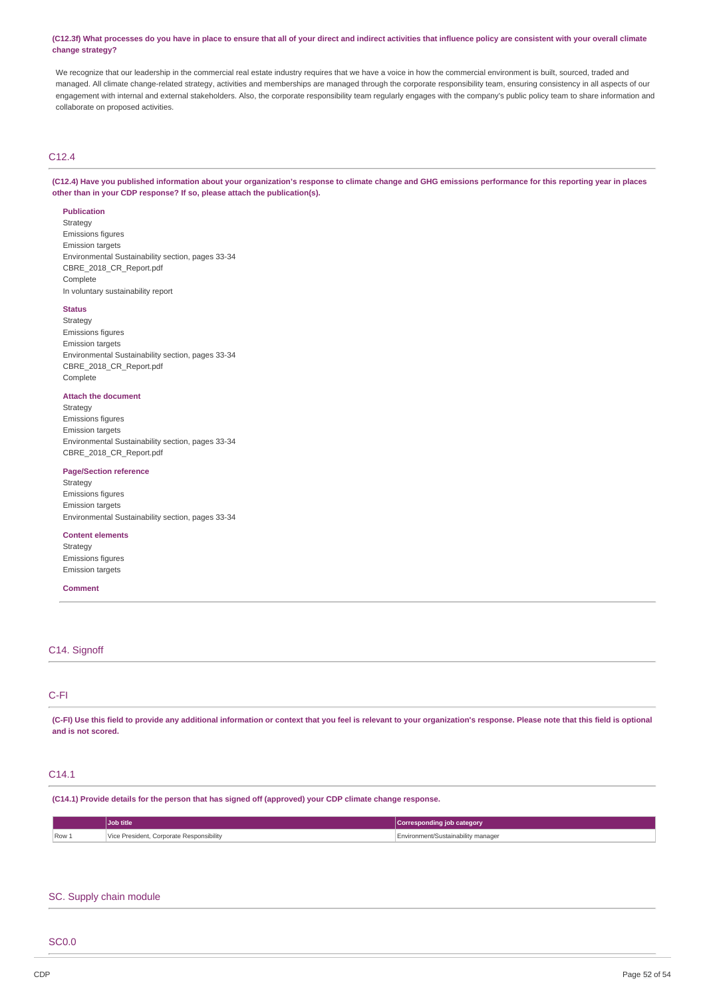#### (C12.3f) What processes do you have in place to ensure that all of your direct and indirect activities that influence policy are consistent with your overall climate **change strategy?**

We recognize that our leadership in the commercial real estate industry requires that we have a voice in how the commercial environment is built, sourced, traded and managed. All climate change-related strategy, activities and memberships are managed through the corporate responsibility team, ensuring consistency in all aspects of our engagement with internal and external stakeholders. Also, the corporate responsibility team regularly engages with the company's public policy team to share information and collaborate on proposed activities.

# C12.4

(C12.4) Have you published information about your organization's response to climate change and GHG emissions performance for this reporting year in places **other than in your CDP response? If so, please attach the publication(s).**

#### **Publication**

Strategy Emissions figures Emission targets Environmental Sustainability section, pages 33-34 CBRE\_2018\_CR\_Report.pdf

Complete In voluntary sustainability report

# **Status**

Strategy Emissions figures Emission targets Environmental Sustainability section, pages 33-34 CBRE\_2018\_CR\_Report.pdf Complete

#### **Attach the document**

Strategy Emissions figures Emission targets Environmental Sustainability section, pages 33-34 CBRE\_2018\_CR\_Report.pdf

# **Page/Section reference**

**Strategy** Emissions figures Emission targets Environmental Sustainability section, pages 33-34

# **Content elements**

Strategy Emissions figures Emission targets

### **Comment**

# C14. Signoff

# C-FI

(C-FI) Use this field to provide any additional information or context that you feel is relevant to your organization's response. Please note that this field is optional **and is not scored.**

# C14.1

**(C14.1) Provide details for the person that has signed off (approved) your CDP climate change response.**

|       | <b>Job title</b>                               | Corresponding<br>⊧iob cateɑorv     |
|-------|------------------------------------------------|------------------------------------|
| Row 1 | Corporate Responsibility<br>resident<br>.<br>. | Environment/Sustainability manager |

# SC. Supply chain module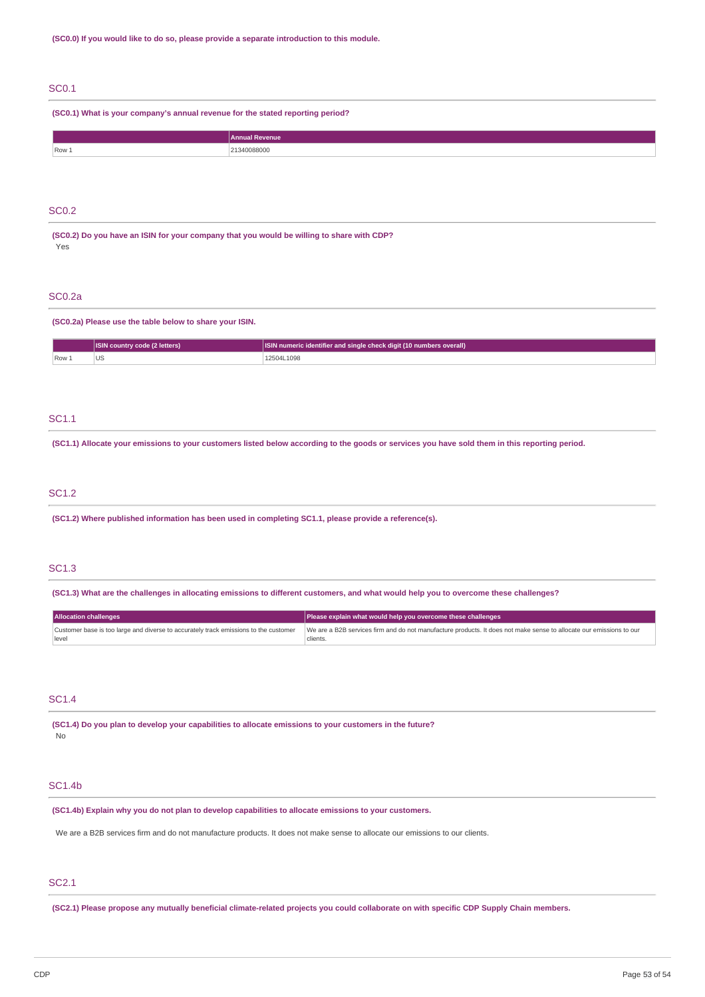# SC0.1

**(SC0.1) What is your company's annual revenue for the stated reporting period?**

|       | <b>Annual Revenue</b> |
|-------|-----------------------|
| Row 1 | 340088000<br>.        |
|       |                       |

# SC0.2

**(SC0.2) Do you have an ISIN for your company that you would be willing to share with CDP?** Yes

# SC0.2a

#### **(SC0.2a) Please use the table below to share your ISIN.**

|      | <b>ISIN country code (2 letters)</b> | $\Box$ ISIN numeric identifier and single check digit (10 numbers overall) $\Box$ |
|------|--------------------------------------|-----------------------------------------------------------------------------------|
| Row. | US.                                  | 12504L1098                                                                        |

# SC1.1

(SC1.1) Allocate your emissions to your customers listed below according to the goods or services you have sold them in this reporting period.

# SC1.2

**(SC1.2) Where published information has been used in completing SC1.1, please provide a reference(s).**

# SC1.3

(SC1.3) What are the challenges in allocating emissions to different customers, and what would help you to overcome these challenges?

| <b>Allocation challenges</b>                                                         | Please explain what would help you overcome these challenges                                                        |  |
|--------------------------------------------------------------------------------------|---------------------------------------------------------------------------------------------------------------------|--|
| Customer base is too large and diverse to accurately track emissions to the customer | We are a B2B services firm and do not manufacture products. It does not make sense to allocate our emissions to our |  |
| level                                                                                | clients.                                                                                                            |  |

# SC1.4

**(SC1.4) Do you plan to develop your capabilities to allocate emissions to your customers in the future?** No

# SC1.4b

**(SC1.4b) Explain why you do not plan to develop capabilities to allocate emissions to your customers.**

We are a B2B services firm and do not manufacture products. It does not make sense to allocate our emissions to our clients.

# SC2.1

(SC2.1) Please propose any mutually beneficial climate-related projects you could collaborate on with specific CDP Supply Chain members.